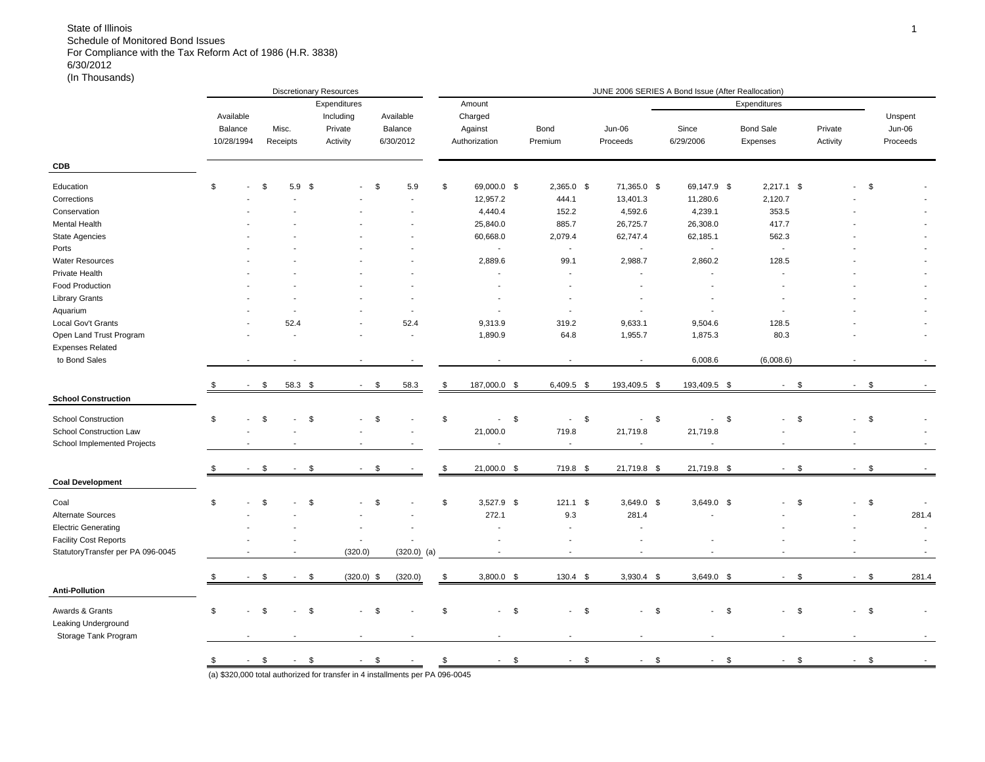|                                   |                          |                        |                          |    | <b>Discretionary Resources</b> |        |                            |                          |                          | JUNE 2006 SERIES A Bond Issue (After Reallocation) |                                |                              |                |               |          |
|-----------------------------------|--------------------------|------------------------|--------------------------|----|--------------------------------|--------|----------------------------|--------------------------|--------------------------|----------------------------------------------------|--------------------------------|------------------------------|----------------|---------------|----------|
|                                   | Expenditures             |                        |                          |    |                                |        |                            | Amount                   |                          |                                                    |                                | Expenditures                 |                |               |          |
|                                   | Available                |                        |                          |    | Including                      |        | Available                  | Charged                  |                          |                                                    |                                |                              |                |               | Unspent  |
|                                   | Balance                  | Misc.                  |                          |    | Private                        |        | Balance                    | Against                  | Bond                     | Jun-06                                             | Since                          | <b>Bond Sale</b>             | Private        |               | Jun-06   |
|                                   | 10/28/1994               | Receipts               |                          |    | Activity                       |        | 6/30/2012                  | Authorization            | Premium                  | Proceeds                                           | 6/29/2006                      | Expenses                     | Activity       |               | Proceeds |
| <b>CDB</b>                        |                          |                        |                          |    |                                |        |                            |                          |                          |                                                    |                                |                              |                |               |          |
| Education                         | \$                       | \$                     | 5.9 <sup>5</sup>         |    |                                | \$     | 5.9                        | \$<br>69,000.0 \$        | $2,365.0$ \$             | 71,365.0 \$                                        | 69,147.9 \$                    | $2,217.1$ \$                 |                | \$            |          |
| Corrections                       |                          |                        |                          |    |                                |        |                            | 12,957.2                 | 444.1                    | 13,401.3                                           | 11,280.6                       | 2,120.7                      |                |               |          |
| Conservation                      |                          |                        |                          |    |                                |        |                            | 4,440.4                  | 152.2                    | 4,592.6                                            | 4,239.1                        | 353.5                        |                |               |          |
| Mental Health                     |                          |                        |                          |    |                                |        |                            | 25,840.0                 | 885.7                    | 26,725.7                                           | 26,308.0                       | 417.7                        |                |               |          |
| <b>State Agencies</b>             |                          |                        |                          |    |                                |        |                            | 60,668.0                 | 2,079.4                  | 62,747.4                                           | 62,185.1                       | 562.3                        |                |               |          |
| Ports                             |                          |                        |                          |    |                                |        |                            | $\overline{\phantom{a}}$ | $\blacksquare$           | ÷,                                                 | $\overline{\phantom{a}}$       | $\blacksquare$               |                |               |          |
| <b>Water Resources</b>            |                          |                        |                          |    |                                |        |                            | 2,889.6                  | 99.1                     | 2,988.7                                            | 2,860.2                        | 128.5                        |                |               |          |
| Private Health                    |                          |                        |                          |    |                                |        |                            | ÷,                       | $\overline{\phantom{a}}$ | $\sim$                                             | $\sim$                         | $\sim$                       |                |               |          |
| Food Production                   |                          |                        |                          |    |                                |        |                            | $\overline{\phantom{a}}$ |                          | Ĭ.                                                 |                                |                              |                |               |          |
| <b>Library Grants</b>             |                          |                        |                          |    |                                |        |                            |                          |                          |                                                    |                                |                              |                |               |          |
| Aquarium                          |                          |                        |                          |    |                                |        | $\overline{\phantom{a}}$   | ÷,                       | $\overline{\phantom{a}}$ | $\overline{\phantom{a}}$                           | $\overline{\phantom{a}}$       | $\blacksquare$               |                |               |          |
| Local Gov't Grants                |                          |                        | 52.4                     |    |                                |        | 52.4                       | 9,313.9                  | 319.2                    | 9,633.1                                            | 9,504.6                        | 128.5                        |                |               |          |
| Open Land Trust Program           |                          |                        |                          |    |                                |        | $\overline{\phantom{a}}$   | 1,890.9                  | 64.8                     | 1,955.7                                            | 1,875.3                        | 80.3                         |                |               |          |
| <b>Expenses Related</b>           |                          |                        |                          |    |                                |        |                            |                          |                          |                                                    |                                |                              |                |               |          |
| to Bond Sales                     |                          |                        |                          |    |                                |        | $\blacksquare$             |                          | $\overline{\phantom{a}}$ | $\blacksquare$                                     | 6,008.6                        | (6,008.6)                    |                |               |          |
|                                   | $\overline{\phantom{a}}$ | \$                     | 58.3 \$                  |    | $\sim$                         | \$     | 58.3                       | \$<br>187,000.0 \$       | 6,409.5 \$               | 193,409.5 \$                                       | 193,409.5 \$                   | - \$<br>$\sim$               | $\sim$         | <b>S</b>      |          |
| <b>School Construction</b>        |                          |                        |                          |    |                                |        |                            |                          |                          |                                                    |                                |                              |                |               |          |
| <b>School Construction</b>        | \$                       | \$                     |                          | \$ |                                | \$     |                            | \$<br>\$<br>$\sim$       | \$<br>$\mathbf{r}$       | $\sqrt{5}$<br>$\overline{\phantom{a}}$             | \$<br>$\overline{\phantom{a}}$ | \$<br>$\overline{a}$         | $\overline{a}$ | \$            |          |
| School Construction Law           |                          |                        |                          |    |                                |        |                            | 21,000.0                 | 719.8                    | 21,719.8                                           | 21,719.8                       |                              |                |               |          |
| School Implemented Projects       |                          |                        |                          |    |                                |        |                            | $\overline{\phantom{a}}$ | ÷,                       | $\overline{\phantom{a}}$                           | $\overline{a}$                 |                              |                |               |          |
|                                   |                          |                        |                          |    |                                |        |                            |                          |                          |                                                    |                                |                              |                |               |          |
|                                   |                          | \$                     |                          | \$ |                                | \$     |                            | \$<br>21,000.0 \$        | 719.8 \$                 | 21,719.8 \$                                        | 21,719.8 \$                    | \$<br>$\sim$                 |                | \$            |          |
| <b>Coal Development</b>           |                          |                        |                          |    |                                |        |                            |                          |                          |                                                    |                                |                              |                |               |          |
| Coal                              | \$                       | \$                     |                          | \$ |                                | \$     |                            | \$<br>3,527.9 \$         | $121.1$ \$               | $3,649.0$ \$                                       | $3,649.0$ \$                   | \$<br>$\overline{a}$         |                | \$            |          |
| Alternate Sources                 |                          |                        |                          |    |                                |        |                            | 272.1                    | 9.3                      | 281.4                                              | $\overline{\phantom{a}}$       |                              |                |               | 281.4    |
| <b>Electric Generating</b>        |                          |                        |                          |    |                                |        |                            | $\overline{\phantom{a}}$ | Ĭ.                       | $\overline{\phantom{a}}$                           |                                |                              |                |               |          |
| <b>Facility Cost Reports</b>      |                          |                        |                          |    | $\overline{a}$                 |        |                            |                          |                          |                                                    |                                |                              |                |               |          |
| StatutoryTransfer per PA 096-0045 |                          |                        | $\overline{\phantom{a}}$ |    | (320.0)                        |        | $(320.0)$ (a)              | $\sim$                   | $\overline{\phantom{a}}$ | $\overline{\phantom{a}}$                           | $\blacksquare$                 | $\sim$                       |                |               | $\sim$   |
|                                   |                          |                        |                          |    |                                |        |                            |                          |                          |                                                    |                                |                              |                |               |          |
| <b>Anti-Pollution</b>             |                          | \$                     | $\sim$                   | \$ | $(320.0)$ \$                   |        | (320.0)                    | \$<br>$3,800.0$ \$       | $130.4$ \$               | $3,930.4$ \$                                       | $3,649.0$ \$                   | \$<br>$\sim$                 |                | \$<br>$\sim$  | 281.4    |
|                                   |                          |                        |                          |    |                                |        |                            |                          |                          |                                                    |                                |                              |                |               |          |
| Awards & Grants                   | \$                       | \$                     |                          | \$ |                                | \$     |                            | \$<br>\$                 | $-5$                     | $-5$                                               | $-5$                           | $\mathbb{S}$<br>$\mathbf{r}$ | $\sim$         | $\mathcal{S}$ |          |
| Leaking Underground               |                          |                        |                          |    |                                |        |                            |                          |                          |                                                    |                                |                              |                |               |          |
| Storage Tank Program              |                          |                        |                          |    | $\sim$                         |        |                            | $\blacksquare$           |                          | $\overline{a}$                                     | ä,                             | $\blacksquare$               |                |               |          |
|                                   |                          |                        |                          |    |                                | $-$ \$ |                            | $-$ \$                   | \$<br>$\sim 100$         | $-5$                                               | $-$ \$                         | $-$ \$                       |                | $-$ \$        |          |
|                                   |                          | $\frac{\$}{\$}$ - $\$$ | $-$ \$                   |    |                                |        | $\mathcal{L}_{\text{eff}}$ | \$                       |                          |                                                    |                                |                              |                |               |          |

(a) \$320,000 total authorized for transfer in 4 installments per PA 096-0045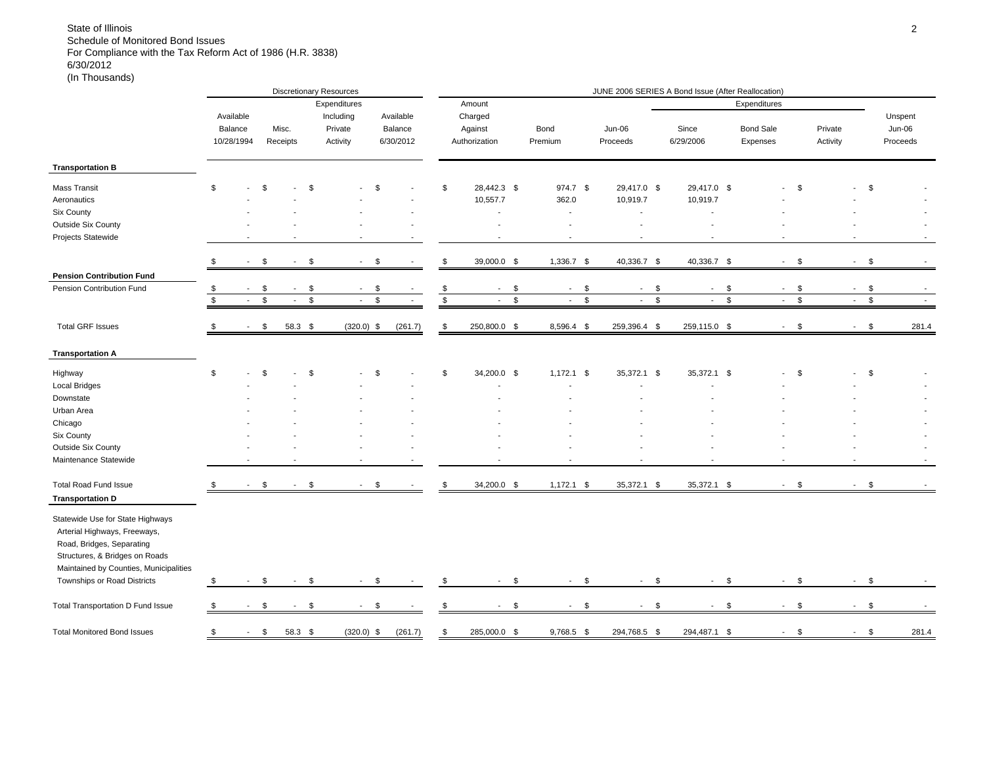|                                                                                                                                                                                                          |                | <b>Discretionary Resources</b> |                |          |              |              |                          |                          |                         |                |              |                          |              |                |              | JUNE 2006 SERIES A Bond Issue (After Reallocation) |                         |                          |              |                          |                         |                          |
|----------------------------------------------------------------------------------------------------------------------------------------------------------------------------------------------------------|----------------|--------------------------------|----------------|----------|--------------|--------------|--------------------------|--------------------------|-------------------------|----------------|--------------|--------------------------|--------------|----------------|--------------|----------------------------------------------------|-------------------------|--------------------------|--------------|--------------------------|-------------------------|--------------------------|
|                                                                                                                                                                                                          |                |                                |                |          |              | Expenditures |                          |                          |                         | Amount         |              |                          |              |                |              |                                                    |                         | Expenditures             |              |                          |                         |                          |
|                                                                                                                                                                                                          |                | Available                      |                |          |              | Including    |                          | Available                |                         | Charged        |              |                          |              |                |              |                                                    |                         |                          |              |                          |                         | Unspent                  |
|                                                                                                                                                                                                          |                | Balance                        |                | Misc.    |              | Private      |                          | Balance                  |                         | Against        |              | Bond                     |              | <b>Jun-06</b>  |              | Since                                              |                         | <b>Bond Sale</b>         |              | Private                  |                         | Jun-06                   |
|                                                                                                                                                                                                          |                | 10/28/1994                     |                | Receipts |              | Activity     |                          | 6/30/2012                |                         | Authorization  |              | Premium                  |              | Proceeds       |              | 6/29/2006                                          |                         | Expenses                 |              | Activity                 |                         | Proceeds                 |
| <b>Transportation B</b>                                                                                                                                                                                  |                |                                |                |          |              |              |                          |                          |                         |                |              |                          |              |                |              |                                                    |                         |                          |              |                          |                         |                          |
| Mass Transit                                                                                                                                                                                             | \$             |                                | \$             |          | \$           |              | \$                       |                          | \$                      | 28,442.3 \$    |              | 974.7 \$                 |              | 29,417.0 \$    |              | 29,417.0 \$                                        |                         |                          | \$           |                          | \$                      |                          |
| Aeronautics                                                                                                                                                                                              |                |                                |                |          |              |              |                          |                          |                         | 10,557.7       |              | 362.0                    |              | 10,919.7       |              | 10,919.7                                           |                         |                          |              |                          |                         |                          |
| Six County                                                                                                                                                                                               |                |                                |                |          |              |              |                          |                          |                         | $\overline{a}$ |              | $\blacksquare$           |              | $\blacksquare$ |              |                                                    |                         |                          |              |                          |                         |                          |
| Outside Six County                                                                                                                                                                                       |                |                                |                |          |              |              |                          |                          |                         | J.             |              | $\overline{a}$           |              | $\overline{a}$ |              |                                                    |                         |                          |              |                          |                         |                          |
| Projects Statewide                                                                                                                                                                                       |                |                                |                |          |              |              | $\overline{a}$           | $\overline{a}$           |                         |                |              | $\tilde{\phantom{a}}$    |              | $\blacksquare$ |              |                                                    |                         |                          |              |                          |                         |                          |
|                                                                                                                                                                                                          |                | $\sim$                         | $\mathfrak s$  |          | $-5$         |              | \$<br>$\sim$             |                          | \$                      | 39,000.0 \$    |              | $1,336.7$ \$             |              | 40,336.7 \$    |              | 40,336.7 \$                                        |                         |                          | $-5$         |                          | $-5$                    |                          |
| <b>Pension Contribution Fund</b>                                                                                                                                                                         |                |                                |                |          |              |              |                          |                          |                         |                |              |                          |              |                |              |                                                    |                         |                          |              |                          |                         |                          |
| Pension Contribution Fund                                                                                                                                                                                | $\frac{3}{3}$  |                                | \$             |          | \$           |              | \$                       |                          | $\frac{1}{2}$           | $\sim$         | \$           | $\sim$                   | \$           | $\sim$         | \$           | $\sim$                                             | \$                      | $\sim$                   | \$           | $\sim$                   | \$                      |                          |
|                                                                                                                                                                                                          |                | $\sim$                         | $\mathfrak{s}$ | $\sim$   | $\mathbb{S}$ |              | $\mathbb{S}$<br>$\sim$   | $\overline{a}$           | $\overline{\mathbf{s}}$ | $\sim$         | $\mathbb{S}$ | $\sim$                   | $\mathbb{S}$ | $\sim 100$     | $\mathbb{S}$ | $\sim$                                             | $\overline{\mathbf{s}}$ | $\sim$                   | $\mathbb{S}$ | $\sim$                   | $\overline{\mathbf{s}}$ | $\sim$                   |
| <b>Total GRF Issues</b>                                                                                                                                                                                  | \$             | $\sim$                         | \$             | 58.3 $$$ |              |              | $(320.0)$ \$             | (261.7)                  | \$                      | 250,800.0 \$   |              | 8,596.4 \$               |              | 259,396.4 \$   |              | 259,115.0 \$                                       |                         | $\sim$                   | \$           | $\sim$                   | $\mathbb{S}$            | 281.4                    |
| <b>Transportation A</b>                                                                                                                                                                                  |                |                                |                |          |              |              |                          |                          |                         |                |              |                          |              |                |              |                                                    |                         |                          |              |                          |                         |                          |
| Highway                                                                                                                                                                                                  | $$\mathbb{S}$$ |                                | \$             |          | \$           |              | \$                       |                          | \$                      | 34,200.0 \$    |              | $1,172.1$ \$             |              | 35,372.1 \$    |              | 35,372.1 \$                                        |                         |                          | \$           |                          | \$                      |                          |
| <b>Local Bridges</b>                                                                                                                                                                                     |                |                                |                |          |              |              |                          |                          |                         |                |              |                          |              | $\blacksquare$ |              |                                                    |                         |                          |              |                          |                         |                          |
| Downstate                                                                                                                                                                                                |                |                                |                |          |              |              |                          |                          |                         |                |              |                          |              |                |              |                                                    |                         |                          |              |                          |                         |                          |
| Urban Area                                                                                                                                                                                               |                |                                |                |          |              |              |                          |                          |                         |                |              |                          |              |                |              |                                                    |                         |                          |              |                          |                         |                          |
| Chicago                                                                                                                                                                                                  |                |                                |                |          |              |              |                          |                          |                         |                |              |                          |              |                |              |                                                    |                         |                          |              |                          |                         |                          |
| Six County                                                                                                                                                                                               |                |                                |                |          |              |              |                          |                          |                         |                |              |                          |              |                |              |                                                    |                         |                          |              |                          |                         |                          |
| <b>Outside Six County</b>                                                                                                                                                                                |                |                                |                |          |              |              |                          |                          |                         |                |              |                          |              |                |              |                                                    |                         |                          |              |                          |                         |                          |
| Maintenance Statewide                                                                                                                                                                                    |                | ٠                              |                |          |              |              | $\overline{\phantom{a}}$ | $\overline{\phantom{a}}$ |                         |                |              | $\overline{\phantom{a}}$ |              | ٠              |              |                                                    |                         | $\overline{\phantom{a}}$ |              | $\overline{\phantom{a}}$ |                         | $\overline{\phantom{a}}$ |
|                                                                                                                                                                                                          |                |                                |                |          |              |              |                          |                          |                         |                |              |                          |              |                |              |                                                    |                         |                          |              |                          |                         |                          |
| <b>Total Road Fund Issue</b><br><b>Transportation D</b>                                                                                                                                                  |                |                                | \$             |          | \$           |              | \$<br>$\blacksquare$     |                          | \$                      | 34,200.0 \$    |              | $1,172.1$ \$             |              | 35,372.1 \$    |              | 35,372.1 \$                                        |                         | $\sim$                   | \$           | $\sim$                   | $^{\circ}$              |                          |
| Statewide Use for State Highways<br>Arterial Highways, Freeways,<br>Road, Bridges, Separating<br>Structures, & Bridges on Roads<br>Maintained by Counties, Municipalities<br>Townships or Road Districts | \$             |                                | \$.            |          | \$           |              | \$                       |                          | \$                      |                | <b>S</b>     | $\overline{\phantom{a}}$ | \$           | $\blacksquare$ | \$           |                                                    | \$                      | $\sim$                   | \$           |                          | \$                      |                          |
| Total Transportation D Fund Issue                                                                                                                                                                        | \$             | $\sim$                         | \$             | $\sim$   | \$           |              | \$<br>$\sim$             |                          | -S                      | $\sim 100$     | \$           | $-5$                     |              | $-5$           |              | $-5$                                               |                         |                          | $-5$         |                          | $-5$                    |                          |
|                                                                                                                                                                                                          |                |                                |                |          |              |              |                          |                          |                         |                |              |                          |              |                |              |                                                    |                         |                          |              |                          |                         |                          |
| <b>Total Monitored Bond Issues</b>                                                                                                                                                                       | \$             |                                | $-5$           | 58.3 \$  |              |              | $(320.0)$ \$             | (261.7)                  | \$                      | 285,000.0 \$   |              | $9,768.5$ \$             |              | 294,768.5 \$   |              | 294,487.1 \$                                       |                         | $\sim$                   | \$           | $\sim$                   | $\sqrt{3}$              | 281.4                    |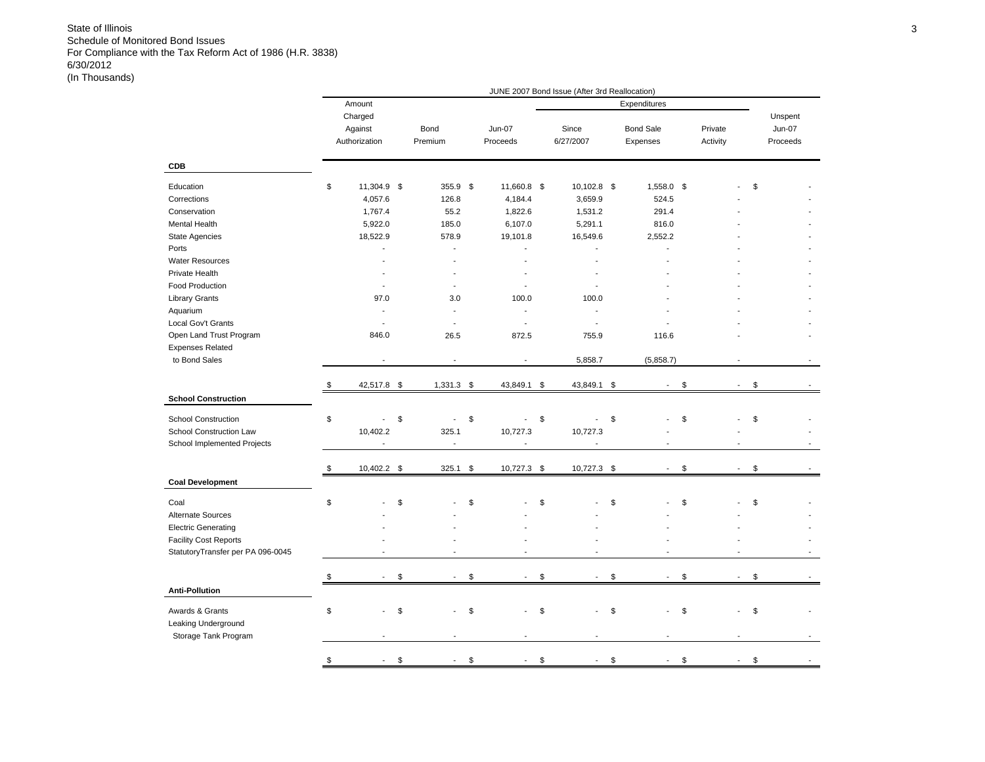|                                                                                                                                                                                                                                     |                                                                             |                                                                                                                                                |                                                                                                                                                   | JUNE 2007 Bond Issue (After 3rd Reallocation)                                                                                        |                                                  |                     |                |                                      |
|-------------------------------------------------------------------------------------------------------------------------------------------------------------------------------------------------------------------------------------|-----------------------------------------------------------------------------|------------------------------------------------------------------------------------------------------------------------------------------------|---------------------------------------------------------------------------------------------------------------------------------------------------|--------------------------------------------------------------------------------------------------------------------------------------|--------------------------------------------------|---------------------|----------------|--------------------------------------|
|                                                                                                                                                                                                                                     | Amount                                                                      |                                                                                                                                                |                                                                                                                                                   |                                                                                                                                      | Expenditures                                     |                     |                |                                      |
|                                                                                                                                                                                                                                     | Charged<br>Against<br>Authorization                                         | Bond<br>Premium                                                                                                                                | <b>Jun-07</b><br>Proceeds                                                                                                                         | Since<br>6/27/2007                                                                                                                   | <b>Bond Sale</b><br>Expenses                     | Private<br>Activity |                | Unspent<br><b>Jun-07</b><br>Proceeds |
| <b>CDB</b>                                                                                                                                                                                                                          |                                                                             |                                                                                                                                                |                                                                                                                                                   |                                                                                                                                      |                                                  |                     |                |                                      |
| Education<br>Corrections<br>Conservation<br><b>Mental Health</b><br><b>State Agencies</b><br>Ports<br><b>Water Resources</b><br>Private Health<br><b>Food Production</b><br><b>Library Grants</b><br>Aquarium<br>Local Gov't Grants | \$<br>11,304.9 \$<br>4,057.6<br>1,767.4<br>5,922.0<br>18,522.9<br>97.0<br>÷ | 355.9 \$<br>126.8<br>55.2<br>185.0<br>578.9<br>$\overline{\phantom{a}}$<br>$\overline{\phantom{a}}$<br>3.0<br>$\blacksquare$<br>$\blacksquare$ | 11,660.8 \$<br>4,184.4<br>1,822.6<br>6,107.0<br>19,101.8<br>÷.<br>$\overline{a}$<br>100.0<br>$\overline{\phantom{a}}$<br>$\overline{\phantom{a}}$ | 10,102.8 \$<br>3,659.9<br>1,531.2<br>5,291.1<br>16,549.6<br>÷<br>$\overline{\phantom{a}}$<br>100.0<br>÷.<br>$\overline{\phantom{a}}$ | 1,558.0 \$<br>524.5<br>291.4<br>816.0<br>2,552.2 |                     |                | \$                                   |
| Open Land Trust Program                                                                                                                                                                                                             | 846.0                                                                       | 26.5                                                                                                                                           | 872.5                                                                                                                                             | 755.9                                                                                                                                | 116.6                                            |                     |                |                                      |
| <b>Expenses Related</b>                                                                                                                                                                                                             |                                                                             |                                                                                                                                                |                                                                                                                                                   |                                                                                                                                      |                                                  |                     |                |                                      |
| to Bond Sales                                                                                                                                                                                                                       |                                                                             |                                                                                                                                                |                                                                                                                                                   | 5,858.7                                                                                                                              | (5,858.7)                                        |                     |                |                                      |
|                                                                                                                                                                                                                                     | \$<br>42,517.8 \$                                                           | $1,331.3$ \$                                                                                                                                   | 43,849.1                                                                                                                                          | \$<br>43,849.1                                                                                                                       | \$                                               | \$                  | $\overline{a}$ | \$                                   |
| <b>School Construction</b>                                                                                                                                                                                                          |                                                                             |                                                                                                                                                |                                                                                                                                                   |                                                                                                                                      |                                                  |                     |                |                                      |
| <b>School Construction</b><br>School Construction Law<br>School Implemented Projects                                                                                                                                                | \$<br>$\overline{\phantom{a}}$<br>10,402.2<br>$\overline{\phantom{a}}$      | \$<br>$\blacksquare$<br>325.1<br>$\blacksquare$                                                                                                | \$<br>$\overline{\phantom{a}}$<br>10,727.3<br>$\overline{\phantom{a}}$                                                                            | \$<br>÷,<br>10,727.3<br>$\overline{\phantom{a}}$                                                                                     | \$                                               | \$                  |                | \$                                   |
|                                                                                                                                                                                                                                     | \$<br>10,402.2 \$                                                           | 325.1                                                                                                                                          | \$<br>10,727.3 \$                                                                                                                                 | 10,727.3 \$                                                                                                                          | $\blacksquare$                                   | \$                  | $\blacksquare$ | \$                                   |
| <b>Coal Development</b>                                                                                                                                                                                                             |                                                                             |                                                                                                                                                |                                                                                                                                                   |                                                                                                                                      |                                                  |                     |                |                                      |
| Coal<br>Alternate Sources<br><b>Electric Generating</b><br><b>Facility Cost Reports</b><br>StatutoryTransfer per PA 096-0045                                                                                                        | \$                                                                          | \$                                                                                                                                             | \$                                                                                                                                                | \$                                                                                                                                   | \$                                               | \$                  |                | \$                                   |
|                                                                                                                                                                                                                                     |                                                                             |                                                                                                                                                |                                                                                                                                                   |                                                                                                                                      |                                                  |                     |                |                                      |
|                                                                                                                                                                                                                                     | \$<br>$\blacksquare$                                                        | \$<br>$\blacksquare$                                                                                                                           | \$<br>$\sim$                                                                                                                                      | \$<br>$\blacksquare$                                                                                                                 | \$<br>$\blacksquare$                             | \$                  | $\sim$         | \$                                   |
| <b>Anti-Pollution</b><br>Awards & Grants<br>Leaking Underground<br>Storage Tank Program                                                                                                                                             | \$                                                                          | \$                                                                                                                                             | \$<br>$\overline{a}$                                                                                                                              | \$                                                                                                                                   | \$                                               | \$                  |                | \$                                   |
|                                                                                                                                                                                                                                     | \$                                                                          | \$                                                                                                                                             | \$                                                                                                                                                | \$                                                                                                                                   | \$                                               | \$                  |                | \$                                   |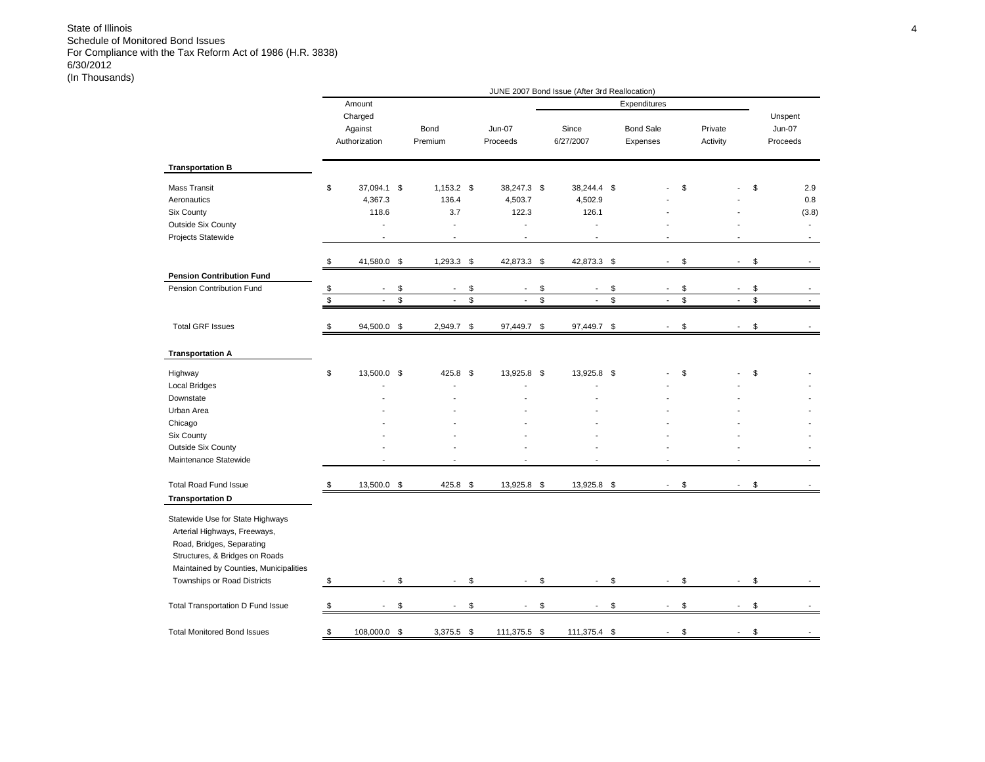|                                                                                                                                                                           |             |                                     |                                |      |                    | JUNE 2007 Bond Issue (After 3rd Reallocation) |              |                              |              |                     |                          |      |                                      |
|---------------------------------------------------------------------------------------------------------------------------------------------------------------------------|-------------|-------------------------------------|--------------------------------|------|--------------------|-----------------------------------------------|--------------|------------------------------|--------------|---------------------|--------------------------|------|--------------------------------------|
|                                                                                                                                                                           |             | Amount                              |                                |      |                    |                                               |              | Expenditures                 |              |                     |                          |      |                                      |
|                                                                                                                                                                           |             | Charged<br>Against<br>Authorization | Bond<br>Premium                |      | Jun-07<br>Proceeds | Since<br>6/27/2007                            |              | <b>Bond Sale</b><br>Expenses |              | Private<br>Activity |                          |      | Unspent<br><b>Jun-07</b><br>Proceeds |
| <b>Transportation B</b>                                                                                                                                                   |             |                                     |                                |      |                    |                                               |              |                              |              |                     |                          |      |                                      |
| <b>Mass Transit</b>                                                                                                                                                       | \$          | 37,094.1 \$                         | $1,153.2$ \$                   |      | 38,247.3 \$        | 38,244.4 \$                                   |              |                              | \$           |                     |                          | \$   | 2.9                                  |
| Aeronautics                                                                                                                                                               |             | 4,367.3                             | 136.4                          |      | 4,503.7            | 4,502.9                                       |              |                              |              |                     |                          |      | 0.8                                  |
| Six County                                                                                                                                                                |             | 118.6                               | 3.7                            |      | 122.3              | 126.1                                         |              |                              |              |                     |                          |      | (3.8)                                |
| <b>Outside Six County</b>                                                                                                                                                 |             |                                     | ÷,                             |      | J.                 |                                               |              |                              |              |                     |                          |      | $\sim$                               |
| Projects Statewide                                                                                                                                                        |             |                                     | ÷,                             |      | Ĭ.                 |                                               |              |                              |              |                     |                          |      |                                      |
|                                                                                                                                                                           | \$          | 41,580.0 \$                         | $1,293.3$ \$                   |      | 42,873.3 \$        | 42,873.3 \$                                   |              | $\overline{\phantom{a}}$     | \$           |                     | $\mathbf{r}$             | \$   |                                      |
| <b>Pension Contribution Fund</b>                                                                                                                                          |             |                                     |                                |      |                    |                                               |              |                              |              |                     |                          |      |                                      |
| Pension Contribution Fund                                                                                                                                                 | \$          | $\blacksquare$                      | \$<br>$\blacksquare$           | \$   | $\blacksquare$     | \$<br>$\overline{\phantom{a}}$                | \$           | $\blacksquare$               | \$           |                     | $\overline{\phantom{a}}$ | \$   |                                      |
|                                                                                                                                                                           | $\mathbb S$ | $\overline{a}$                      | \$<br>$\overline{a}$           | \$   | $\overline{a}$     | \$<br>$\mathcal{L}$                           | $\mathbb{S}$ | $\overline{a}$               | $\mathbb{S}$ |                     | $\overline{\phantom{a}}$ | $\$$ |                                      |
| <b>Total GRF Issues</b>                                                                                                                                                   | \$          | 94,500.0 \$                         | 2,949.7 \$                     |      | 97,449.7 \$        | 97,449.7 \$                                   |              |                              | \$           |                     |                          | \$   |                                      |
| <b>Transportation A</b>                                                                                                                                                   |             |                                     |                                |      |                    |                                               |              |                              |              |                     |                          |      |                                      |
| Highway                                                                                                                                                                   | \$          | 13,500.0 \$                         | 425.8 \$                       |      | 13,925.8 \$        | 13,925.8 \$                                   |              |                              | \$           |                     |                          | \$   |                                      |
| <b>Local Bridges</b>                                                                                                                                                      |             |                                     |                                |      |                    |                                               |              |                              |              |                     |                          |      |                                      |
| Downstate                                                                                                                                                                 |             |                                     |                                |      |                    |                                               |              |                              |              |                     |                          |      |                                      |
| Urban Area                                                                                                                                                                |             |                                     |                                |      |                    |                                               |              |                              |              |                     |                          |      |                                      |
| Chicago                                                                                                                                                                   |             |                                     |                                |      |                    |                                               |              |                              |              |                     |                          |      |                                      |
| Six County                                                                                                                                                                |             |                                     |                                |      |                    |                                               |              |                              |              |                     |                          |      |                                      |
| <b>Outside Six County</b>                                                                                                                                                 |             |                                     |                                |      |                    |                                               |              |                              |              |                     |                          |      |                                      |
| Maintenance Statewide                                                                                                                                                     |             |                                     |                                |      |                    |                                               |              |                              |              |                     |                          |      |                                      |
| <b>Total Road Fund Issue</b>                                                                                                                                              | \$          | 13,500.0 \$                         | 425.8                          | - \$ | 13,925.8 \$        | 13,925.8 \$                                   |              | $\overline{a}$               | \$           |                     | $\blacksquare$           | \$   |                                      |
| <b>Transportation D</b>                                                                                                                                                   |             |                                     |                                |      |                    |                                               |              |                              |              |                     |                          |      |                                      |
| Statewide Use for State Highways<br>Arterial Highways, Freeways,<br>Road, Bridges, Separating<br>Structures, & Bridges on Roads<br>Maintained by Counties, Municipalities |             |                                     |                                |      |                    |                                               |              |                              |              |                     |                          |      |                                      |
| Townships or Road Districts                                                                                                                                               | \$          | $\overline{\phantom{a}}$            | \$<br>$\overline{\phantom{a}}$ | \$   | $\mathbf{r}$       | \$<br>$\overline{a}$                          | \$           | ÷,                           | \$           |                     | $\sim$                   | \$   |                                      |
| Total Transportation D Fund Issue                                                                                                                                         | \$          | $\blacksquare$                      | \$<br>$\blacksquare$           | \$   | $\blacksquare$     | \$<br>$\blacksquare$                          | \$           | $\blacksquare$               | \$           |                     | $\blacksquare$           | \$   |                                      |
| <b>Total Monitored Bond Issues</b>                                                                                                                                        | \$          | 108,000.0 \$                        | $3,375.5$ \$                   |      | 111,375.5 \$       | 111,375.4                                     | \$           |                              | \$           |                     |                          | \$   |                                      |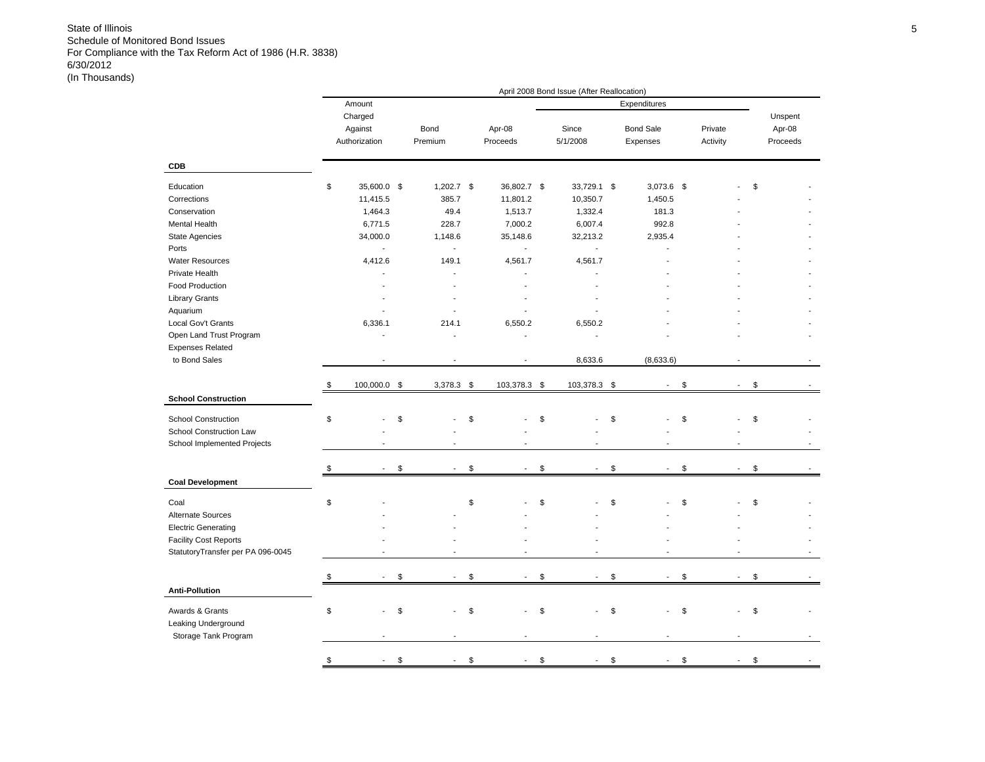|                                   |                                |                |                      | April 2008 Bond Issue (After Reallocation) |                                |          |                          |          |
|-----------------------------------|--------------------------------|----------------|----------------------|--------------------------------------------|--------------------------------|----------|--------------------------|----------|
|                                   | Amount                         |                |                      |                                            | Expenditures                   |          |                          |          |
|                                   | Charged                        |                |                      |                                            |                                |          |                          | Unspent  |
|                                   | Against                        | Bond           | Apr-08               | Since                                      | <b>Bond Sale</b>               | Private  |                          | Apr-08   |
|                                   | Authorization                  | Premium        | Proceeds             | 5/1/2008                                   | Expenses                       | Activity |                          | Proceeds |
|                                   |                                |                |                      |                                            |                                |          |                          |          |
| <b>CDB</b>                        |                                |                |                      |                                            |                                |          |                          |          |
| Education                         | \$<br>35,600.0 \$              | $1,202.7$ \$   | 36,802.7 \$          | 33,729.1 \$                                | 3,073.6 \$                     |          |                          | \$       |
| Corrections                       | 11,415.5                       | 385.7          | 11,801.2             | 10,350.7                                   | 1,450.5                        |          |                          |          |
|                                   |                                |                |                      |                                            |                                |          |                          |          |
| Conservation                      | 1,464.3                        | 49.4           | 1,513.7              | 1,332.4                                    | 181.3                          |          |                          |          |
| Mental Health                     | 6,771.5                        | 228.7          | 7,000.2              | 6,007.4                                    | 992.8                          |          |                          |          |
| State Agencies                    | 34,000.0                       | 1,148.6        | 35,148.6             | 32,213.2                                   | 2,935.4                        |          |                          |          |
| Ports                             | $\overline{a}$                 | $\overline{a}$ | $\mathcal{L}$        | $\overline{a}$                             |                                |          |                          |          |
| <b>Water Resources</b>            | 4,412.6                        | 149.1          | 4,561.7              | 4,561.7                                    |                                |          |                          |          |
| Private Health                    |                                |                |                      |                                            |                                |          |                          |          |
| <b>Food Production</b>            |                                |                |                      |                                            |                                |          |                          |          |
| <b>Library Grants</b>             |                                |                |                      |                                            |                                |          |                          |          |
| Aquarium                          |                                |                | ÷.                   |                                            |                                |          |                          |          |
| Local Gov't Grants                | 6,336.1                        | 214.1          | 6,550.2              | 6,550.2                                    |                                |          |                          |          |
| Open Land Trust Program           |                                |                | $\overline{a}$       | J.                                         |                                |          |                          |          |
| <b>Expenses Related</b>           |                                |                |                      |                                            |                                |          |                          |          |
| to Bond Sales                     |                                |                |                      | 8,633.6                                    | (8,633.6)                      |          |                          |          |
|                                   |                                |                |                      |                                            |                                |          |                          |          |
|                                   | \$<br>100,000.0 \$             | $3,378.3$ \$   | 103,378.3 \$         | 103,378.3 \$                               | $\overline{\phantom{a}}$       | \$       | $\overline{\phantom{a}}$ | \$       |
| <b>School Construction</b>        |                                |                |                      |                                            |                                |          |                          |          |
| <b>School Construction</b>        | \$                             | \$             | \$                   | \$                                         | \$                             | \$       |                          | \$       |
| School Construction Law           |                                |                |                      |                                            |                                |          |                          |          |
| School Implemented Projects       |                                |                |                      |                                            |                                |          |                          |          |
|                                   |                                |                |                      |                                            |                                |          |                          |          |
|                                   | \$<br>$\overline{\phantom{a}}$ | \$<br>$\sim$   | \$<br>$\blacksquare$ | \$<br>$\overline{\phantom{a}}$             | \$<br>$\overline{\phantom{a}}$ | \$       | $\overline{\phantom{a}}$ | \$       |
| <b>Coal Development</b>           |                                |                |                      |                                            |                                |          |                          |          |
| Coal                              | \$                             |                | \$                   | \$                                         | \$                             | \$       |                          | \$       |
| <b>Alternate Sources</b>          |                                |                |                      |                                            |                                |          |                          |          |
|                                   |                                |                |                      |                                            |                                |          |                          |          |
| <b>Electric Generating</b>        |                                |                |                      |                                            |                                |          |                          |          |
| <b>Facility Cost Reports</b>      |                                |                |                      |                                            |                                |          |                          |          |
| StatutoryTransfer per PA 096-0045 |                                |                |                      |                                            |                                |          |                          |          |
|                                   | \$<br>$\overline{\phantom{a}}$ | \$<br>$\sim$   | \$<br>$\sim$         | \$<br>$\sim$                               | \$<br>$\sim$                   | \$       | $\mathbf{r}$             | \$       |
| <b>Anti-Pollution</b>             |                                |                |                      |                                            |                                |          |                          |          |
|                                   |                                |                |                      |                                            |                                |          |                          |          |
| Awards & Grants                   | \$                             | \$             | \$                   | \$                                         | \$                             | \$       |                          | \$       |
| Leaking Underground               |                                |                |                      |                                            |                                |          |                          |          |
| Storage Tank Program              |                                |                |                      |                                            |                                |          |                          |          |
|                                   |                                |                |                      |                                            |                                |          |                          |          |
|                                   | \$<br>$\overline{a}$           | \$             | \$                   | \$                                         | \$                             | \$       |                          | \$       |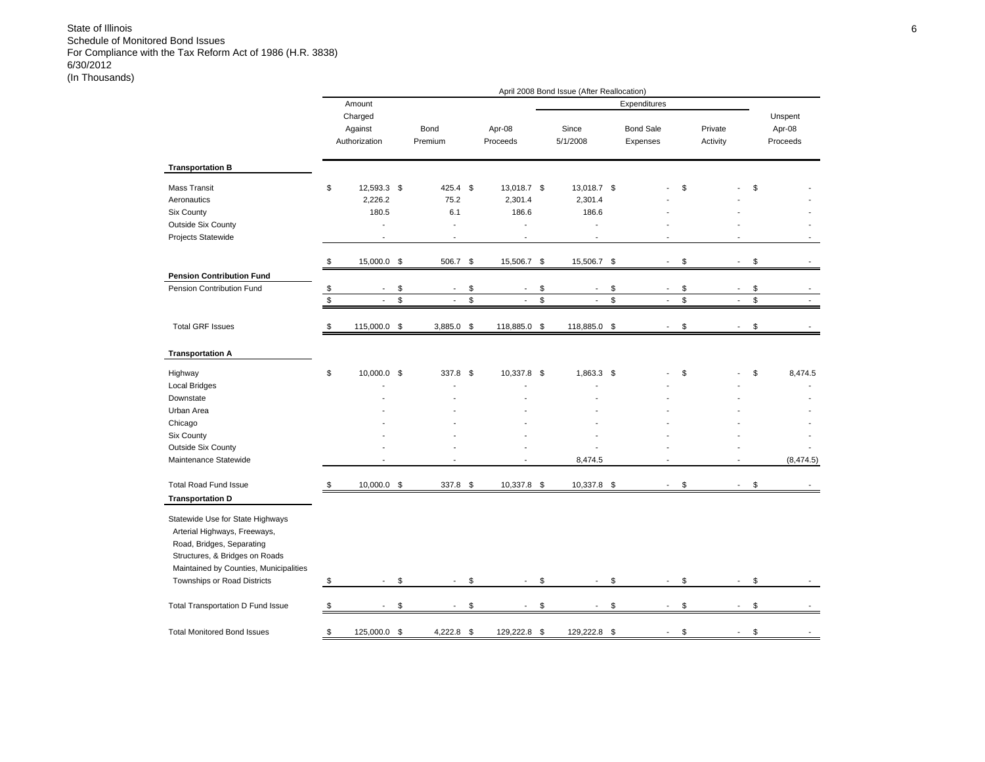|                                                                                                                                                                                                          |                         |                                     |                                |                                | April 2008 Bond Issue (After Reallocation) |                                |                     |                          |                               |
|----------------------------------------------------------------------------------------------------------------------------------------------------------------------------------------------------------|-------------------------|-------------------------------------|--------------------------------|--------------------------------|--------------------------------------------|--------------------------------|---------------------|--------------------------|-------------------------------|
|                                                                                                                                                                                                          |                         | Amount                              |                                |                                |                                            | Expenditures                   |                     |                          |                               |
|                                                                                                                                                                                                          |                         | Charged<br>Against<br>Authorization | Bond<br>Premium                | Apr-08<br>Proceeds             | Since<br>5/1/2008                          | <b>Bond Sale</b><br>Expenses   | Private<br>Activity |                          | Unspent<br>Apr-08<br>Proceeds |
| <b>Transportation B</b>                                                                                                                                                                                  |                         |                                     |                                |                                |                                            |                                |                     |                          |                               |
| <b>Mass Transit</b>                                                                                                                                                                                      | \$                      | 12,593.3 \$                         | 425.4 \$                       | 13,018.7 \$                    | 13,018.7 \$                                |                                | \$                  |                          | \$                            |
| Aeronautics                                                                                                                                                                                              |                         | 2,226.2                             | 75.2                           | 2,301.4                        | 2,301.4                                    |                                |                     |                          |                               |
| Six County                                                                                                                                                                                               |                         | 180.5                               | 6.1                            | 186.6                          | 186.6                                      |                                |                     |                          |                               |
| Outside Six County                                                                                                                                                                                       |                         | $\overline{\phantom{a}}$            | $\overline{a}$                 | ÷.                             | ÷                                          |                                |                     |                          |                               |
| Projects Statewide                                                                                                                                                                                       |                         | ÷                                   | $\overline{a}$                 | $\overline{a}$                 | ÷                                          |                                |                     |                          |                               |
|                                                                                                                                                                                                          | \$                      | 15,000.0 \$                         | 506.7                          | \$<br>15,506.7                 | \$<br>15,506.7                             | \$<br>$\overline{a}$           | \$                  | $\sim$                   | \$                            |
| <b>Pension Contribution Fund</b>                                                                                                                                                                         |                         |                                     |                                |                                |                                            |                                |                     |                          |                               |
| Pension Contribution Fund                                                                                                                                                                                | \$                      | $\overline{\phantom{a}}$            | \$<br>$\overline{\phantom{a}}$ | \$<br>$\overline{\phantom{a}}$ | \$<br>$\overline{\phantom{a}}$             | \$<br>$\blacksquare$           | \$                  | $\overline{\phantom{a}}$ | \$                            |
|                                                                                                                                                                                                          | $\overline{\mathbf{S}}$ | $\overline{a}$                      | \$<br>$\mathbf{r}$             | \$<br>$\mathbf{r}$             | \$<br>$\overline{\phantom{a}}$             | \$<br>$\overline{\phantom{a}}$ | \$                  | $\overline{\phantom{a}}$ | \$<br>$\sim$                  |
| <b>Total GRF Issues</b>                                                                                                                                                                                  | \$                      | 115,000.0                           | \$<br>3,885.0                  | \$<br>118,885.0                | \$<br>118,885.0                            | \$<br>$\overline{a}$           | \$                  | $\blacksquare$           | \$                            |
| <b>Transportation A</b>                                                                                                                                                                                  |                         |                                     |                                |                                |                                            |                                |                     |                          |                               |
| Highway                                                                                                                                                                                                  | \$                      | 10,000.0 \$                         | 337.8 \$                       | 10,337.8 \$                    | 1,863.3 \$                                 |                                | \$                  |                          | \$<br>8,474.5                 |
| <b>Local Bridges</b>                                                                                                                                                                                     |                         |                                     |                                |                                |                                            |                                |                     |                          |                               |
| Downstate                                                                                                                                                                                                |                         |                                     |                                |                                |                                            |                                |                     |                          |                               |
| Urban Area                                                                                                                                                                                               |                         |                                     |                                |                                |                                            |                                |                     |                          |                               |
| Chicago                                                                                                                                                                                                  |                         |                                     |                                |                                |                                            |                                |                     |                          |                               |
| Six County                                                                                                                                                                                               |                         |                                     |                                |                                |                                            |                                |                     |                          |                               |
| <b>Outside Six County</b>                                                                                                                                                                                |                         |                                     |                                |                                |                                            |                                |                     |                          |                               |
| Maintenance Statewide                                                                                                                                                                                    |                         |                                     |                                |                                | 8,474.5                                    |                                |                     |                          | (8, 474.5)                    |
| <b>Total Road Fund Issue</b>                                                                                                                                                                             | \$                      | 10,000.0 \$                         | 337.8 \$                       | 10,337.8 \$                    | 10,337.8 \$                                | $\blacksquare$                 | \$                  | $\blacksquare$           | \$                            |
| <b>Transportation D</b>                                                                                                                                                                                  |                         |                                     |                                |                                |                                            |                                |                     |                          |                               |
| Statewide Use for State Highways<br>Arterial Highways, Freeways,<br>Road, Bridges, Separating<br>Structures, & Bridges on Roads<br>Maintained by Counties, Municipalities<br>Townships or Road Districts | \$                      | $\overline{\phantom{a}}$            | \$<br>$\overline{\phantom{a}}$ | \$<br>$\overline{\phantom{a}}$ | \$<br>$\overline{\phantom{a}}$             | \$<br>$\overline{a}$           | \$                  | $\sim$                   | \$                            |
|                                                                                                                                                                                                          |                         |                                     |                                |                                |                                            |                                |                     |                          |                               |
| Total Transportation D Fund Issue                                                                                                                                                                        | \$                      | $\overline{\phantom{a}}$            | \$<br>$\blacksquare$           | \$<br>$\blacksquare$           | \$<br>$\blacksquare$                       | \$<br>$\overline{a}$           | \$                  | $\sim$                   | \$                            |
| <b>Total Monitored Bond Issues</b>                                                                                                                                                                       | \$                      | 125,000.0 \$                        | 4,222.8 \$                     | 129,222.8 \$                   | 129,222.8 \$                               |                                | \$                  |                          | \$                            |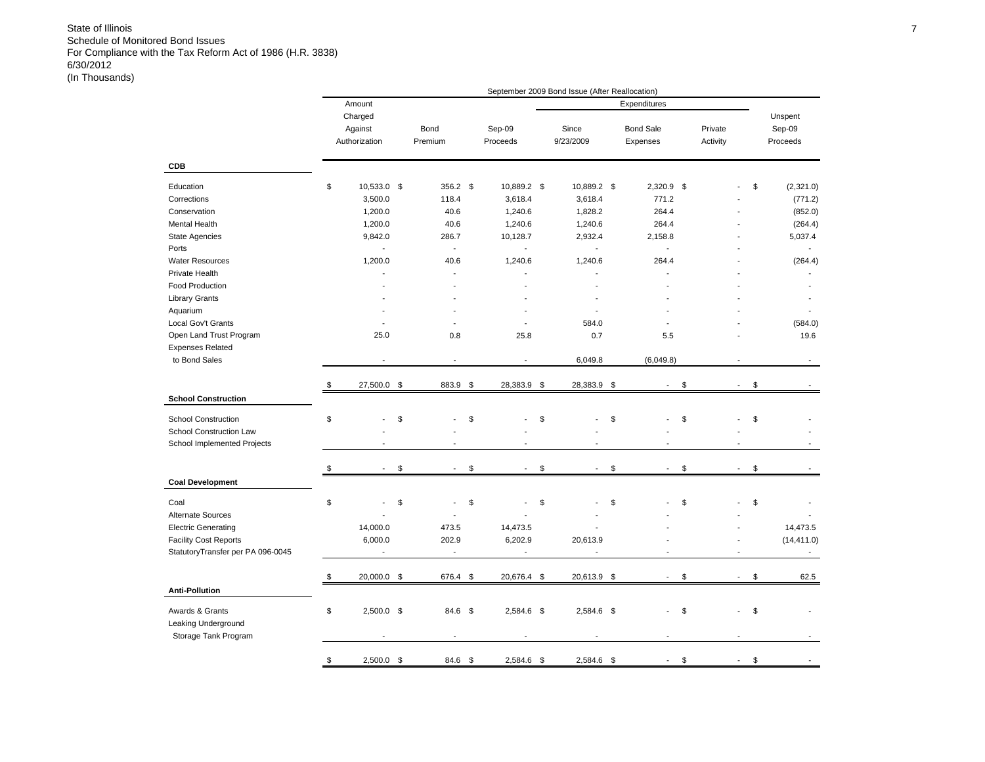|                                   |                                     |                 |                          | September 2009 Bond Issue (After Reallocation) |                                |                     |                          |                               |
|-----------------------------------|-------------------------------------|-----------------|--------------------------|------------------------------------------------|--------------------------------|---------------------|--------------------------|-------------------------------|
|                                   | Amount                              |                 |                          |                                                | Expenditures                   |                     |                          |                               |
|                                   | Charged<br>Against<br>Authorization | Bond<br>Premium | Sep-09<br>Proceeds       | Since<br>9/23/2009                             | <b>Bond Sale</b><br>Expenses   | Private<br>Activity |                          | Unspent<br>Sep-09<br>Proceeds |
| <b>CDB</b>                        |                                     |                 |                          |                                                |                                |                     |                          |                               |
| Education                         | \$<br>10,533.0 \$                   | 356.2 \$        | 10,889.2 \$              | 10,889.2 \$                                    | $2,320.9$ \$                   |                     |                          | \$<br>(2,321.0)               |
| Corrections                       | 3,500.0                             | 118.4           | 3,618.4                  | 3,618.4                                        | 771.2                          |                     |                          | (771.2)                       |
| Conservation                      | 1,200.0                             | 40.6            | 1,240.6                  | 1,828.2                                        | 264.4                          |                     |                          | (852.0)                       |
| Mental Health                     | 1,200.0                             | 40.6            | 1,240.6                  | 1,240.6                                        | 264.4                          |                     |                          | (264.4)                       |
| <b>State Agencies</b>             | 9,842.0                             | 286.7           | 10,128.7                 | 2,932.4                                        | 2,158.8                        |                     |                          | 5,037.4                       |
| Ports                             |                                     | $\mathbf{r}$    | ÷,                       | $\sim$                                         | $\mathbf{r}$                   |                     |                          |                               |
| <b>Water Resources</b>            | 1,200.0                             | 40.6            | 1,240.6                  | 1,240.6                                        | 264.4                          |                     |                          | (264.4)                       |
| Private Health                    |                                     | $\overline{a}$  |                          |                                                | $\overline{a}$                 |                     |                          |                               |
| <b>Food Production</b>            |                                     |                 |                          |                                                |                                |                     |                          |                               |
| <b>Library Grants</b>             |                                     |                 |                          |                                                |                                |                     |                          |                               |
| Aquarium                          |                                     |                 |                          |                                                |                                |                     |                          |                               |
| Local Gov't Grants                |                                     |                 |                          | 584.0                                          |                                |                     |                          | (584.0)                       |
| Open Land Trust Program           | 25.0                                | 0.8             | 25.8                     | 0.7                                            | 5.5                            |                     |                          | 19.6                          |
| <b>Expenses Related</b>           |                                     |                 |                          |                                                |                                |                     |                          |                               |
| to Bond Sales                     |                                     |                 |                          | 6,049.8                                        | (6,049.8)                      |                     |                          |                               |
|                                   | \$<br>27,500.0                      | \$<br>883.9     | \$<br>28,383.9 \$        | 28,383.9                                       | \$                             | \$                  |                          | \$                            |
| <b>School Construction</b>        |                                     |                 |                          |                                                |                                |                     |                          |                               |
| <b>School Construction</b>        | \$                                  | \$              | \$                       | \$                                             | \$<br>L.                       | \$                  | L.                       | \$                            |
| School Construction Law           |                                     |                 |                          |                                                |                                |                     |                          |                               |
| School Implemented Projects       | $\overline{a}$                      |                 |                          |                                                | $\overline{a}$                 |                     | $\overline{a}$           |                               |
|                                   | \$                                  | \$              | \$<br>$\blacksquare$     | \$                                             | \$<br>$\overline{\phantom{a}}$ | \$                  | $\overline{a}$           | \$                            |
| <b>Coal Development</b>           |                                     |                 |                          |                                                |                                |                     |                          |                               |
| Coal                              | \$                                  | \$              | \$                       | \$                                             | \$                             | \$                  |                          | \$                            |
| Alternate Sources                 |                                     |                 |                          |                                                |                                |                     |                          |                               |
| <b>Electric Generating</b>        | 14,000.0                            | 473.5           | 14,473.5                 |                                                |                                |                     |                          | 14,473.5                      |
| <b>Facility Cost Reports</b>      | 6,000.0                             | 202.9           | 6,202.9                  | 20,613.9                                       |                                |                     |                          | (14, 411.0)                   |
| StatutoryTransfer per PA 096-0045 | $\sim$                              | $\sim$          | $\overline{\phantom{a}}$ | $\blacksquare$                                 | $\blacksquare$                 |                     | $\overline{a}$           | $\sim$                        |
|                                   |                                     |                 |                          |                                                |                                |                     |                          |                               |
|                                   | \$<br>20,000.0 \$                   | 676.4 \$        | 20,676.4 \$              | 20,613.9 \$                                    | $\sim$                         | \$                  | $\overline{\phantom{a}}$ | \$<br>62.5                    |
| <b>Anti-Pollution</b>             |                                     |                 |                          |                                                |                                |                     |                          |                               |
| Awards & Grants                   | \$<br>$2,500.0$ \$                  | 84.6 \$         | 2,584.6 \$               | 2,584.6 \$                                     | $\overline{a}$                 | \$                  | $\overline{a}$           | \$                            |
| Leaking Underground               |                                     |                 |                          |                                                |                                |                     |                          |                               |
| Storage Tank Program              |                                     |                 |                          |                                                |                                |                     |                          |                               |
|                                   | \$<br>$2.500.0$ \$                  | 84.6 \$         | $2.584.6$ \$             | $2.584.6$ \$                                   |                                | \$                  |                          | \$                            |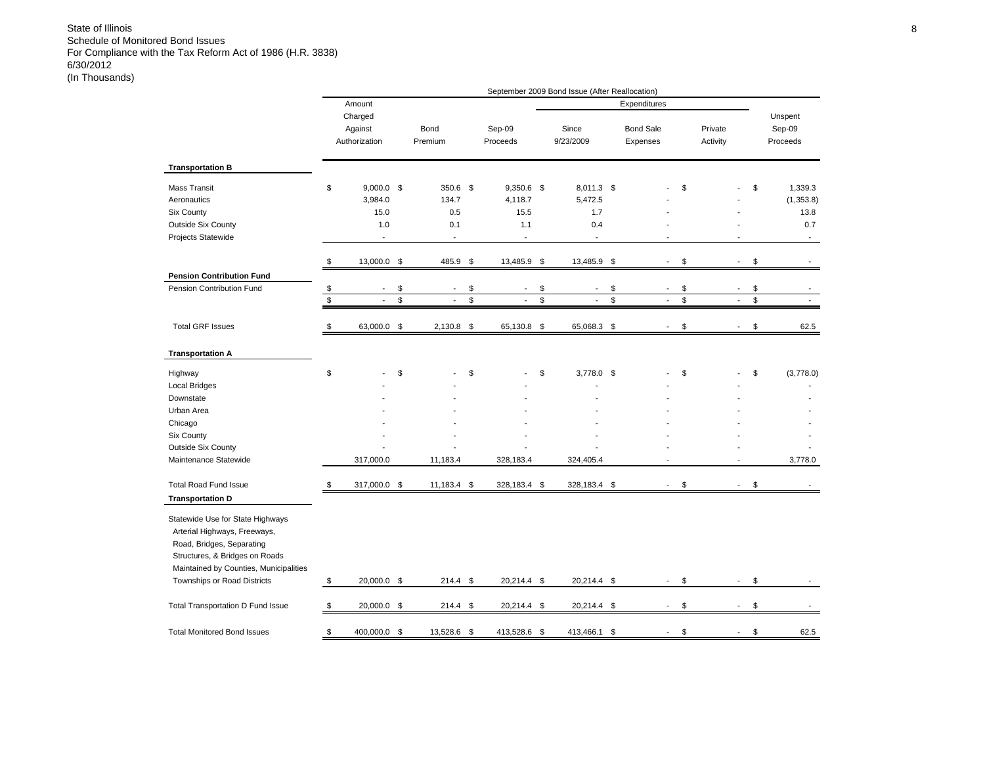|                                                                                                                                                                                                          |                                                                          |                                                             |                                                        | September 2009 Bond Issue (After Reallocation)                  |                                |                     |                          |                                                             |
|----------------------------------------------------------------------------------------------------------------------------------------------------------------------------------------------------------|--------------------------------------------------------------------------|-------------------------------------------------------------|--------------------------------------------------------|-----------------------------------------------------------------|--------------------------------|---------------------|--------------------------|-------------------------------------------------------------|
|                                                                                                                                                                                                          | Amount                                                                   |                                                             |                                                        |                                                                 | Expenditures                   |                     |                          |                                                             |
|                                                                                                                                                                                                          | Charged<br>Against<br>Authorization                                      | Bond<br>Premium                                             | Sep-09<br>Proceeds                                     | Since<br>9/23/2009                                              | <b>Bond Sale</b><br>Expenses   | Private<br>Activity |                          | Unspent<br>Sep-09<br>Proceeds                               |
| <b>Transportation B</b>                                                                                                                                                                                  |                                                                          |                                                             |                                                        |                                                                 |                                |                     |                          |                                                             |
| <b>Mass Transit</b><br>Aeronautics<br><b>Six County</b><br>Outside Six County<br>Projects Statewide                                                                                                      | \$<br>$9,000.0$ \$<br>3,984.0<br>15.0<br>1.0<br>$\overline{\phantom{a}}$ | 350.6 \$<br>134.7<br>0.5<br>0.1<br>$\overline{\phantom{a}}$ | 9,350.6 \$<br>4,118.7<br>15.5<br>1.1<br>$\overline{a}$ | 8,011.3 \$<br>5,472.5<br>1.7<br>0.4<br>$\overline{\phantom{a}}$ |                                | \$                  |                          | \$<br>1,339.3<br>(1,353.8)<br>13.8<br>0.7<br>$\blacksquare$ |
|                                                                                                                                                                                                          | \$<br>13,000.0 \$                                                        | 485.9 \$                                                    | 13,485.9 \$                                            | 13,485.9 \$                                                     | $\overline{\phantom{a}}$       | \$                  | $\overline{\phantom{a}}$ | \$                                                          |
| <b>Pension Contribution Fund</b>                                                                                                                                                                         |                                                                          |                                                             |                                                        |                                                                 |                                |                     |                          |                                                             |
| Pension Contribution Fund                                                                                                                                                                                | \$<br>$\overline{a}$                                                     | \$<br>$\overline{a}$                                        | \$<br>$\overline{a}$                                   | \$<br>$\overline{\phantom{a}}$                                  | \$<br>$\blacksquare$           | \$                  | $\overline{a}$           | \$                                                          |
|                                                                                                                                                                                                          | \$<br>$\overline{a}$                                                     | \$<br>$\overline{a}$                                        | \$<br>$\overline{a}$                                   | \$<br>$\blacksquare$                                            | \$<br>$\overline{\phantom{a}}$ | \$                  | ÷,                       | \$<br>$\overline{\phantom{a}}$                              |
| <b>Total GRF Issues</b>                                                                                                                                                                                  | \$<br>63,000.0 \$                                                        | $2,130.8$ \$                                                | 65,130.8                                               | \$<br>65,068.3                                                  | \$<br>$\overline{a}$           | \$                  | $\sim$                   | \$<br>62.5                                                  |
| <b>Transportation A</b>                                                                                                                                                                                  |                                                                          |                                                             |                                                        |                                                                 |                                |                     |                          |                                                             |
| Highway                                                                                                                                                                                                  | \$                                                                       | \$                                                          | \$                                                     | \$<br>3,778.0 \$                                                |                                | \$                  |                          | \$<br>(3,778.0)                                             |
| <b>Local Bridges</b>                                                                                                                                                                                     |                                                                          |                                                             |                                                        |                                                                 |                                |                     |                          |                                                             |
| Downstate                                                                                                                                                                                                |                                                                          |                                                             |                                                        |                                                                 |                                |                     |                          |                                                             |
| Urban Area                                                                                                                                                                                               |                                                                          |                                                             |                                                        |                                                                 |                                |                     |                          |                                                             |
| Chicago                                                                                                                                                                                                  |                                                                          |                                                             |                                                        |                                                                 |                                |                     |                          |                                                             |
| Six County                                                                                                                                                                                               |                                                                          |                                                             |                                                        |                                                                 |                                |                     |                          |                                                             |
| <b>Outside Six County</b>                                                                                                                                                                                |                                                                          |                                                             |                                                        |                                                                 |                                |                     |                          |                                                             |
| Maintenance Statewide                                                                                                                                                                                    | 317,000.0                                                                | 11,183.4                                                    | 328,183.4                                              | 324,405.4                                                       |                                |                     | ÷                        | 3,778.0                                                     |
| <b>Total Road Fund Issue</b><br><b>Transportation D</b>                                                                                                                                                  | \$<br>317,000.0                                                          | \$<br>11,183.4 \$                                           | 328,183.4 \$                                           | 328,183.4                                                       | \$<br>$\overline{\phantom{a}}$ | \$                  | $\blacksquare$           | \$                                                          |
| Statewide Use for State Highways<br>Arterial Highways, Freeways,<br>Road, Bridges, Separating<br>Structures, & Bridges on Roads<br>Maintained by Counties, Municipalities<br>Townships or Road Districts | \$<br>20,000.0 \$                                                        | $214.4$ \$                                                  | 20,214.4 \$                                            | 20,214.4 \$                                                     | $\overline{\phantom{a}}$       | \$                  | $\overline{\phantom{a}}$ | \$                                                          |
| Total Transportation D Fund Issue                                                                                                                                                                        | \$<br>20,000.0                                                           | \$<br>214.4                                                 | \$<br>20,214.4                                         | \$<br>20,214.4                                                  | \$                             | \$                  |                          | \$                                                          |
| <b>Total Monitored Bond Issues</b>                                                                                                                                                                       | \$<br>400,000.0                                                          | \$<br>13,528.6 \$                                           | 413,528.6                                              | \$<br>413,466.1                                                 | \$                             | \$                  |                          | \$<br>62.5                                                  |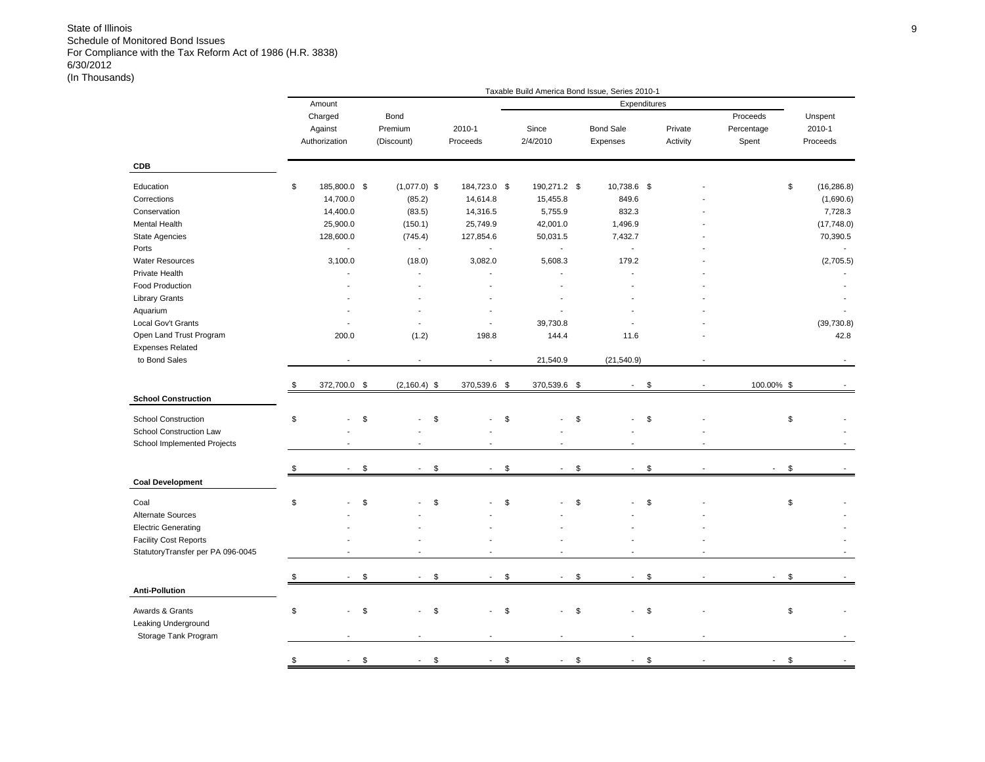|                                   |                    |                                      |                          |                                | Taxable Build America Bond Issue, Series 2010-1 |          |                                 |             |
|-----------------------------------|--------------------|--------------------------------------|--------------------------|--------------------------------|-------------------------------------------------|----------|---------------------------------|-------------|
|                                   | Amount             |                                      |                          |                                | Expenditures                                    |          |                                 |             |
|                                   | Charged            | Bond                                 |                          |                                |                                                 |          | Proceeds                        | Unspent     |
|                                   | Against            | Premium                              | 2010-1                   | Since                          | <b>Bond Sale</b>                                | Private  | Percentage                      | 2010-1      |
|                                   | Authorization      | (Discount)                           | Proceeds                 | 2/4/2010                       | Expenses                                        | Activity | Spent                           | Proceeds    |
| <b>CDB</b>                        |                    |                                      |                          |                                |                                                 |          |                                 |             |
| Education                         | \$<br>185,800.0 \$ | $(1,077.0)$ \$                       | 184,723.0 \$             | 190,271.2 \$                   | 10,738.6 \$                                     |          | \$                              | (16, 286.8) |
| Corrections                       | 14,700.0           | (85.2)                               | 14,614.8                 | 15,455.8                       | 849.6                                           |          |                                 | (1,690.6)   |
| Conservation                      | 14,400.0           | (83.5)                               | 14,316.5                 | 5,755.9                        | 832.3                                           |          |                                 | 7,728.3     |
| Mental Health                     | 25,900.0           | (150.1)                              | 25,749.9                 | 42,001.0                       | 1,496.9                                         |          |                                 | (17,748.0)  |
| <b>State Agencies</b>             | 128,600.0          | (745.4)                              | 127,854.6                | 50,031.5                       | 7,432.7                                         |          |                                 | 70,390.5    |
|                                   | $\mathbf{r}$       | $\sim$                               | $\mathbf{r}$             | $\blacksquare$                 | $\blacksquare$                                  |          |                                 |             |
| Ports                             |                    |                                      |                          |                                |                                                 |          |                                 |             |
| <b>Water Resources</b>            | 3,100.0            | (18.0)                               | 3,082.0                  | 5,608.3                        | 179.2                                           |          |                                 | (2,705.5)   |
| Private Health                    |                    |                                      |                          |                                |                                                 |          |                                 |             |
| Food Production                   |                    |                                      |                          |                                |                                                 |          |                                 |             |
| Library Grants                    |                    |                                      |                          |                                |                                                 |          |                                 |             |
| Aquarium                          |                    |                                      |                          |                                |                                                 |          |                                 |             |
| Local Gov't Grants                |                    | $\overline{\phantom{a}}$             | $\overline{\phantom{a}}$ | 39,730.8                       |                                                 |          |                                 | (39, 730.8) |
| Open Land Trust Program           | 200.0              | (1.2)                                | 198.8                    | 144.4                          | 11.6                                            |          |                                 | 42.8        |
| <b>Expenses Related</b>           |                    |                                      |                          |                                |                                                 |          |                                 |             |
| to Bond Sales                     |                    |                                      | ÷,                       | 21,540.9                       | (21, 540.9)                                     |          |                                 |             |
|                                   |                    |                                      |                          |                                |                                                 |          |                                 |             |
|                                   | \$<br>372,700.0 \$ | $(2, 160.4)$ \$                      | 370,539.6 \$             | 370,539.6 \$                   | $\overline{\phantom{a}}$                        | \$       | 100.00% \$                      |             |
| <b>School Construction</b>        |                    |                                      |                          |                                |                                                 |          |                                 |             |
| <b>School Construction</b>        | \$                 | \$<br>\$                             |                          | \$                             | \$                                              | \$       | \$                              |             |
| School Construction Law           |                    |                                      |                          |                                |                                                 |          |                                 |             |
| School Implemented Projects       |                    |                                      | $\blacksquare$           | Ĭ.                             |                                                 |          |                                 |             |
|                                   |                    |                                      |                          |                                |                                                 |          |                                 |             |
|                                   | \$                 | \$<br>\$                             | $\overline{a}$           | \$<br>$\overline{\phantom{a}}$ | \$                                              | \$       | \$                              |             |
| <b>Coal Development</b>           |                    |                                      |                          |                                |                                                 |          |                                 |             |
| Coal                              | \$                 | \$<br>\$                             |                          | \$                             | \$                                              | \$       | \$                              |             |
| Alternate Sources                 |                    |                                      |                          |                                |                                                 |          |                                 |             |
| <b>Electric Generating</b>        |                    |                                      |                          |                                |                                                 |          |                                 |             |
| <b>Facility Cost Reports</b>      |                    |                                      |                          |                                |                                                 |          |                                 |             |
|                                   |                    |                                      |                          |                                |                                                 |          |                                 |             |
| StatutoryTransfer per PA 096-0045 |                    |                                      | ÷                        | $\overline{\phantom{a}}$       | ż.                                              |          |                                 |             |
|                                   | \$<br>$\mathbf{r}$ | \$<br>\$<br>$\mathcal{L}$            | $\sim$                   | \$<br>$\blacksquare$           | \$<br>÷.                                        | \$       | \$<br>$\mathbb{L}^{\mathbb{N}}$ |             |
| <b>Anti-Pollution</b>             |                    |                                      |                          |                                |                                                 |          |                                 |             |
| Awards & Grants                   | \$                 | \$<br>\$                             | $\overline{a}$           | \$                             | \$                                              | \$       | \$                              |             |
| Leaking Underground               |                    |                                      |                          |                                |                                                 |          |                                 |             |
| Storage Tank Program              |                    |                                      |                          |                                |                                                 |          |                                 |             |
|                                   |                    |                                      |                          |                                |                                                 |          |                                 |             |
|                                   | \$<br>$\sim$       | \$<br>\$<br>$\overline{\phantom{a}}$ | $\overline{a}$           | \$<br>$\sim$                   | \$<br>$\overline{\phantom{a}}$                  | \$       | \$<br>$\overline{\phantom{a}}$  |             |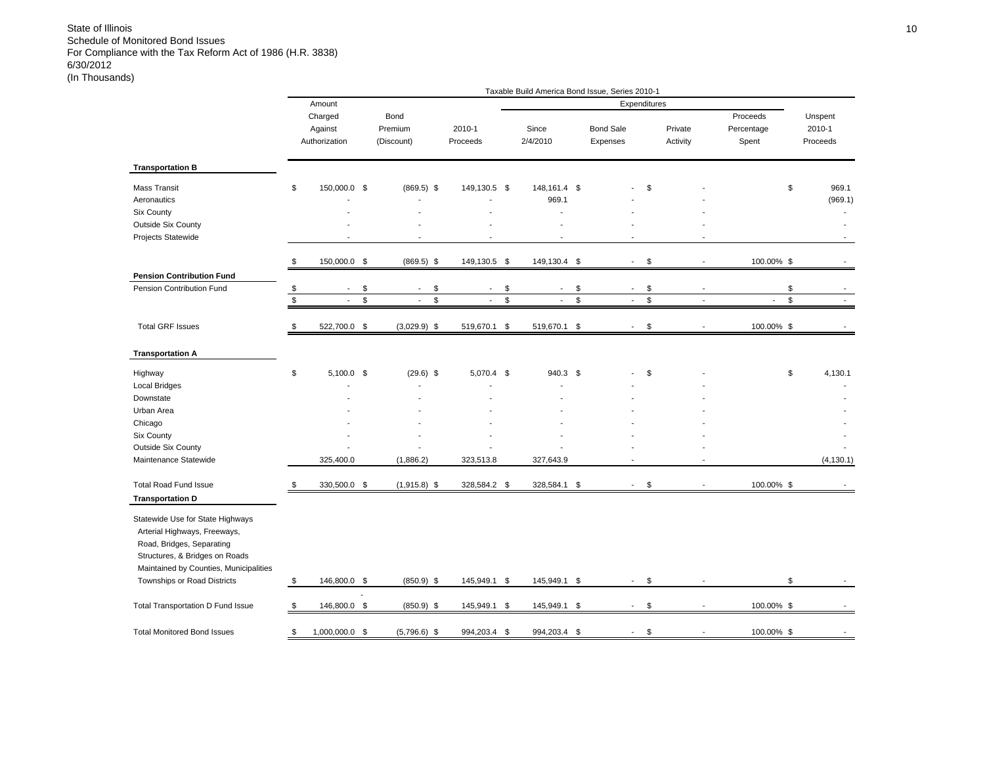|                                                                                                                                                                           |               |                                     |                |                               |                           |             | Taxable Build America Bond Issue, Series 2010-1 |             |                              |      |                          |                                 |      |                               |
|---------------------------------------------------------------------------------------------------------------------------------------------------------------------------|---------------|-------------------------------------|----------------|-------------------------------|---------------------------|-------------|-------------------------------------------------|-------------|------------------------------|------|--------------------------|---------------------------------|------|-------------------------------|
|                                                                                                                                                                           |               | Amount                              |                |                               |                           |             |                                                 |             | Expenditures                 |      |                          |                                 |      |                               |
|                                                                                                                                                                           |               | Charged<br>Against<br>Authorization |                | Bond<br>Premium<br>(Discount) | 2010-1<br>Proceeds        |             | Since<br>2/4/2010                               |             | <b>Bond Sale</b><br>Expenses |      | Private<br>Activity      | Proceeds<br>Percentage<br>Spent |      | Unspent<br>2010-1<br>Proceeds |
| <b>Transportation B</b>                                                                                                                                                   |               |                                     |                |                               |                           |             |                                                 |             |                              |      |                          |                                 |      |                               |
| Mass Transit                                                                                                                                                              | \$            | 150,000.0 \$                        |                | $(869.5)$ \$                  | 149,130.5 \$              |             | 148, 161.4 \$                                   |             |                              | \$   |                          |                                 | \$   | 969.1                         |
| Aeronautics                                                                                                                                                               |               |                                     |                |                               |                           |             | 969.1                                           |             |                              |      |                          |                                 |      | (969.1)                       |
| <b>Six County</b>                                                                                                                                                         |               |                                     |                |                               |                           |             | $\overline{a}$                                  |             |                              |      |                          |                                 |      |                               |
| <b>Outside Six County</b>                                                                                                                                                 |               |                                     |                |                               |                           |             |                                                 |             |                              |      |                          |                                 |      |                               |
| Projects Statewide                                                                                                                                                        |               |                                     |                |                               |                           |             |                                                 |             |                              |      |                          |                                 |      |                               |
|                                                                                                                                                                           | \$            | 150,000.0 \$                        |                | $(869.5)$ \$                  | 149,130.5 \$              |             | 149,130.4 \$                                    |             | $\blacksquare$               | \$   |                          | 100.00% \$                      |      |                               |
| <b>Pension Contribution Fund</b>                                                                                                                                          |               |                                     |                |                               |                           |             |                                                 |             |                              |      |                          |                                 |      |                               |
| Pension Contribution Fund                                                                                                                                                 | \$            | $\overline{\phantom{a}}$            | \$             | \$<br>$\sim$                  | $\blacksquare$            | \$          | $\overline{\phantom{a}}$                        | \$          | $\blacksquare$               | \$   | $\tilde{\phantom{a}}$    |                                 | \$   |                               |
|                                                                                                                                                                           | $\mathfrak s$ | $\overline{a}$                      | $\mathfrak{S}$ | $\mathbb{S}$<br>$\mathcal{L}$ | $\mathbb{Z}^{\mathbb{Z}}$ | $\mathbb S$ | $\mathcal{L}$                                   | $\mathbb S$ | $\mathcal{L}^{\mathcal{A}}$  | $\$$ | $\overline{a}$           | $\mathbf{r}$                    | $\$$ |                               |
| <b>Total GRF Issues</b>                                                                                                                                                   | \$            | 522,700.0 \$                        |                | $(3,029.9)$ \$                | 519,670.1 \$              |             | 519,670.1 \$                                    |             |                              | \$   |                          | 100.00% \$                      |      |                               |
| <b>Transportation A</b>                                                                                                                                                   |               |                                     |                |                               |                           |             |                                                 |             |                              |      |                          |                                 |      |                               |
| Highway                                                                                                                                                                   | \$            | $5,100.0$ \$                        |                | $(29.6)$ \$                   | 5,070.4 \$                |             | 940.3 \$                                        |             |                              | \$   |                          |                                 | \$   | 4,130.1                       |
| <b>Local Bridges</b>                                                                                                                                                      |               |                                     |                |                               |                           |             |                                                 |             |                              |      |                          |                                 |      |                               |
| Downstate                                                                                                                                                                 |               |                                     |                |                               |                           |             |                                                 |             |                              |      |                          |                                 |      |                               |
| Urban Area                                                                                                                                                                |               |                                     |                |                               |                           |             |                                                 |             |                              |      |                          |                                 |      |                               |
| Chicago                                                                                                                                                                   |               |                                     |                |                               |                           |             |                                                 |             |                              |      |                          |                                 |      |                               |
| Six County                                                                                                                                                                |               |                                     |                |                               |                           |             |                                                 |             |                              |      |                          |                                 |      |                               |
| <b>Outside Six County</b>                                                                                                                                                 |               |                                     |                |                               |                           |             |                                                 |             |                              |      |                          |                                 |      |                               |
| Maintenance Statewide                                                                                                                                                     |               | 325,400.0                           |                | (1,886.2)                     | 323,513.8                 |             | 327,643.9                                       |             |                              |      |                          |                                 |      | (4, 130.1)                    |
| <b>Total Road Fund Issue</b>                                                                                                                                              | \$            | 330,500.0 \$                        |                | $(1,915.8)$ \$                | 328,584.2 \$              |             | 328,584.1 \$                                    |             | $\overline{\phantom{a}}$     | \$   |                          | 100.00% \$                      |      |                               |
| <b>Transportation D</b>                                                                                                                                                   |               |                                     |                |                               |                           |             |                                                 |             |                              |      |                          |                                 |      |                               |
| Statewide Use for State Highways<br>Arterial Highways, Freeways,<br>Road, Bridges, Separating<br>Structures, & Bridges on Roads<br>Maintained by Counties, Municipalities |               |                                     |                |                               |                           |             |                                                 |             |                              |      |                          |                                 |      |                               |
| Townships or Road Districts                                                                                                                                               | \$            | 146,800.0 \$                        |                | $(850.9)$ \$                  | 145,949.1 \$              |             | 145,949.1 \$                                    |             | $\blacksquare$               | \$   |                          |                                 | \$   |                               |
| Total Transportation D Fund Issue                                                                                                                                         | \$            | 146,800.0 \$                        |                | $(850.9)$ \$                  | 145,949.1 \$              |             | 145,949.1                                       | \$          | $\sim$                       | \$   | $\overline{\phantom{a}}$ | 100.00% \$                      |      |                               |
| <b>Total Monitored Bond Issues</b>                                                                                                                                        | \$            | 1,000,000.0 \$                      |                | $(5,796.6)$ \$                | 994,203.4 \$              |             | 994,203.4 \$                                    |             | $\overline{\phantom{a}}$     | \$   |                          | 100.00% \$                      |      |                               |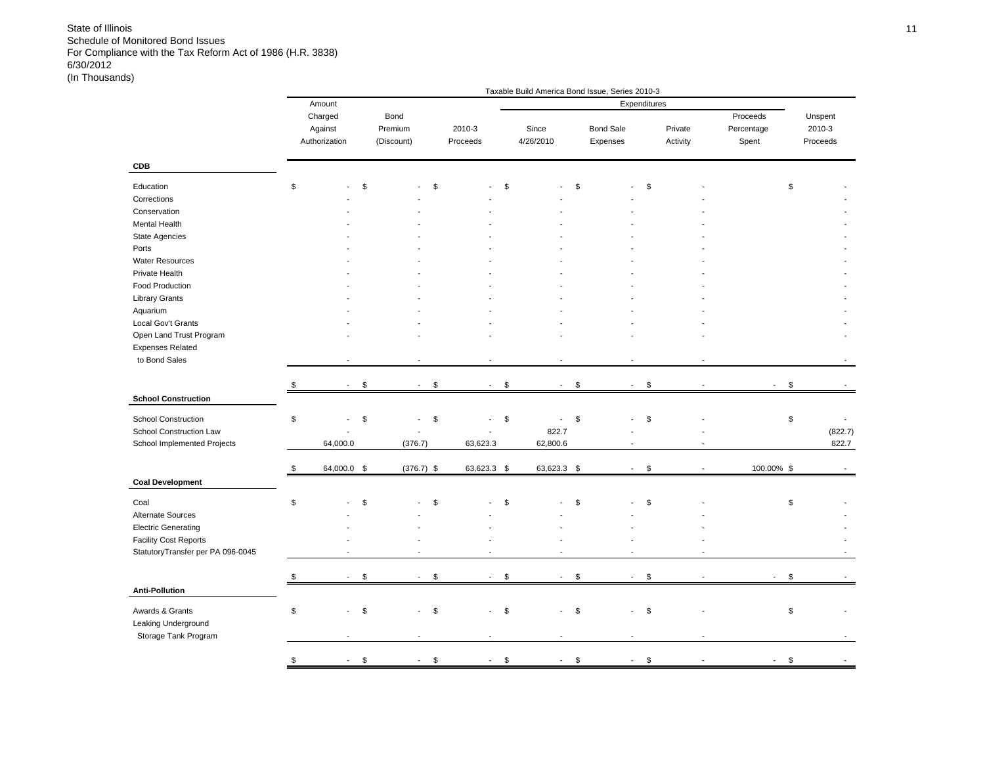|                                                                                                                                                                                                                                                                             |               |                                     |                               |                      |                    | Taxable Build America Bond Issue, Series 2010-3 |                                |                     |                                 |                               |
|-----------------------------------------------------------------------------------------------------------------------------------------------------------------------------------------------------------------------------------------------------------------------------|---------------|-------------------------------------|-------------------------------|----------------------|--------------------|-------------------------------------------------|--------------------------------|---------------------|---------------------------------|-------------------------------|
|                                                                                                                                                                                                                                                                             |               | Amount                              |                               |                      |                    |                                                 | Expenditures                   |                     |                                 |                               |
|                                                                                                                                                                                                                                                                             |               | Charged<br>Against<br>Authorization | Bond<br>Premium<br>(Discount) |                      | 2010-3<br>Proceeds | Since<br>4/26/2010                              | <b>Bond Sale</b><br>Expenses   | Private<br>Activity | Proceeds<br>Percentage<br>Spent | Unspent<br>2010-3<br>Proceeds |
| CDB                                                                                                                                                                                                                                                                         |               |                                     |                               |                      |                    |                                                 |                                |                     |                                 |                               |
| Education<br>Corrections<br>Conservation<br>Mental Health<br><b>State Agencies</b><br>Ports<br><b>Water Resources</b><br>Private Health<br>Food Production<br><b>Library Grants</b><br>Aquarium<br>Local Gov't Grants<br>Open Land Trust Program<br><b>Expenses Related</b> | $\mathfrak s$ |                                     | \$                            | \$                   |                    | \$                                              | \$                             | \$                  |                                 | \$                            |
| to Bond Sales                                                                                                                                                                                                                                                               |               |                                     |                               |                      |                    |                                                 |                                |                     |                                 |                               |
|                                                                                                                                                                                                                                                                             |               |                                     |                               |                      |                    |                                                 |                                |                     |                                 |                               |
|                                                                                                                                                                                                                                                                             | \$            | $\overline{\phantom{a}}$            | $\mathfrak s$                 | \$<br>$\sim$         | $\sim$             | \$<br>$\sim$                                    | \$<br>$\sim$                   | \$                  | $\overline{\phantom{a}}$        | $\mathfrak s$                 |
| <b>School Construction</b>                                                                                                                                                                                                                                                  |               |                                     |                               |                      |                    |                                                 |                                |                     |                                 |                               |
| <b>School Construction</b><br>School Construction Law<br>School Implemented Projects                                                                                                                                                                                        | $\mathfrak s$ | 64,000.0                            | \$                            | \$<br>(376.7)        | ÷,<br>63,623.3     | \$<br>÷,<br>822.7<br>62,800.6                   | \$                             | \$                  |                                 | \$<br>(822.7)<br>822.7        |
|                                                                                                                                                                                                                                                                             | \$            | 64,000.0 \$                         |                               | $(376.7)$ \$         | 63,623.3 \$        | 63,623.3 \$                                     | $\sim$                         | \$                  | 100.00% \$                      |                               |
| <b>Coal Development</b>                                                                                                                                                                                                                                                     |               |                                     |                               |                      |                    |                                                 |                                |                     |                                 |                               |
| Coal<br>Alternate Sources<br><b>Electric Generating</b><br><b>Facility Cost Reports</b><br>StatutoryTransfer per PA 096-0045                                                                                                                                                | \$            |                                     | \$                            | \$                   | $\overline{a}$     | \$<br>$\overline{a}$                            | \$<br>$\overline{\phantom{a}}$ | \$                  |                                 | \$                            |
|                                                                                                                                                                                                                                                                             | \$            |                                     | \$                            | \$<br>$\mathbf{r}$   | $\mathbf{r}$       | \$<br>$\overline{\phantom{a}}$                  | \$<br>$\mathbf{r}$             | \$                  |                                 | \$                            |
| <b>Anti-Pollution</b>                                                                                                                                                                                                                                                       |               |                                     |                               |                      |                    |                                                 |                                |                     |                                 |                               |
| Awards & Grants<br>Leaking Underground<br>Storage Tank Program                                                                                                                                                                                                              | \$            |                                     | \$                            | \$                   | $\blacksquare$     | \$                                              | \$<br>$\overline{\phantom{a}}$ | \$                  |                                 | \$                            |
|                                                                                                                                                                                                                                                                             | \$            | $\blacksquare$                      | \$                            | \$<br>$\blacksquare$ | $\sim$             | \$<br>$\blacksquare$                            | \$<br>$\blacksquare$           | \$                  |                                 | \$                            |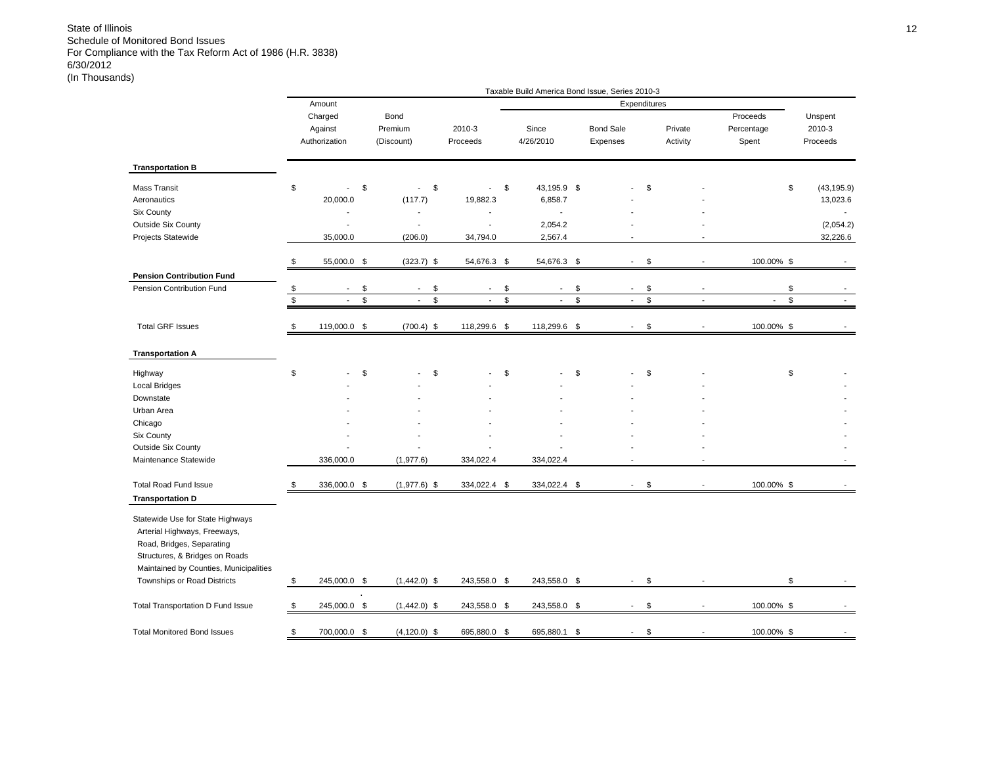|                                                                                                                                                                           |                      |                          |                     |                                |                                            |                   | Taxable Build America Bond Issue, Series 2010-3 |                   |                  |                    |          |                |            |          |                |
|---------------------------------------------------------------------------------------------------------------------------------------------------------------------------|----------------------|--------------------------|---------------------|--------------------------------|--------------------------------------------|-------------------|-------------------------------------------------|-------------------|------------------|--------------------|----------|----------------|------------|----------|----------------|
|                                                                                                                                                                           |                      | Amount                   |                     |                                |                                            |                   |                                                 |                   |                  | Expenditures       |          |                |            |          |                |
|                                                                                                                                                                           |                      | Charged                  |                     | Bond                           |                                            |                   |                                                 |                   |                  |                    |          |                | Proceeds   |          | Unspent        |
|                                                                                                                                                                           |                      | Against                  |                     | Premium                        | 2010-3                                     |                   | Since                                           |                   | <b>Bond Sale</b> |                    | Private  |                | Percentage |          | 2010-3         |
|                                                                                                                                                                           |                      | Authorization            |                     | (Discount)                     | Proceeds                                   |                   | 4/26/2010                                       |                   | Expenses         |                    | Activity |                | Spent      |          | Proceeds       |
|                                                                                                                                                                           |                      |                          |                     |                                |                                            |                   |                                                 |                   |                  |                    |          |                |            |          |                |
| <b>Transportation B</b>                                                                                                                                                   |                      |                          |                     |                                |                                            |                   |                                                 |                   |                  |                    |          |                |            |          |                |
| Mass Transit                                                                                                                                                              | \$                   | $\blacksquare$           | \$                  | \$<br>$\overline{\phantom{a}}$ | $\overline{\phantom{a}}$                   | \$                | 43,195.9 \$                                     |                   |                  | \$                 |          |                |            | \$       | (43, 195.9)    |
| Aeronautics                                                                                                                                                               |                      | 20,000.0                 |                     | (117.7)                        | 19,882.3                                   |                   | 6,858.7                                         |                   |                  |                    |          |                |            |          | 13,023.6       |
| Six County                                                                                                                                                                |                      |                          |                     | $\overline{a}$                 | $\overline{\phantom{a}}$                   |                   | $\blacksquare$                                  |                   |                  |                    |          |                |            |          |                |
| <b>Outside Six County</b>                                                                                                                                                 |                      |                          |                     | $\overline{a}$                 | $\blacksquare$                             |                   | 2,054.2                                         |                   |                  |                    |          |                |            |          | (2,054.2)      |
| Projects Statewide                                                                                                                                                        |                      | 35,000.0                 |                     | (206.0)                        | 34,794.0                                   |                   | 2,567.4                                         |                   |                  |                    |          |                |            |          | 32,226.6       |
|                                                                                                                                                                           |                      |                          |                     |                                |                                            |                   |                                                 |                   |                  |                    |          |                |            |          |                |
|                                                                                                                                                                           | \$                   | 55,000.0 \$              |                     | $(323.7)$ \$                   | 54,676.3 \$                                |                   | 54,676.3 \$                                     |                   | $\sim$           | \$                 |          |                | 100.00% \$ |          | $\blacksquare$ |
| <b>Pension Contribution Fund</b>                                                                                                                                          |                      |                          |                     |                                |                                            |                   |                                                 |                   |                  |                    |          |                |            |          |                |
| Pension Contribution Fund                                                                                                                                                 | \$<br>$$\mathbb{S}$$ | $\overline{\phantom{a}}$ | \$<br>$\mathsf{\$}$ | \$<br>$\sim$<br>$\mathbb{S}$   | $\overline{\phantom{a}}$<br>$\overline{a}$ | \$<br>$\mathbb S$ | $\blacksquare$                                  | \$<br>$\mathbb S$ |                  | \$<br>$\mathbb{S}$ |          | $\mathbf{r}$   |            | \$<br>\$ |                |
|                                                                                                                                                                           |                      |                          |                     |                                |                                            |                   |                                                 |                   |                  |                    |          |                |            |          |                |
| <b>Total GRF Issues</b>                                                                                                                                                   | \$                   | 119,000.0 \$             |                     | $(700.4)$ \$                   | 118,299.6 \$                               |                   | 118,299.6 \$                                    |                   | $\sim$           | \$                 |          | $\blacksquare$ | 100.00% \$ |          |                |
| <b>Transportation A</b>                                                                                                                                                   |                      |                          |                     |                                |                                            |                   |                                                 |                   |                  |                    |          |                |            |          |                |
| Highway                                                                                                                                                                   | \$                   |                          | \$                  | \$                             |                                            | \$                |                                                 | \$                |                  | \$                 |          |                |            | \$       |                |
| <b>Local Bridges</b>                                                                                                                                                      |                      |                          |                     |                                |                                            |                   |                                                 |                   |                  |                    |          |                |            |          |                |
| Downstate                                                                                                                                                                 |                      |                          |                     |                                |                                            |                   |                                                 |                   |                  |                    |          |                |            |          |                |
| Urban Area                                                                                                                                                                |                      |                          |                     |                                |                                            |                   |                                                 |                   |                  |                    |          |                |            |          |                |
| Chicago                                                                                                                                                                   |                      |                          |                     |                                |                                            |                   |                                                 |                   |                  |                    |          |                |            |          |                |
| Six County                                                                                                                                                                |                      |                          |                     |                                |                                            |                   |                                                 |                   |                  |                    |          |                |            |          |                |
| <b>Outside Six County</b>                                                                                                                                                 |                      |                          |                     |                                |                                            |                   |                                                 |                   |                  |                    |          |                |            |          |                |
| Maintenance Statewide                                                                                                                                                     |                      | 336,000.0                |                     | (1,977.6)                      | 334,022.4                                  |                   | 334,022.4                                       |                   |                  |                    |          |                |            |          |                |
|                                                                                                                                                                           |                      |                          |                     |                                |                                            |                   |                                                 |                   |                  |                    |          |                |            |          |                |
| <b>Total Road Fund Issue</b>                                                                                                                                              | \$                   | 336,000.0 \$             |                     | $(1,977.6)$ \$                 | 334,022.4 \$                               |                   | 334,022.4 \$                                    |                   | $\sim$           | \$                 |          |                | 100.00% \$ |          |                |
| <b>Transportation D</b>                                                                                                                                                   |                      |                          |                     |                                |                                            |                   |                                                 |                   |                  |                    |          |                |            |          |                |
| Statewide Use for State Highways<br>Arterial Highways, Freeways,<br>Road, Bridges, Separating<br>Structures, & Bridges on Roads<br>Maintained by Counties, Municipalities |                      |                          |                     |                                |                                            |                   |                                                 |                   |                  |                    |          |                |            |          |                |
| Townships or Road Districts                                                                                                                                               | \$                   | 245,000.0 \$             |                     | $(1,442.0)$ \$                 | 243,558.0 \$                               |                   | 243,558.0 \$                                    |                   | $\sim$           | \$                 |          |                |            | \$       |                |
|                                                                                                                                                                           |                      |                          |                     |                                |                                            |                   |                                                 |                   |                  |                    |          |                |            |          |                |
| <b>Total Transportation D Fund Issue</b>                                                                                                                                  | \$                   | 245,000.0 \$             |                     | $(1,442.0)$ \$                 | 243,558.0 \$                               |                   | 243,558.0 \$                                    |                   | $\sim$           | \$                 |          | $\blacksquare$ | 100.00% \$ |          |                |
| <b>Total Monitored Bond Issues</b>                                                                                                                                        | \$                   | 700,000.0 \$             |                     | $(4, 120.0)$ \$                | 695,880.0 \$                               |                   | 695,880.1 \$                                    |                   |                  | \$                 |          |                | 100.00% \$ |          |                |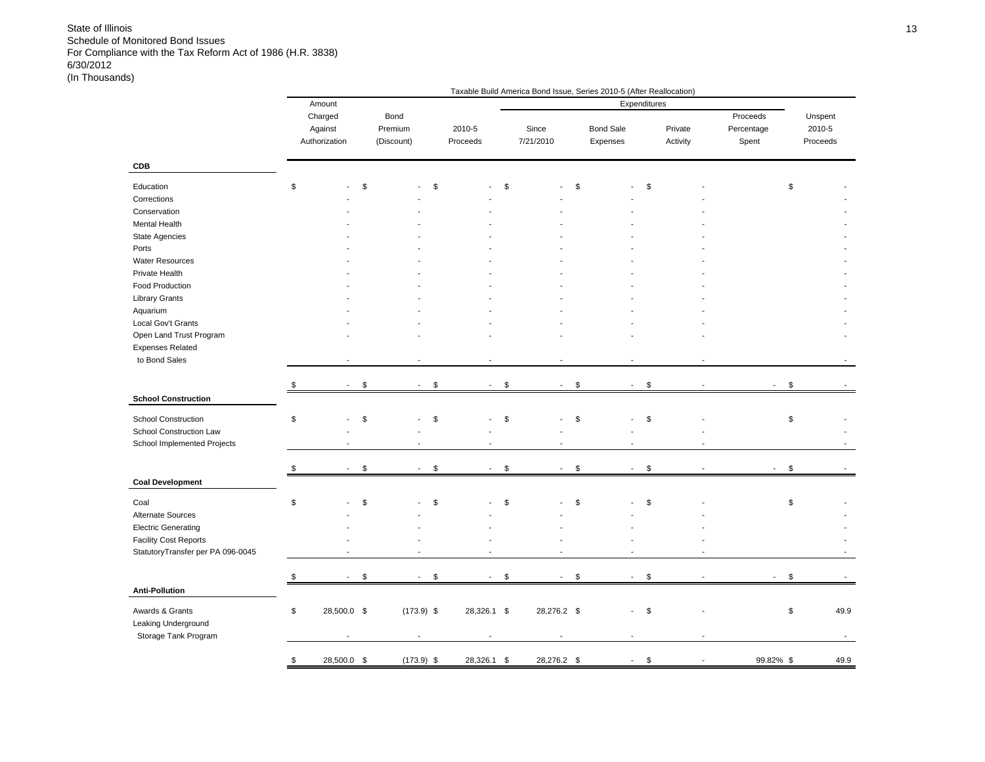|                                                                                                 |                                     |                                      |                    | Taxable Build America Bond Issue, Series 2010-5 (After Reallocation) |                              |              |                     |                                 |                               |
|-------------------------------------------------------------------------------------------------|-------------------------------------|--------------------------------------|--------------------|----------------------------------------------------------------------|------------------------------|--------------|---------------------|---------------------------------|-------------------------------|
|                                                                                                 | Amount                              |                                      |                    |                                                                      |                              | Expenditures |                     |                                 |                               |
|                                                                                                 | Charged<br>Against<br>Authorization | Bond<br>Premium<br>(Discount)        | 2010-5<br>Proceeds | Since<br>7/21/2010                                                   | <b>Bond Sale</b><br>Expenses |              | Private<br>Activity | Proceeds<br>Percentage<br>Spent | Unspent<br>2010-5<br>Proceeds |
| <b>CDB</b>                                                                                      |                                     |                                      |                    |                                                                      |                              |              |                     |                                 |                               |
| Education<br>Corrections<br>Conservation                                                        | \$                                  | \$<br>\$                             |                    | \$                                                                   | \$                           | \$           |                     |                                 | \$                            |
| <b>Mental Health</b><br><b>State Agencies</b><br>Ports                                          |                                     |                                      |                    |                                                                      |                              |              |                     |                                 |                               |
| <b>Water Resources</b><br>Private Health<br><b>Food Production</b>                              |                                     |                                      |                    |                                                                      |                              |              |                     |                                 |                               |
| <b>Library Grants</b><br>Aquarium<br>Local Gov't Grants                                         |                                     |                                      |                    |                                                                      |                              |              |                     |                                 |                               |
| Open Land Trust Program<br><b>Expenses Related</b><br>to Bond Sales                             |                                     |                                      |                    | $\blacksquare$                                                       | $\overline{a}$               |              |                     |                                 |                               |
| <b>School Construction</b>                                                                      | \$<br>$\overline{\phantom{a}}$      | \$<br>\$<br>$\overline{\phantom{a}}$ | $\blacksquare$     | \$<br>$\overline{\phantom{a}}$                                       | \$<br>$\blacksquare$         | \$           |                     |                                 | \$                            |
| <b>School Construction</b><br>School Construction Law<br>School Implemented Projects            | \$<br>$\overline{a}$                | \$<br>\$                             | $\overline{a}$     | \$                                                                   | \$<br>$\overline{a}$         | \$           |                     |                                 | \$                            |
| <b>Coal Development</b>                                                                         | \$<br>$\blacksquare$                | \$<br>\$<br>$\sim$                   | $\sim$             | \$<br>$\blacksquare$                                                 | \$<br>$\blacksquare$         | \$           |                     |                                 | \$                            |
| Coal<br>Alternate Sources                                                                       | \$                                  | \$<br>\$                             |                    | \$                                                                   | \$                           | \$           |                     |                                 | \$                            |
| <b>Electric Generating</b><br><b>Facility Cost Reports</b><br>StatutoryTransfer per PA 096-0045 |                                     |                                      |                    | ÷.                                                                   | $\overline{a}$               |              |                     |                                 |                               |
|                                                                                                 | \$<br>$\sim$                        | \$<br>\$<br>$\sim$                   | $\sim$             | \$<br>$\blacksquare$                                                 | \$<br>$\sim$                 | \$           | $\sim$              | $\overline{\phantom{a}}$        | \$                            |
| <b>Anti-Pollution</b><br>Awards & Grants<br>Leaking Underground                                 | \$<br>28,500.0 \$                   | $(173.9)$ \$                         | 28,326.1 \$        | 28,276.2 \$                                                          | $\blacksquare$               | \$           |                     |                                 | \$<br>49.9                    |
| Storage Tank Program                                                                            | \$<br>28,500.0 \$                   | $(173.9)$ \$                         | 28,326.1 \$        | 28,276.2 \$                                                          | $\blacksquare$               | \$           |                     | 99.82% \$                       | 49.9                          |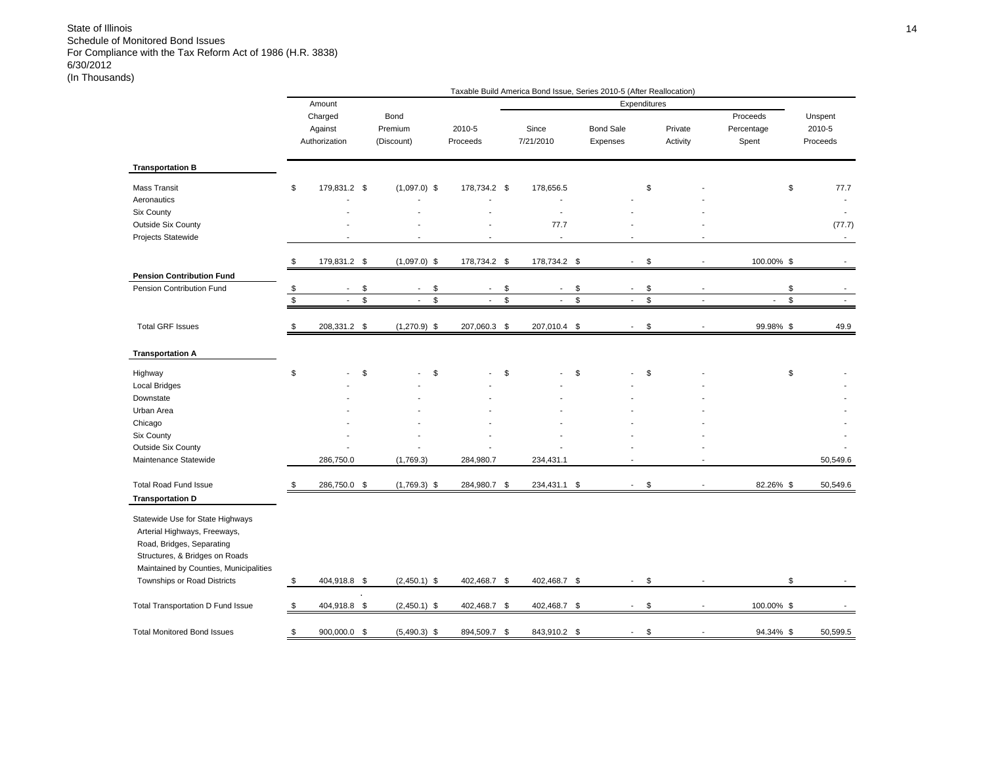|                                                                                                                                                                           |                |                                     |             |                               |                    | Taxable Build America Bond Issue, Series 2010-5 (After Reallocation) |                                |                                |                                 |                |                               |
|---------------------------------------------------------------------------------------------------------------------------------------------------------------------------|----------------|-------------------------------------|-------------|-------------------------------|--------------------|----------------------------------------------------------------------|--------------------------------|--------------------------------|---------------------------------|----------------|-------------------------------|
|                                                                                                                                                                           |                | Amount                              |             |                               |                    |                                                                      | Expenditures                   |                                |                                 |                |                               |
|                                                                                                                                                                           |                | Charged<br>Against<br>Authorization |             | Bond<br>Premium<br>(Discount) | 2010-5<br>Proceeds | Since<br>7/21/2010                                                   | <b>Bond Sale</b><br>Expenses   | Private<br>Activity            | Proceeds<br>Percentage<br>Spent |                | Unspent<br>2010-5<br>Proceeds |
| <b>Transportation B</b>                                                                                                                                                   |                |                                     |             |                               |                    |                                                                      |                                |                                |                                 |                |                               |
| <b>Mass Transit</b>                                                                                                                                                       | \$             | 179,831.2 \$                        |             | $(1,097.0)$ \$                | 178,734.2 \$       | 178,656.5                                                            |                                | \$                             |                                 | \$             | 77.7                          |
| Aeronautics                                                                                                                                                               |                |                                     |             |                               |                    |                                                                      |                                |                                |                                 |                | $\overline{\phantom{a}}$      |
| Six County                                                                                                                                                                |                |                                     |             |                               |                    |                                                                      |                                |                                |                                 |                |                               |
| <b>Outside Six County</b>                                                                                                                                                 |                |                                     |             |                               |                    | 77.7                                                                 |                                |                                |                                 |                | (77.7)                        |
| Projects Statewide                                                                                                                                                        |                |                                     |             |                               |                    | $\overline{\phantom{a}}$                                             |                                |                                |                                 |                | $\overline{\phantom{a}}$      |
|                                                                                                                                                                           | \$             | 179,831.2 \$                        |             | $(1,097.0)$ \$                | 178,734.2 \$       | 178,734.2 \$                                                         | $\blacksquare$                 | \$                             | 100.00% \$                      |                |                               |
| <b>Pension Contribution Fund</b>                                                                                                                                          |                |                                     |             |                               |                    |                                                                      |                                |                                |                                 |                |                               |
| Pension Contribution Fund                                                                                                                                                 | \$             | $\overline{\phantom{a}}$            | \$          | \$<br>$\sim$                  | $\sim$             | \$<br>$\overline{\phantom{a}}$                                       | \$<br>$\overline{\phantom{a}}$ | \$<br>$\overline{\phantom{a}}$ |                                 | \$             | $\overline{\phantom{a}}$      |
|                                                                                                                                                                           | $$\mathbb{S}$$ | $\overline{a}$                      | $\mathbb S$ | \$<br>$\mathbf{r}$            | $\mathcal{L}$      | \$<br>$\overline{a}$                                                 | \$<br>$\overline{a}$           | \$<br>$\overline{a}$           |                                 | $$\mathbb{S}$$ | $\overline{a}$                |
| <b>Total GRF Issues</b>                                                                                                                                                   | \$             | 208,331.2 \$                        |             | $(1,270.9)$ \$                | 207,060.3 \$       | 207,010.4 \$                                                         | ٠                              | \$                             | 99.98% \$                       |                | 49.9                          |
| <b>Transportation A</b>                                                                                                                                                   |                |                                     |             |                               |                    |                                                                      |                                |                                |                                 |                |                               |
| Highway                                                                                                                                                                   | \$             |                                     | \$          | \$                            |                    | \$                                                                   | \$                             | \$                             |                                 | \$             |                               |
| <b>Local Bridges</b>                                                                                                                                                      |                |                                     |             |                               |                    |                                                                      |                                |                                |                                 |                |                               |
| Downstate                                                                                                                                                                 |                |                                     |             |                               |                    |                                                                      |                                |                                |                                 |                |                               |
| Urban Area                                                                                                                                                                |                |                                     |             |                               |                    |                                                                      |                                |                                |                                 |                |                               |
| Chicago                                                                                                                                                                   |                |                                     |             |                               |                    |                                                                      |                                |                                |                                 |                |                               |
| Six County                                                                                                                                                                |                |                                     |             |                               |                    |                                                                      |                                |                                |                                 |                |                               |
| Outside Six County                                                                                                                                                        |                |                                     |             |                               |                    |                                                                      |                                |                                |                                 |                |                               |
| Maintenance Statewide                                                                                                                                                     |                | 286,750.0                           |             | (1,769.3)                     | 284,980.7          | 234,431.1                                                            |                                |                                |                                 |                | 50,549.6                      |
| <b>Total Road Fund Issue</b>                                                                                                                                              | \$             | 286,750.0 \$                        |             | $(1,769.3)$ \$                | 284,980.7 \$       | 234,431.1 \$                                                         | $\blacksquare$                 | \$                             | 82.26% \$                       |                | 50,549.6                      |
| <b>Transportation D</b>                                                                                                                                                   |                |                                     |             |                               |                    |                                                                      |                                |                                |                                 |                |                               |
| Statewide Use for State Highways<br>Arterial Highways, Freeways,<br>Road, Bridges, Separating<br>Structures, & Bridges on Roads<br>Maintained by Counties, Municipalities |                |                                     |             |                               |                    |                                                                      |                                |                                |                                 |                |                               |
| Townships or Road Districts                                                                                                                                               | \$             | 404,918.8 \$                        |             | $(2,450.1)$ \$                | 402,468.7 \$       | 402,468.7 \$                                                         | $\blacksquare$                 | \$                             |                                 | \$             |                               |
| Total Transportation D Fund Issue                                                                                                                                         | \$             | 404,918.8 \$                        |             | $(2,450.1)$ \$                | 402,468.7 \$       | 402,468.7 \$                                                         | $\sim$                         | \$                             | 100.00% \$                      |                |                               |
| <b>Total Monitored Bond Issues</b>                                                                                                                                        | \$             | 900,000.0 \$                        |             | $(5,490.3)$ \$                | 894,509.7 \$       | 843,910.2 \$                                                         | $\overline{\phantom{a}}$       | \$                             | 94.34% \$                       |                | 50,599.5                      |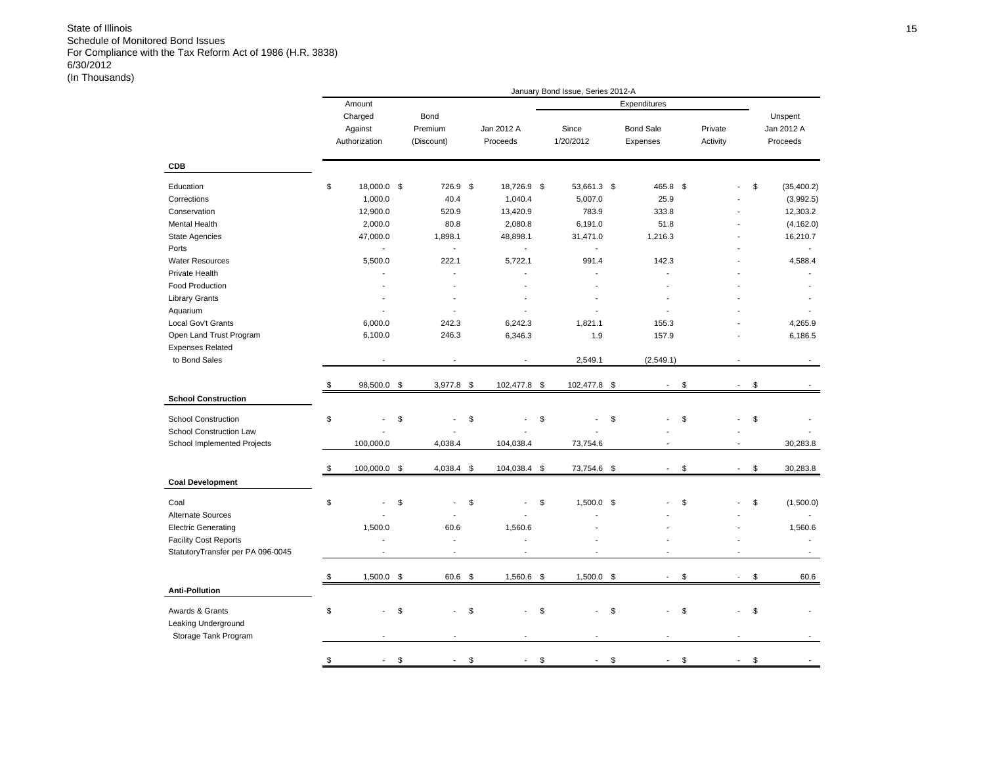|                                   |                          |              |                      | January Bond Issue, Series 2012-A |                      |          |                |                   |
|-----------------------------------|--------------------------|--------------|----------------------|-----------------------------------|----------------------|----------|----------------|-------------------|
|                                   | Amount                   |              |                      |                                   | Expenditures         |          |                |                   |
|                                   | Charged                  | Bond         |                      |                                   |                      |          |                | Unspent           |
|                                   | Against                  | Premium      | Jan 2012 A           | Since                             | <b>Bond Sale</b>     | Private  |                | Jan 2012 A        |
|                                   | Authorization            | (Discount)   | Proceeds             | 1/20/2012                         | Expenses             | Activity |                | Proceeds          |
| <b>CDB</b>                        |                          |              |                      |                                   |                      |          |                |                   |
|                                   |                          |              |                      |                                   |                      |          |                |                   |
| Education                         | \$<br>18,000.0 \$        | 726.9        | \$<br>18,726.9       | \$<br>53,661.3 \$                 | 465.8                | \$       |                | \$<br>(35, 400.2) |
| Corrections                       | 1,000.0                  | 40.4         | 1,040.4              | 5,007.0                           | 25.9                 |          |                | (3,992.5)         |
| Conservation                      | 12,900.0                 | 520.9        | 13,420.9             | 783.9                             | 333.8                |          |                | 12,303.2          |
| Mental Health                     | 2,000.0                  | 80.8         | 2,080.8              | 6,191.0                           | 51.8                 |          |                | (4, 162.0)        |
| State Agencies                    | 47,000.0                 | 1,898.1      | 48,898.1             | 31,471.0                          | 1,216.3              |          |                | 16,210.7          |
| Ports                             | $\overline{\phantom{a}}$ | $\mathbf{r}$ | $\sim$               | $\overline{\phantom{a}}$          |                      |          |                |                   |
| <b>Water Resources</b>            | 5,500.0                  | 222.1        | 5,722.1              | 991.4                             | 142.3                |          |                | 4,588.4           |
| Private Health                    |                          |              |                      |                                   |                      |          |                |                   |
| <b>Food Production</b>            |                          |              |                      |                                   |                      |          |                |                   |
| <b>Library Grants</b>             |                          |              |                      |                                   |                      |          |                |                   |
| Aquarium                          |                          |              |                      |                                   |                      |          |                |                   |
| Local Gov't Grants                | 6,000.0                  | 242.3        | 6,242.3              | 1,821.1                           | 155.3                |          |                | 4,265.9           |
| Open Land Trust Program           | 6,100.0                  | 246.3        | 6,346.3              | 1.9                               | 157.9                |          |                | 6,186.5           |
| <b>Expenses Related</b>           |                          |              |                      |                                   |                      |          |                |                   |
| to Bond Sales                     |                          |              |                      | 2,549.1                           | (2,549.1)            |          |                |                   |
|                                   |                          |              |                      |                                   |                      |          |                |                   |
|                                   | \$<br>98,500.0 \$        | $3,977.8$ \$ | 102,477.8 \$         | 102,477.8                         | \$<br>$\blacksquare$ | \$       | $\blacksquare$ | \$                |
| <b>School Construction</b>        |                          |              |                      |                                   |                      |          |                |                   |
| <b>School Construction</b>        | \$                       | \$           | \$                   | \$                                | \$                   | \$       |                | \$                |
| School Construction Law           |                          |              |                      |                                   |                      |          |                |                   |
| School Implemented Projects       | 100,000.0                | 4,038.4      | 104,038.4            | 73,754.6                          |                      |          |                | 30,283.8          |
|                                   | \$<br>100,000.0 \$       | 4,038.4 \$   | 104,038.4 \$         | 73,754.6 \$                       | $\blacksquare$       | \$       | $\blacksquare$ | \$<br>30,283.8    |
| <b>Coal Development</b>           |                          |              |                      |                                   |                      |          |                |                   |
| Coal                              | \$                       | \$           | \$                   | \$                                |                      | \$       |                | \$                |
| Alternate Sources                 |                          |              |                      | 1,500.0                           | \$                   |          |                | (1,500.0)         |
| <b>Electric Generating</b>        | 1,500.0                  | 60.6         | 1,560.6              |                                   |                      |          |                | 1,560.6           |
| <b>Facility Cost Reports</b>      |                          |              |                      |                                   |                      |          |                |                   |
|                                   |                          |              |                      |                                   |                      |          |                |                   |
| StatutoryTransfer per PA 096-0045 |                          |              |                      |                                   |                      |          |                |                   |
|                                   | \$<br>$1,500.0$ \$       | 60.6 \$      | 1,560.6 \$           | $1,500.0$ \$                      | $\blacksquare$       | \$       | $\sim$         | \$<br>60.6        |
| <b>Anti-Pollution</b>             |                          |              |                      |                                   |                      |          |                |                   |
| Awards & Grants                   | \$                       | \$           | \$<br>$\overline{a}$ | \$                                | \$                   | \$       |                | \$                |
| Leaking Underground               |                          |              |                      |                                   |                      |          |                |                   |
| Storage Tank Program              |                          |              |                      |                                   |                      |          |                |                   |
|                                   |                          |              |                      |                                   |                      |          |                |                   |
|                                   | \$                       | \$           | \$                   | \$                                | \$                   | \$       |                | \$                |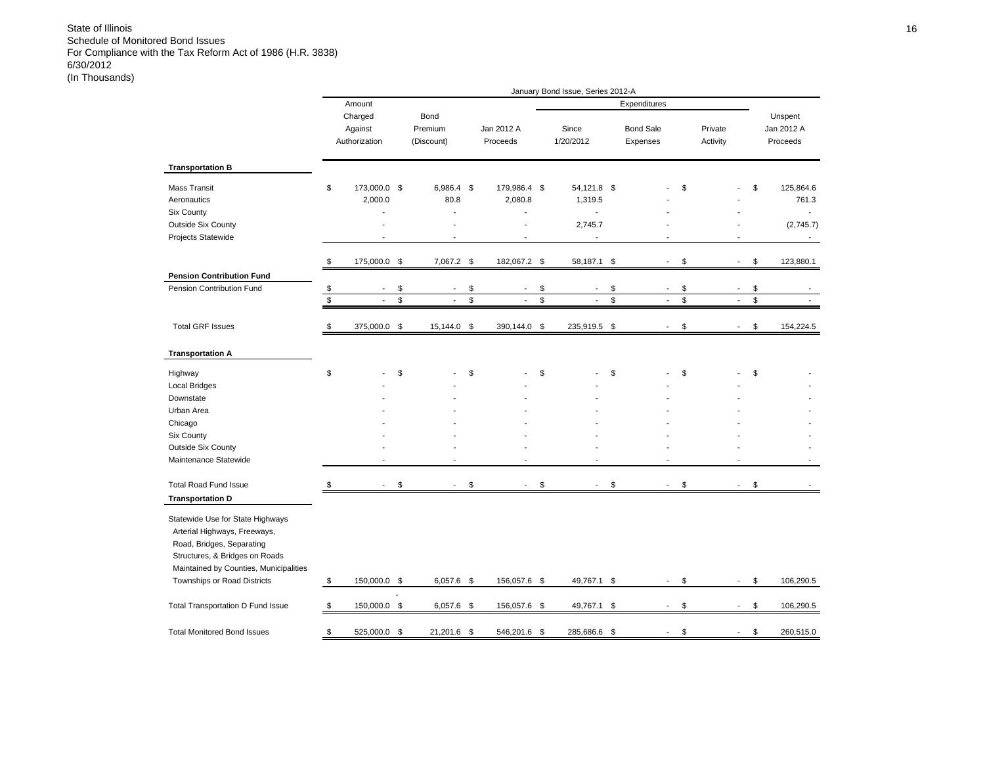|                                                                                                                                                                           |                                  |                                                      |          |                                          |          |                                           |                      | January Bond Issue, Series 2012-A                  |          |                                                      |                    |                     |                                                      |                      |                                   |
|---------------------------------------------------------------------------------------------------------------------------------------------------------------------------|----------------------------------|------------------------------------------------------|----------|------------------------------------------|----------|-------------------------------------------|----------------------|----------------------------------------------------|----------|------------------------------------------------------|--------------------|---------------------|------------------------------------------------------|----------------------|-----------------------------------|
|                                                                                                                                                                           |                                  | Amount                                               |          |                                          |          |                                           |                      |                                                    |          | Expenditures                                         |                    |                     |                                                      |                      |                                   |
|                                                                                                                                                                           |                                  | Charged<br>Against<br>Authorization                  |          | Bond<br>Premium<br>(Discount)            |          | Jan 2012 A<br>Proceeds                    |                      | Since<br>1/20/2012                                 |          | <b>Bond Sale</b><br>Expenses                         |                    | Private<br>Activity |                                                      |                      | Unspent<br>Jan 2012 A<br>Proceeds |
| <b>Transportation B</b>                                                                                                                                                   |                                  |                                                      |          |                                          |          |                                           |                      |                                                    |          |                                                      |                    |                     |                                                      |                      |                                   |
| <b>Mass Transit</b><br>Aeronautics<br><b>Six County</b>                                                                                                                   | \$                               | 173,000.0 \$<br>2,000.0<br>$\overline{a}$            |          | 6,986.4 \$<br>80.8<br>$\blacksquare$     |          | 179,986.4 \$<br>2,080.8<br>$\overline{a}$ |                      | 54,121.8 \$<br>1,319.5<br>$\overline{\phantom{a}}$ |          |                                                      | \$                 |                     |                                                      | \$                   | 125,864.6<br>761.3                |
| <b>Outside Six County</b><br>Projects Statewide                                                                                                                           |                                  |                                                      |          |                                          |          |                                           |                      | 2,745.7<br>÷,                                      |          |                                                      |                    |                     |                                                      |                      | (2,745.7)<br>$\blacksquare$       |
|                                                                                                                                                                           | \$                               | 175,000.0                                            | - \$     | 7,067.2 \$                               |          | 182,067.2 \$                              |                      | 58,187.1                                           | \$       | $\tilde{\phantom{a}}$                                | \$                 |                     | $\blacksquare$                                       | \$                   | 123,880.1                         |
| <b>Pension Contribution Fund</b>                                                                                                                                          |                                  |                                                      |          |                                          |          |                                           |                      |                                                    |          |                                                      |                    |                     |                                                      |                      |                                   |
| Pension Contribution Fund                                                                                                                                                 | $\boldsymbol{\$}$<br>$\mathbb S$ | $\overline{\phantom{a}}$<br>$\overline{\phantom{a}}$ | \$<br>\$ | $\overline{\phantom{a}}$<br>$\mathbf{r}$ | \$<br>\$ | $\overline{\phantom{a}}$<br>$\sim$        | \$<br>$$\mathbb{S}$$ | $\overline{\phantom{a}}$<br>$\sim$                 | \$<br>\$ | $\overline{\phantom{a}}$<br>$\overline{\phantom{a}}$ | \$<br>$\mathbb{S}$ |                     | $\overline{\phantom{a}}$<br>$\overline{\phantom{a}}$ | \$<br>$$\mathbb{S}$$ | $\overline{\phantom{a}}$          |
| <b>Total GRF Issues</b>                                                                                                                                                   | \$                               | 375,000.0                                            | \$       | 15,144.0                                 | \$       | 390,144.0                                 | \$                   | 235,919.5                                          | \$       |                                                      | \$                 |                     | $\overline{a}$                                       | \$                   | 154,224.5                         |
| <b>Transportation A</b>                                                                                                                                                   |                                  |                                                      |          |                                          |          |                                           |                      |                                                    |          |                                                      |                    |                     |                                                      |                      |                                   |
| Highway                                                                                                                                                                   | \$                               |                                                      | \$       |                                          | \$       |                                           | \$                   |                                                    | \$       |                                                      | \$                 |                     |                                                      | \$                   |                                   |
| Local Bridges                                                                                                                                                             |                                  |                                                      |          |                                          |          |                                           |                      |                                                    |          |                                                      |                    |                     |                                                      |                      |                                   |
| Downstate                                                                                                                                                                 |                                  |                                                      |          |                                          |          |                                           |                      |                                                    |          |                                                      |                    |                     |                                                      |                      |                                   |
| Urban Area                                                                                                                                                                |                                  |                                                      |          |                                          |          |                                           |                      |                                                    |          |                                                      |                    |                     |                                                      |                      |                                   |
| Chicago                                                                                                                                                                   |                                  |                                                      |          |                                          |          |                                           |                      |                                                    |          |                                                      |                    |                     |                                                      |                      |                                   |
| Six County                                                                                                                                                                |                                  |                                                      |          |                                          |          |                                           |                      |                                                    |          |                                                      |                    |                     |                                                      |                      |                                   |
| Outside Six County<br>Maintenance Statewide                                                                                                                               |                                  |                                                      |          |                                          |          |                                           |                      |                                                    |          |                                                      |                    |                     |                                                      |                      |                                   |
| <b>Total Road Fund Issue</b>                                                                                                                                              | \$                               | $\mathbf{r}$                                         | \$       | $\overline{\phantom{a}}$                 | \$       | $\mathbf{r}$                              | \$                   | $\overline{\phantom{a}}$                           | \$       | $\mathbf{r}$                                         | \$                 |                     | $\overline{\phantom{a}}$                             | \$                   |                                   |
| <b>Transportation D</b>                                                                                                                                                   |                                  |                                                      |          |                                          |          |                                           |                      |                                                    |          |                                                      |                    |                     |                                                      |                      |                                   |
| Statewide Use for State Highways<br>Arterial Highways, Freeways,<br>Road, Bridges, Separating<br>Structures, & Bridges on Roads<br>Maintained by Counties, Municipalities |                                  |                                                      |          |                                          |          |                                           |                      |                                                    |          |                                                      |                    |                     |                                                      |                      |                                   |
| Townships or Road Districts                                                                                                                                               | \$                               | 150,000.0 \$                                         |          | $6,057.6$ \$                             |          | 156,057.6 \$                              |                      | 49,767.1 \$                                        |          | $\overline{\phantom{a}}$                             | \$                 |                     | $\overline{\phantom{a}}$                             | \$                   | 106,290.5                         |
| Total Transportation D Fund Issue                                                                                                                                         | \$                               | 150,000.0 \$                                         |          | $6,057.6$ \$                             |          | 156,057.6 \$                              |                      | 49,767.1                                           | \$       | ÷.                                                   | \$                 |                     | $\sim$                                               | \$                   | 106,290.5                         |
| <b>Total Monitored Bond Issues</b>                                                                                                                                        | \$                               | 525,000.0 \$                                         |          | 21,201.6 \$                              |          | 546,201.6 \$                              |                      | 285,686.6                                          | \$       |                                                      | \$                 |                     |                                                      | \$                   | 260,515.0                         |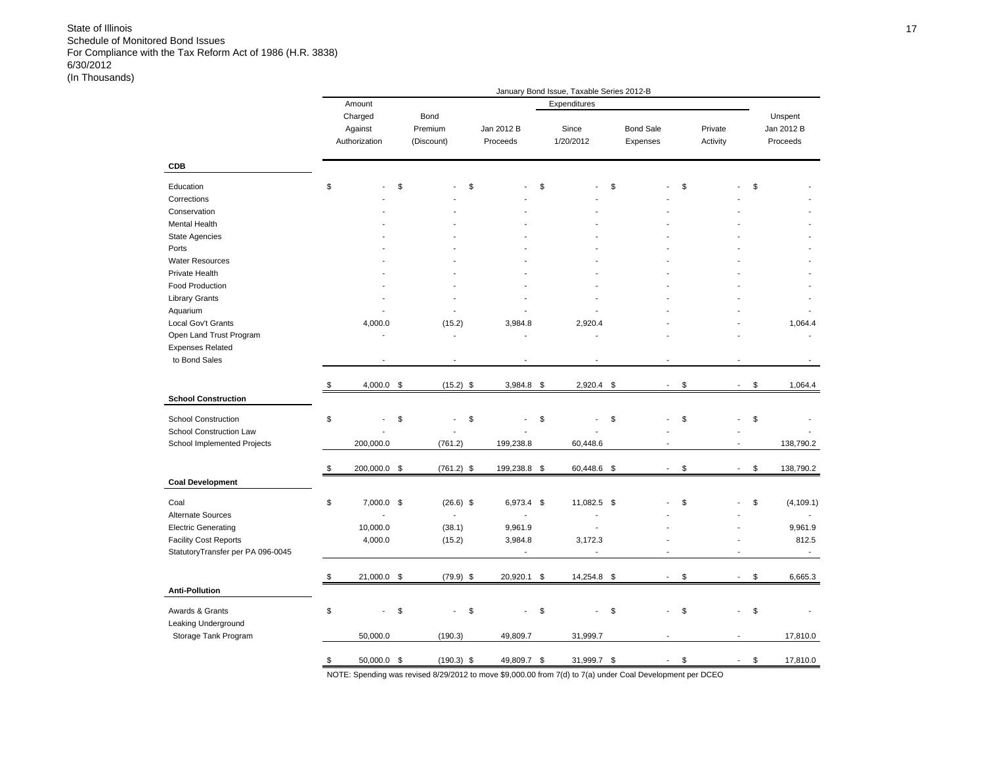|                                                                                                                                                   |                                         |                                                                |                                                    |     | January Bond Issue, Taxable Series 2012-B |                                |                                |                                |                                                  |
|---------------------------------------------------------------------------------------------------------------------------------------------------|-----------------------------------------|----------------------------------------------------------------|----------------------------------------------------|-----|-------------------------------------------|--------------------------------|--------------------------------|--------------------------------|--------------------------------------------------|
|                                                                                                                                                   | Amount                                  |                                                                |                                                    |     | Expenditures                              |                                |                                |                                |                                                  |
|                                                                                                                                                   | Charged<br>Against<br>Authorization     | Bond<br>Premium<br>(Discount)                                  | Jan 2012 B<br>Proceeds                             |     | Since<br>1/20/2012                        | <b>Bond Sale</b><br>Expenses   | Private<br>Activity            |                                | Unspent<br>Jan 2012 B<br>Proceeds                |
| <b>CDB</b>                                                                                                                                        |                                         |                                                                |                                                    |     |                                           |                                |                                |                                |                                                  |
| Education<br>Corrections<br>Conservation<br><b>Mental Health</b><br><b>State Agencies</b><br>Ports<br><b>Water Resources</b><br>Private Health    | \$                                      | \$                                                             | \$                                                 | \$  |                                           | \$                             | \$                             | \$                             |                                                  |
| Food Production<br><b>Library Grants</b><br>Aquarium<br>Local Gov't Grants<br>Open Land Trust Program<br><b>Expenses Related</b><br>to Bond Sales | 4,000.0<br>$\blacksquare$               | (15.2)<br>$\overline{\phantom{a}}$<br>$\overline{\phantom{a}}$ | 3,984.8<br>$\overline{a}$                          |     | 2,920.4                                   |                                |                                |                                | 1,064.4                                          |
| <b>School Construction</b>                                                                                                                        | \$<br>4,000.0                           | \$<br>$(15.2)$ \$                                              | 3,984.8                                            | -\$ | 2,920.4                                   | \$                             | \$<br>L,                       | \$                             | 1,064.4                                          |
| <b>School Construction</b><br>School Construction Law<br>School Implemented Projects                                                              | \$<br>200,000.0                         | \$<br>ä,<br>(761.2)                                            | \$<br>$\overline{a}$<br>199,238.8                  | \$  | 60,448.6                                  | \$                             | \$<br>Ĭ.                       | \$                             | 138,790.2                                        |
| <b>Coal Development</b>                                                                                                                           | \$<br>200,000.0                         | \$<br>$(761.2)$ \$                                             | 199,238.8 \$                                       |     | 60,448.6                                  | \$<br>$\overline{\phantom{a}}$ | \$                             | \$<br>$\overline{\phantom{a}}$ | 138,790.2                                        |
| Coal<br>Alternate Sources<br><b>Electric Generating</b><br><b>Facility Cost Reports</b><br>StatutoryTransfer per PA 096-0045                      | \$<br>7,000.0 \$<br>10,000.0<br>4,000.0 | $(26.6)$ \$<br>(38.1)<br>(15.2)                                | 6,973.4 \$<br>9,961.9<br>3,984.8<br>$\overline{a}$ |     | 11,082.5 \$<br>÷<br>3,172.3               |                                | \$<br>Ĭ.                       | \$                             | (4, 109.1)<br>9,961.9<br>812.5<br>$\overline{a}$ |
| <b>Anti-Pollution</b>                                                                                                                             | \$<br>21,000.0                          | \$<br>$(79.9)$ \$                                              | 20,920.1 \$                                        |     | 14,254.8 \$                               | $\blacksquare$                 | \$                             | \$<br>$\blacksquare$           | 6,665.3                                          |
| Awards & Grants<br>Leaking Underground                                                                                                            | \$                                      | \$                                                             | \$                                                 | \$  |                                           | \$<br>$\overline{\phantom{a}}$ | \$<br>$\overline{\phantom{a}}$ | \$                             |                                                  |
| Storage Tank Program                                                                                                                              | 50,000.0                                | (190.3)                                                        | 49,809.7                                           |     | 31,999.7                                  |                                | $\blacksquare$                 |                                | 17,810.0                                         |
|                                                                                                                                                   | \$<br>50,000.0 \$                       | $(190.3)$ \$                                                   | 49,809.7 \$                                        |     | 31,999.7 \$                               | $\sim$                         | \$<br>$\blacksquare$           | \$                             | 17,810.0                                         |

NOTE: Spending was revised 8/29/2012 to move \$9,000.00 from 7(d) to 7(a) under Coal Development per DCEO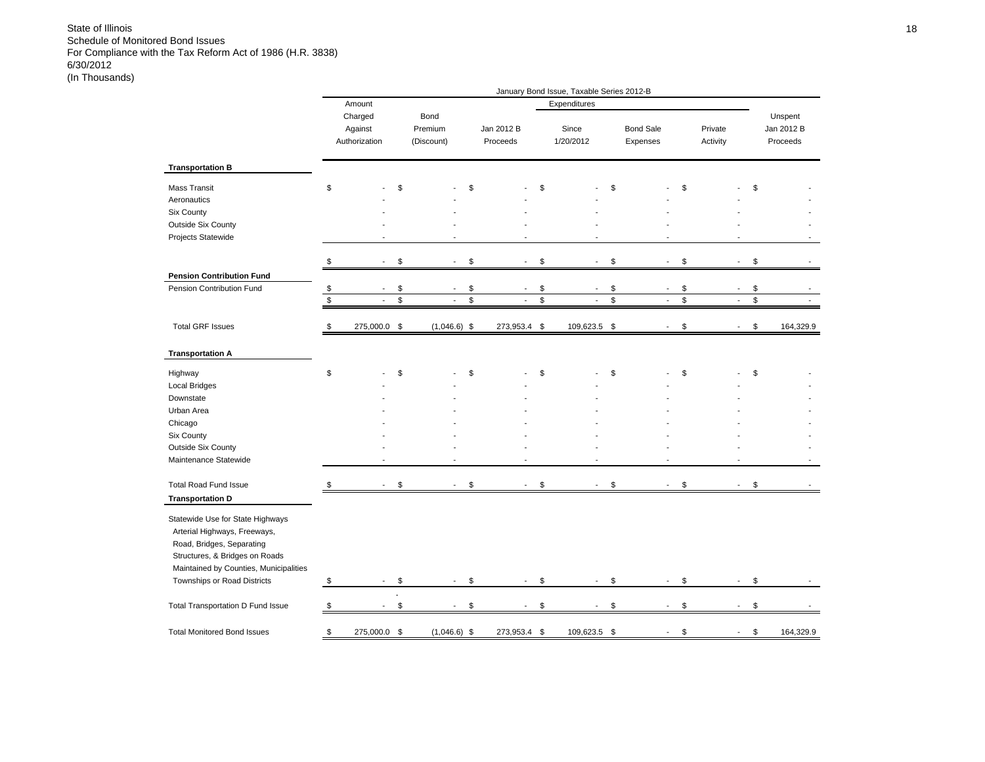|                                                                                                                                                                                                          |               |                                     |                     |                               |               |                          |          | January Bond Issue, Taxable Series 2012-B |                    |                              |              |                     |                          |                                   |
|----------------------------------------------------------------------------------------------------------------------------------------------------------------------------------------------------------|---------------|-------------------------------------|---------------------|-------------------------------|---------------|--------------------------|----------|-------------------------------------------|--------------------|------------------------------|--------------|---------------------|--------------------------|-----------------------------------|
|                                                                                                                                                                                                          |               | Amount                              |                     |                               |               |                          |          | Expenditures                              |                    |                              |              |                     |                          |                                   |
|                                                                                                                                                                                                          |               | Charged<br>Against<br>Authorization |                     | Bond<br>Premium<br>(Discount) |               | Jan 2012 B<br>Proceeds   |          | Since<br>1/20/2012                        |                    | <b>Bond Sale</b><br>Expenses |              | Private<br>Activity |                          | Unspent<br>Jan 2012 B<br>Proceeds |
| <b>Transportation B</b>                                                                                                                                                                                  |               |                                     |                     |                               |               |                          |          |                                           |                    |                              |              |                     |                          |                                   |
| <b>Mass Transit</b><br>Aeronautics<br>Six County<br>Outside Six County<br>Projects Statewide                                                                                                             | \$            |                                     | \$                  |                               | \$            |                          | \$       |                                           | \$                 |                              | \$           |                     |                          | \$                                |
|                                                                                                                                                                                                          | \$            | $\overline{\phantom{a}}$            | \$                  | $\overline{\phantom{a}}$      | \$            | $\overline{\phantom{a}}$ | \$       | $\overline{\phantom{a}}$                  | \$                 | $\mathbf{r}$                 | \$           |                     | $\overline{\phantom{a}}$ | \$                                |
| <b>Pension Contribution Fund</b>                                                                                                                                                                         |               |                                     |                     |                               |               |                          |          |                                           |                    |                              |              |                     |                          |                                   |
| Pension Contribution Fund                                                                                                                                                                                | $\frac{3}{3}$ | $\overline{a}$                      | \$<br>${\mathbb S}$ | $\overline{a}$                | \$            |                          | \$<br>\$ | $\overline{\phantom{a}}$                  | \$<br>$\mathbb{S}$ | $\overline{\phantom{a}}$     | \$           |                     | $\overline{\phantom{a}}$ | \$                                |
|                                                                                                                                                                                                          |               |                                     |                     |                               | $\mathsf{\$}$ | $\mathbf{r}$             |          | $\overline{\phantom{a}}$                  |                    | $\blacksquare$               | $\mathbb{S}$ |                     | $\overline{\phantom{a}}$ | \$                                |
| <b>Total GRF Issues</b>                                                                                                                                                                                  | \$            | 275,000.0 \$                        |                     | $(1,046.6)$ \$                |               | 273,953.4 \$             |          | 109,623.5 \$                              |                    | $\overline{\phantom{a}}$     | \$           |                     | $\blacksquare$           | \$<br>164,329.9                   |
| <b>Transportation A</b>                                                                                                                                                                                  |               |                                     |                     |                               |               |                          |          |                                           |                    |                              |              |                     |                          |                                   |
| Highway                                                                                                                                                                                                  | \$            |                                     | \$                  |                               | \$            |                          | \$       |                                           | \$                 |                              | \$           |                     |                          | \$                                |
| <b>Local Bridges</b>                                                                                                                                                                                     |               |                                     |                     |                               |               |                          |          |                                           |                    |                              |              |                     |                          |                                   |
| Downstate                                                                                                                                                                                                |               |                                     |                     |                               |               |                          |          |                                           |                    |                              |              |                     |                          |                                   |
| Urban Area                                                                                                                                                                                               |               |                                     |                     |                               |               |                          |          |                                           |                    |                              |              |                     |                          |                                   |
| Chicago                                                                                                                                                                                                  |               |                                     |                     |                               |               |                          |          |                                           |                    |                              |              |                     |                          |                                   |
| Six County                                                                                                                                                                                               |               |                                     |                     |                               |               |                          |          |                                           |                    |                              |              |                     |                          |                                   |
| <b>Outside Six County</b>                                                                                                                                                                                |               |                                     |                     |                               |               |                          |          |                                           |                    |                              |              |                     |                          |                                   |
| Maintenance Statewide                                                                                                                                                                                    |               |                                     |                     |                               |               |                          |          |                                           |                    |                              |              |                     |                          |                                   |
| <b>Total Road Fund Issue</b>                                                                                                                                                                             | \$            | $\overline{\phantom{a}}$            | \$                  | $\mathbf{r}$                  | \$            | $\mathbf{r}$             | \$       | $\overline{\phantom{a}}$                  | \$                 | $\overline{\phantom{a}}$     | \$           |                     | $\overline{\phantom{a}}$ | \$                                |
| <b>Transportation D</b>                                                                                                                                                                                  |               |                                     |                     |                               |               |                          |          |                                           |                    |                              |              |                     |                          |                                   |
| Statewide Use for State Highways<br>Arterial Highways, Freeways,<br>Road, Bridges, Separating<br>Structures, & Bridges on Roads<br>Maintained by Counties, Municipalities<br>Townships or Road Districts | \$            | $\overline{\phantom{a}}$            | \$                  | $\blacksquare$                | \$            | $\overline{\phantom{a}}$ | \$       | $\overline{\phantom{a}}$                  | \$                 | $\overline{\phantom{a}}$     | \$           |                     | $\overline{\phantom{a}}$ | \$                                |
| Total Transportation D Fund Issue                                                                                                                                                                        | \$            |                                     | \$                  | $\mathbf{r}$                  | \$            | $\overline{\phantom{a}}$ | \$       | $\overline{\phantom{a}}$                  | \$                 | $\mathbf{r}$                 | \$           |                     | $\overline{\phantom{a}}$ | \$                                |
|                                                                                                                                                                                                          |               |                                     |                     |                               |               |                          |          |                                           |                    |                              |              |                     |                          |                                   |
| <b>Total Monitored Bond Issues</b>                                                                                                                                                                       | \$            | 275,000.0 \$                        |                     | $(1,046.6)$ \$                |               | 273,953.4                | \$       | 109,623.5                                 | \$                 |                              | \$           |                     |                          | \$<br>164,329.9                   |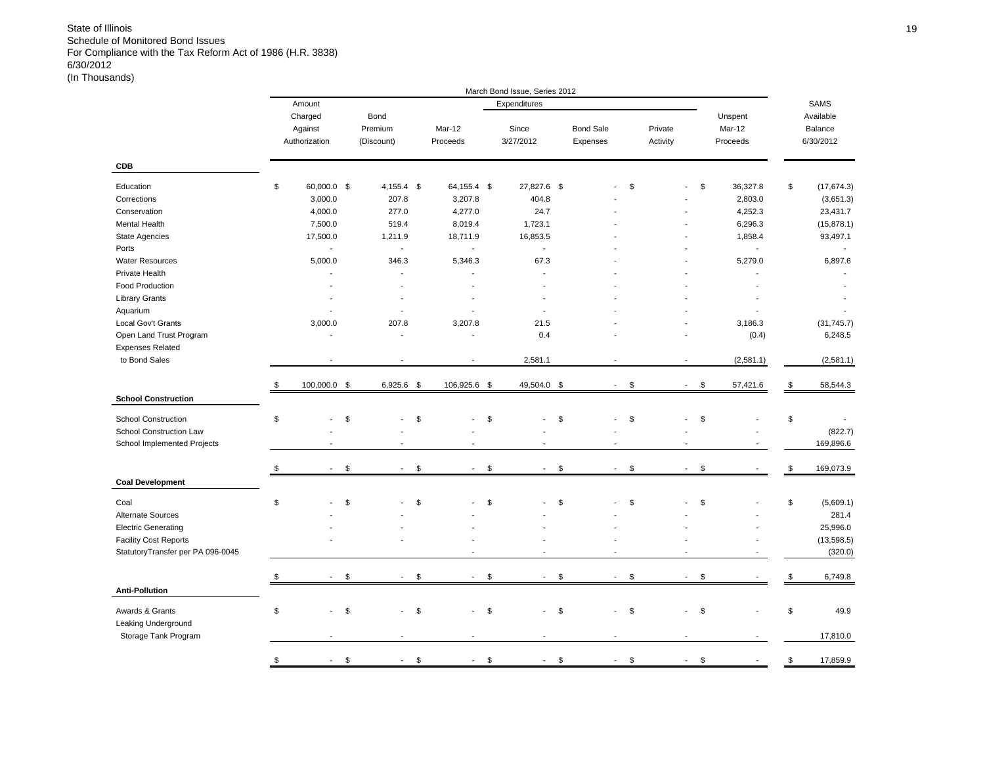|                                   |                                      |                             |               |              | March Bond Issue, Series 2012 |                      |          |                          |                          |                   |
|-----------------------------------|--------------------------------------|-----------------------------|---------------|--------------|-------------------------------|----------------------|----------|--------------------------|--------------------------|-------------------|
|                                   | Amount                               |                             |               |              | Expenditures                  |                      |          |                          |                          | <b>SAMS</b>       |
|                                   | Charged                              | Bond                        |               |              |                               |                      |          |                          | Unspent                  | Available         |
|                                   | Against                              | Premium                     | Mar-12        |              | Since                         | <b>Bond Sale</b>     | Private  |                          | Mar-12                   | Balance           |
|                                   | Authorization                        | (Discount)                  | Proceeds      |              | 3/27/2012                     | Expenses             | Activity |                          | Proceeds                 | 6/30/2012         |
| <b>CDB</b>                        |                                      |                             |               |              |                               |                      |          |                          |                          |                   |
| Education                         | \$<br>60,000.0 \$                    | $4,155.4$ \$                | 64,155.4 \$   |              | 27,827.6 \$                   |                      | \$       |                          | \$<br>36,327.8           | \$<br>(17, 674.3) |
| Corrections                       | 3,000.0                              | 207.8                       | 3,207.8       |              | 404.8                         |                      |          |                          | 2,803.0                  | (3,651.3)         |
| Conservation                      | 4,000.0                              | 277.0                       | 4,277.0       |              | 24.7                          |                      |          |                          | 4,252.3                  | 23,431.7          |
| Mental Health                     | 7,500.0                              | 519.4                       | 8,019.4       |              | 1,723.1                       |                      |          |                          | 6,296.3                  | (15, 878.1)       |
| <b>State Agencies</b>             | 17,500.0                             | 1,211.9                     | 18,711.9      |              | 16,853.5                      |                      |          |                          | 1,858.4                  | 93,497.1          |
| Ports                             | $\mathbb{L}$                         | $\mathcal{L}_{\mathcal{A}}$ | $\mathcal{L}$ |              | $\overline{a}$                |                      |          |                          | $\overline{\phantom{a}}$ |                   |
| <b>Water Resources</b>            | 5,000.0                              | 346.3                       | 5,346.3       |              | 67.3                          |                      |          |                          | 5,279.0                  | 6,897.6           |
| Private Health                    |                                      |                             |               |              |                               |                      |          |                          |                          |                   |
| Food Production                   |                                      | $\overline{a}$              |               |              | $\overline{a}$                |                      |          |                          |                          |                   |
| Library Grants                    |                                      |                             |               |              |                               |                      |          |                          |                          |                   |
| Aquarium                          | $\blacksquare$                       | $\overline{a}$              |               |              | ÷,                            |                      |          |                          |                          |                   |
| Local Gov't Grants                | 3,000.0                              | 207.8                       | 3,207.8       |              | 21.5                          |                      |          |                          | 3,186.3                  | (31, 745.7)       |
| Open Land Trust Program           |                                      | Ĭ.                          |               |              | 0.4                           |                      |          |                          | (0.4)                    | 6,248.5           |
| <b>Expenses Related</b>           |                                      |                             |               |              |                               |                      |          |                          |                          |                   |
| to Bond Sales                     |                                      | ÷.                          |               |              | 2,581.1                       |                      |          | J.                       | (2,581.1)                | (2,581.1)         |
|                                   |                                      |                             |               |              |                               |                      |          |                          |                          |                   |
|                                   | \$<br>100,000.0 \$                   | $6,925.6$ \$                | 106,925.6 \$  |              | 49,504.0 \$                   | $\blacksquare$       | \$       | $\sim$                   | \$<br>57,421.6           | \$<br>58,544.3    |
| <b>School Construction</b>        |                                      |                             |               |              |                               |                      |          |                          |                          |                   |
| <b>School Construction</b>        | \$<br>\$                             |                             | \$            | \$           |                               | \$                   | \$       |                          | \$                       | \$                |
| School Construction Law           |                                      |                             |               |              |                               |                      |          |                          |                          | (822.7)           |
| School Implemented Projects       |                                      |                             |               |              |                               |                      |          |                          |                          | 169,896.6         |
|                                   |                                      |                             |               |              |                               |                      |          |                          |                          |                   |
|                                   | \$<br>\$                             | $\overline{a}$              | \$            | \$           | $\overline{a}$                | \$                   | \$       | ÷.                       | \$                       | \$<br>169,073.9   |
| <b>Coal Development</b>           |                                      |                             |               |              |                               |                      |          |                          |                          |                   |
| Coal                              | \$<br>\$                             |                             | \$            | \$           |                               | \$                   | \$       |                          | \$                       | \$<br>(5,609.1)   |
| <b>Alternate Sources</b>          |                                      |                             |               |              |                               |                      |          |                          |                          | 281.4             |
| <b>Electric Generating</b>        |                                      |                             |               |              |                               |                      |          |                          |                          | 25,996.0          |
| <b>Facility Cost Reports</b>      |                                      |                             |               |              |                               |                      |          |                          |                          | (13, 598.5)       |
| StatutoryTransfer per PA 096-0045 |                                      |                             |               |              |                               |                      |          |                          |                          | (320.0)           |
|                                   |                                      |                             |               |              |                               |                      |          |                          |                          |                   |
|                                   | \$<br>\$                             | $\overline{a}$              | \$            | \$           | $\blacksquare$                | \$<br>$\blacksquare$ | \$       | $\overline{\phantom{a}}$ | \$                       | \$<br>6,749.8     |
| <b>Anti-Pollution</b>             |                                      |                             |               |              |                               |                      |          |                          |                          |                   |
| Awards & Grants                   | \$<br>\$                             | $\overline{a}$              | \$            | \$           | $\overline{a}$                | \$                   | \$       | ÷.                       | \$                       | \$<br>49.9        |
| Leaking Underground               |                                      |                             |               |              |                               |                      |          |                          |                          |                   |
| Storage Tank Program              |                                      |                             |               |              |                               |                      |          |                          |                          | 17,810.0          |
|                                   | \$<br>\$<br>$\overline{\phantom{a}}$ | $\sim$                      | \$            | \$<br>$\sim$ | $\blacksquare$                | \$<br>$\sim$         | \$       | $\blacksquare$           | \$                       | \$<br>17,859.9    |
|                                   |                                      |                             |               |              |                               |                      |          |                          |                          |                   |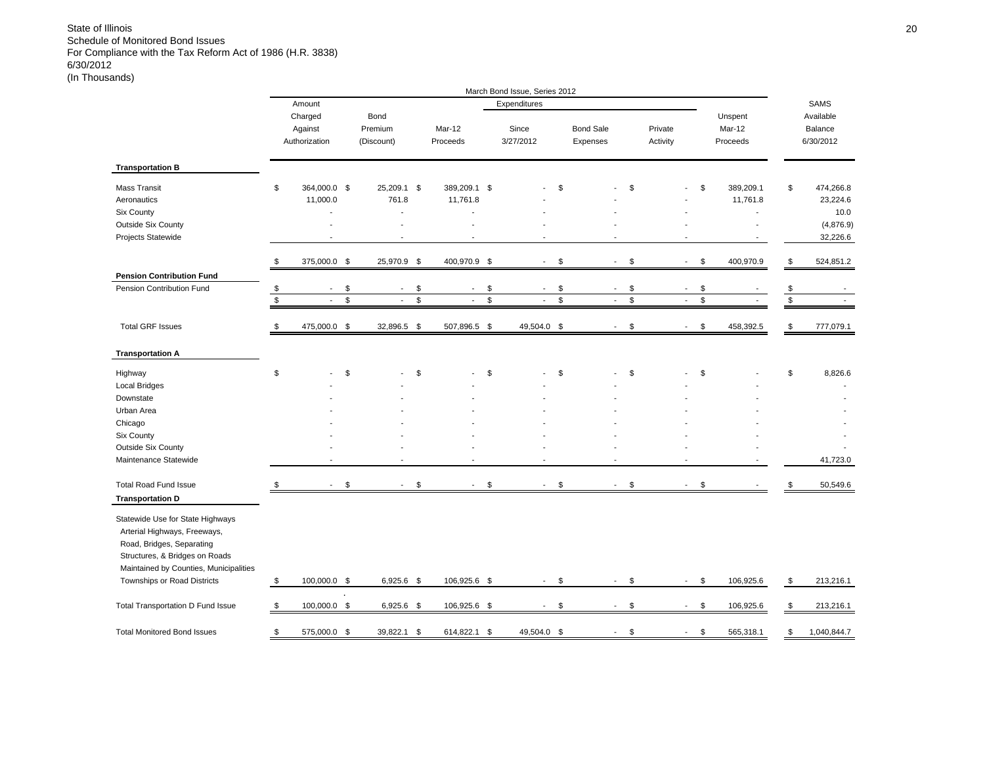|                                                                                                                                                                           |                         |                                     |              |                               |               |                          |                           | March Bond Issue, Series 2012 |               |                              |               |                          |               |                                      |               |                                   |
|---------------------------------------------------------------------------------------------------------------------------------------------------------------------------|-------------------------|-------------------------------------|--------------|-------------------------------|---------------|--------------------------|---------------------------|-------------------------------|---------------|------------------------------|---------------|--------------------------|---------------|--------------------------------------|---------------|-----------------------------------|
|                                                                                                                                                                           |                         | Amount                              |              |                               |               |                          |                           | Expenditures                  |               |                              |               |                          |               |                                      |               | <b>SAMS</b>                       |
|                                                                                                                                                                           |                         | Charged<br>Against<br>Authorization |              | Bond<br>Premium<br>(Discount) |               | Mar-12<br>Proceeds       |                           | Since<br>3/27/2012            |               | <b>Bond Sale</b><br>Expenses |               | Private<br>Activity      |               | Unspent<br><b>Mar-12</b><br>Proceeds |               | Available<br>Balance<br>6/30/2012 |
| <b>Transportation B</b>                                                                                                                                                   |                         |                                     |              |                               |               |                          |                           |                               |               |                              |               |                          |               |                                      |               |                                   |
| <b>Mass Transit</b>                                                                                                                                                       | \$                      | 364,000.0 \$                        |              | 25,209.1 \$                   |               | 389,209.1 \$             |                           |                               | \$            |                              | \$            |                          | \$            | 389,209.1                            | \$            | 474,266.8                         |
| Aeronautics                                                                                                                                                               |                         | 11,000.0                            |              | 761.8                         |               | 11,761.8                 |                           |                               |               |                              |               |                          |               | 11,761.8                             |               | 23,224.6                          |
| Six County                                                                                                                                                                |                         | ÷,                                  |              | $\overline{\phantom{a}}$      |               | ÷,                       |                           |                               |               |                              |               |                          |               | $\overline{a}$                       |               | 10.0                              |
| Outside Six County                                                                                                                                                        |                         |                                     |              |                               |               |                          |                           |                               |               |                              |               |                          |               | $\overline{a}$                       |               | (4,876.9)                         |
| Projects Statewide                                                                                                                                                        |                         |                                     |              |                               |               |                          |                           |                               |               |                              |               |                          |               |                                      |               | 32,226.6                          |
|                                                                                                                                                                           | \$                      | 375,000.0 \$                        |              | 25,970.9 \$                   |               | 400,970.9 \$             |                           | $\overline{\phantom{a}}$      | \$            | $\overline{\phantom{a}}$     | \$            | $\blacksquare$           | \$            | 400,970.9                            | \$            | 524,851.2                         |
| <b>Pension Contribution Fund</b>                                                                                                                                          |                         |                                     |              |                               |               |                          |                           |                               |               |                              |               |                          |               |                                      |               |                                   |
| Pension Contribution Fund                                                                                                                                                 | $\sqrt[6]{\frac{2}{5}}$ | $\sim$                              | \$           | $\mathbf{r}$                  | \$            | $\overline{\phantom{a}}$ | \$                        | $\overline{\phantom{a}}$      | \$            | $\overline{\phantom{a}}$     | \$            | $\sim$                   | \$            |                                      | $\frac{3}{3}$ |                                   |
|                                                                                                                                                                           | $\sqrt{2}$              | $\overline{\phantom{a}}$            | $\mathbb{S}$ | $\blacksquare$                | $\mathbb S$   | $\blacksquare$           | ${\mathbb S}$             | $\overline{\phantom{a}}$      | $\mathsf{\$}$ | $\blacksquare$               | \$            | $\blacksquare$           | ${\mathbb S}$ |                                      |               |                                   |
| <b>Total GRF Issues</b>                                                                                                                                                   | \$                      | 475,000.0 \$                        |              | 32,896.5 \$                   |               | 507,896.5 \$             |                           | 49,504.0 \$                   |               | $\mathbf{r}$                 | \$            | $\overline{\phantom{a}}$ | \$            | 458,392.5                            | \$            | 777,079.1                         |
| <b>Transportation A</b>                                                                                                                                                   |                         |                                     |              |                               |               |                          |                           |                               |               |                              |               |                          |               |                                      |               |                                   |
| Highway                                                                                                                                                                   | \$                      |                                     | \$           |                               | \$            |                          | \$                        |                               | \$            |                              | \$            |                          | \$            |                                      | \$            | 8,826.6                           |
| <b>Local Bridges</b>                                                                                                                                                      |                         |                                     |              |                               |               |                          |                           |                               |               |                              |               |                          |               |                                      |               |                                   |
| Downstate                                                                                                                                                                 |                         |                                     |              |                               |               |                          |                           |                               |               |                              |               |                          |               |                                      |               |                                   |
| Urban Area                                                                                                                                                                |                         |                                     |              |                               |               |                          |                           |                               |               |                              |               |                          |               |                                      |               |                                   |
| Chicago                                                                                                                                                                   |                         |                                     |              |                               |               |                          |                           |                               |               |                              |               |                          |               |                                      |               |                                   |
| Six County                                                                                                                                                                |                         |                                     |              |                               |               |                          |                           |                               |               |                              |               |                          |               |                                      |               |                                   |
| <b>Outside Six County</b>                                                                                                                                                 |                         |                                     |              |                               |               |                          |                           |                               |               |                              |               |                          |               |                                      |               |                                   |
| Maintenance Statewide                                                                                                                                                     |                         | $\overline{a}$                      |              |                               |               |                          |                           |                               |               |                              |               |                          |               |                                      |               | 41,723.0                          |
| <b>Total Road Fund Issue</b>                                                                                                                                              | \$                      | $\mathbb{L}^{\mathbb{N}}$           | \$           | $\blacksquare$                | $\mathfrak s$ | $\sim$                   | $\boldsymbol{\mathsf{S}}$ | $\blacksquare$                | $\mathbb{S}$  | $\sim$                       | $\mathfrak s$ | $\sim$                   | $\mathfrak s$ |                                      | \$            | 50,549.6                          |
| <b>Transportation D</b>                                                                                                                                                   |                         |                                     |              |                               |               |                          |                           |                               |               |                              |               |                          |               |                                      |               |                                   |
| Statewide Use for State Highways<br>Arterial Highways, Freeways,<br>Road, Bridges, Separating<br>Structures, & Bridges on Roads<br>Maintained by Counties, Municipalities |                         |                                     |              |                               |               |                          |                           |                               |               |                              |               |                          |               |                                      |               |                                   |
| Townships or Road Districts                                                                                                                                               | \$                      | 100,000.0 \$                        |              | $6,925.6$ \$                  |               | 106,925.6 \$             |                           | $\blacksquare$                | \$            | $\sim$                       | \$            | $\sim$                   | \$            | 106,925.6                            | \$            | 213,216.1                         |
| Total Transportation D Fund Issue                                                                                                                                         | \$                      | 100,000.0 \$                        |              | $6,925.6$ \$                  |               | 106,925.6 \$             |                           | $\mathbf{r}$                  | \$            | $\overline{a}$               | \$            | $\sim$                   | \$            | 106,925.6                            | \$            | 213,216.1                         |
| <b>Total Monitored Bond Issues</b>                                                                                                                                        | \$                      | 575,000.0 \$                        |              | 39,822.1                      | \$            | 614,822.1 \$             |                           | 49,504.0                      | \$            |                              | \$            |                          | \$            | 565,318.1                            | \$            | 1,040,844.7                       |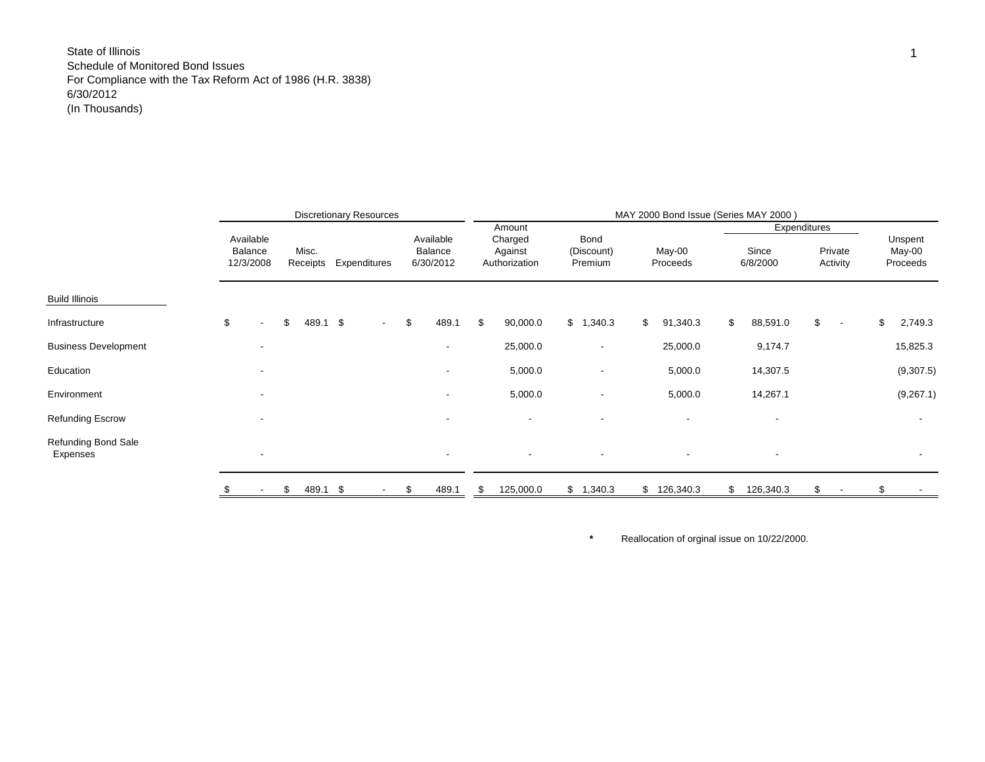|                                 |                                   |                   | <b>Discretionary Resources</b> |                                   |                                               |                               | MAY 2000 Bond Issue (Series MAY 2000) |                                   |                                |                               |
|---------------------------------|-----------------------------------|-------------------|--------------------------------|-----------------------------------|-----------------------------------------------|-------------------------------|---------------------------------------|-----------------------------------|--------------------------------|-------------------------------|
|                                 | Available<br>Balance<br>12/3/2008 | Misc.<br>Receipts | Expenditures                   | Available<br>Balance<br>6/30/2012 | Amount<br>Charged<br>Against<br>Authorization | Bond<br>(Discount)<br>Premium | May-00<br>Proceeds                    | Expenditures<br>Since<br>6/8/2000 | Private<br>Activity            | Unspent<br>May-00<br>Proceeds |
| <b>Build Illinois</b>           |                                   |                   |                                |                                   |                                               |                               |                                       |                                   |                                |                               |
| Infrastructure                  | \$<br>$\overline{\phantom{a}}$    | \$<br>489.1 \$    | $\sim$                         | \$<br>489.1                       | \$<br>90,000.0                                | \$1,340.3                     | \$<br>91,340.3                        | \$<br>88,591.0                    | \$<br>$\overline{\phantom{a}}$ | \$<br>2,749.3                 |
| <b>Business Development</b>     |                                   |                   |                                | $\overline{\phantom{a}}$          | 25,000.0                                      | $\overline{\phantom{a}}$      | 25,000.0                              | 9,174.7                           |                                | 15,825.3                      |
| Education                       |                                   |                   |                                | ۰                                 | 5,000.0                                       | $\overline{\phantom{a}}$      | 5,000.0                               | 14,307.5                          |                                | (9,307.5)                     |
| Environment                     |                                   |                   |                                | $\overline{\phantom{a}}$          | 5,000.0                                       | $\overline{\phantom{a}}$      | 5,000.0                               | 14,267.1                          |                                | (9,267.1)                     |
| <b>Refunding Escrow</b>         |                                   |                   |                                | ۰                                 |                                               | $\overline{\phantom{a}}$      | $\sim$                                |                                   |                                | $\overline{\phantom{a}}$      |
| Refunding Bond Sale<br>Expenses |                                   |                   |                                | $\overline{\phantom{a}}$          | $\overline{\phantom{a}}$                      | $\overline{\phantom{a}}$      | $\overline{\phantom{a}}$              | $\overline{\phantom{a}}$          |                                | $\sim$                        |
|                                 |                                   | \$<br>489.1 \$    | $\overline{\phantom{a}}$       | \$<br>489.1                       | \$<br>125,000.0                               | \$1,340.3                     | \$126,340.3                           | \$<br>126,340.3                   | \$                             | \$                            |

Reallocation of orginal issue on 10/22/2000.

**\***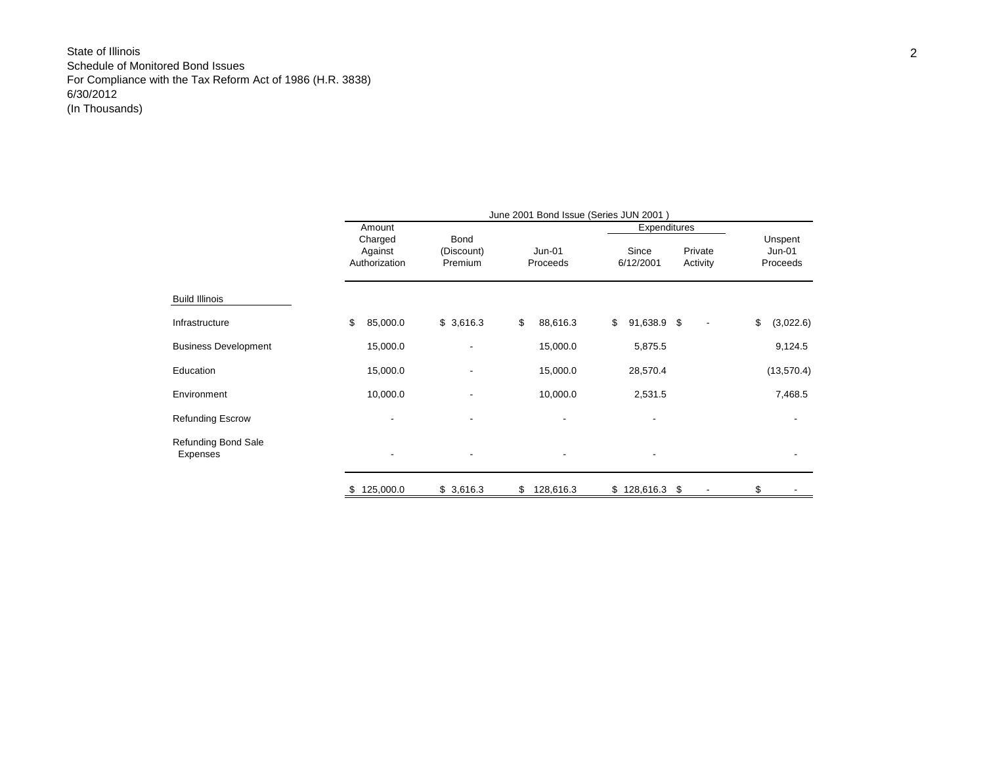|                                        |                                     |                                      | June 2001 Bond Issue (Series JUN 2001) |                                           |                               |
|----------------------------------------|-------------------------------------|--------------------------------------|----------------------------------------|-------------------------------------------|-------------------------------|
|                                        | Amount                              |                                      |                                        | <b>Expenditures</b>                       |                               |
|                                        | Charged<br>Against<br>Authorization | <b>Bond</b><br>(Discount)<br>Premium | Jun-01<br>Proceeds                     | Since<br>Private<br>Activity<br>6/12/2001 | Unspent<br>Jun-01<br>Proceeds |
| <b>Build Illinois</b>                  |                                     |                                      |                                        |                                           |                               |
| Infrastructure                         | \$<br>85,000.0                      | \$3,616.3                            | \$<br>88,616.3                         | \$<br>91,638.9 \$<br>$\overline{a}$       | \$<br>(3,022.6)               |
| <b>Business Development</b>            | 15,000.0                            | ٠                                    | 15,000.0                               | 5,875.5                                   | 9,124.5                       |
| Education                              | 15,000.0                            | $\overline{a}$                       | 15,000.0                               | 28,570.4                                  | (13, 570.4)                   |
| Environment                            | 10,000.0                            |                                      | 10,000.0                               | 2,531.5                                   | 7,468.5                       |
| <b>Refunding Escrow</b>                |                                     |                                      |                                        |                                           |                               |
| <b>Refunding Bond Sale</b><br>Expenses |                                     |                                      |                                        |                                           |                               |
|                                        | 125,000.0<br>\$.                    | \$3,616.3                            | 128,616.3<br>\$                        | \$128,616.3<br>-\$                        | \$                            |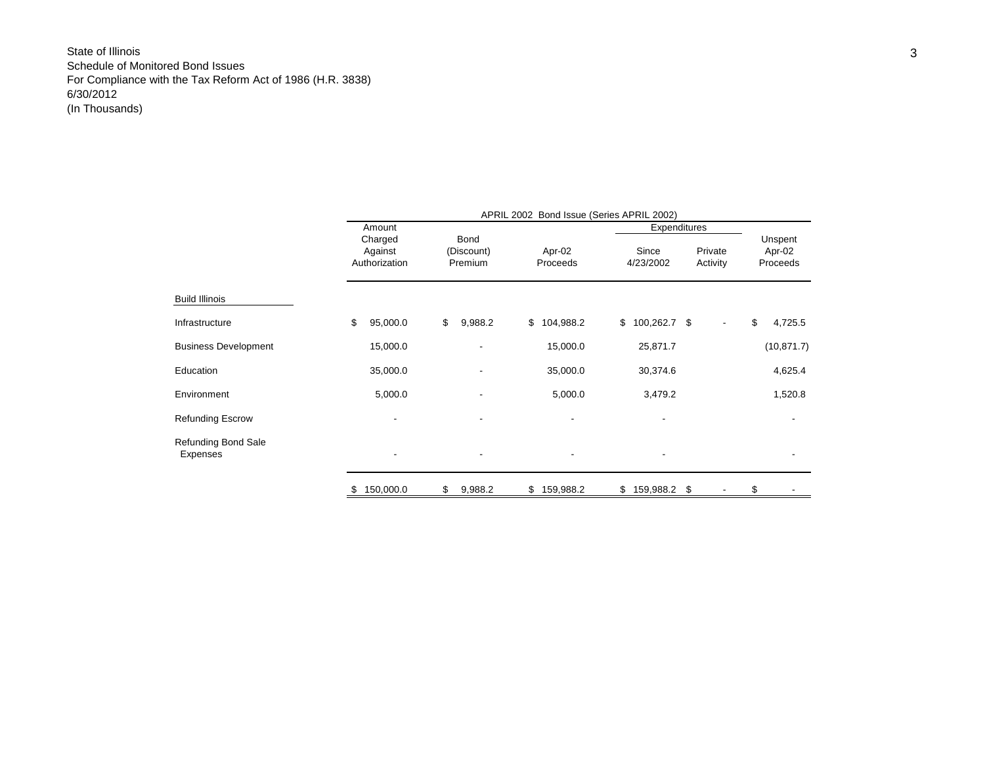|                                 |                                     |                               | APRIL 2002 Bond Issue (Series APRIL 2002) |                    |                     |                               |
|---------------------------------|-------------------------------------|-------------------------------|-------------------------------------------|--------------------|---------------------|-------------------------------|
|                                 | Amount                              |                               |                                           | Expenditures       |                     |                               |
|                                 | Charged<br>Against<br>Authorization | Bond<br>(Discount)<br>Premium | Apr-02<br>Proceeds                        | Since<br>4/23/2002 | Private<br>Activity | Unspent<br>Apr-02<br>Proceeds |
| <b>Build Illinois</b>           |                                     |                               |                                           |                    |                     |                               |
| Infrastructure                  | \$<br>95,000.0                      | \$<br>9,988.2                 | \$104,988.2                               | \$<br>100,262.7 \$ |                     | \$<br>4,725.5                 |
| <b>Business Development</b>     | 15,000.0                            |                               | 15,000.0                                  | 25,871.7           |                     | (10, 871.7)                   |
| Education                       | 35,000.0                            |                               | 35,000.0                                  | 30,374.6           |                     | 4,625.4                       |
| Environment                     | 5,000.0                             |                               | 5,000.0                                   | 3,479.2            |                     | 1,520.8                       |
| <b>Refunding Escrow</b>         |                                     |                               |                                           |                    |                     |                               |
| Refunding Bond Sale<br>Expenses |                                     |                               | $\overline{\phantom{a}}$                  | ٠                  |                     |                               |
|                                 | 150,000.0<br>\$                     | 9,988.2<br>\$                 | 159,988.2<br>\$                           | \$<br>159,988.2    | \$                  | \$                            |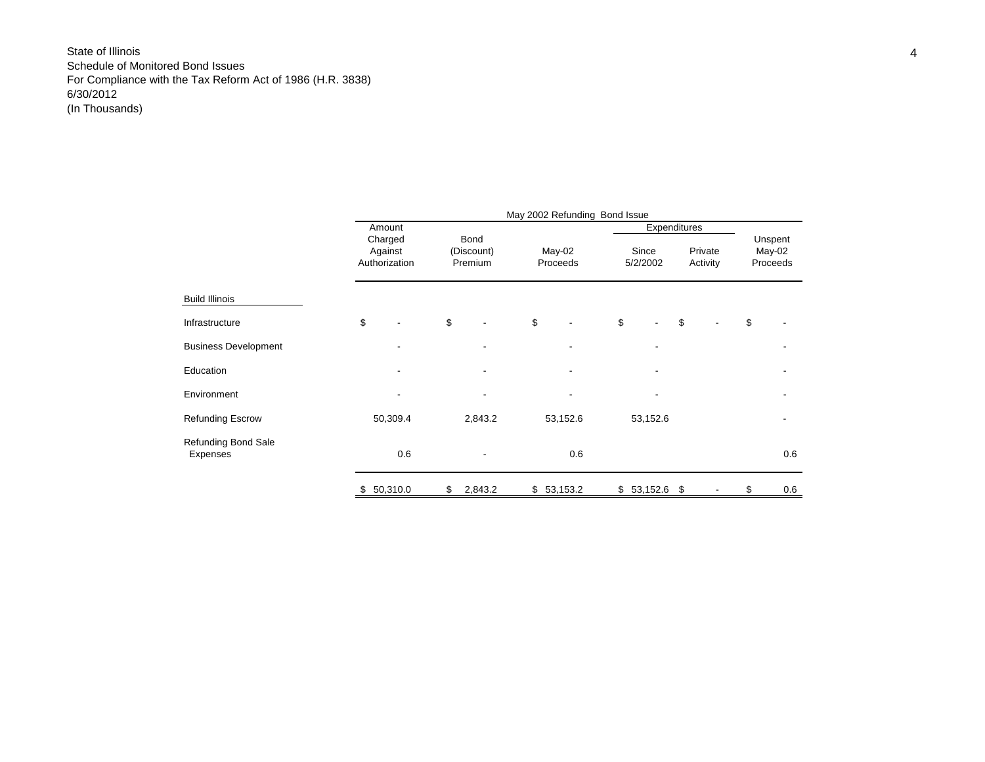|                                 |                                     |                               | May 2002 Refunding Bond Issue |                   |              |                     |                               |
|---------------------------------|-------------------------------------|-------------------------------|-------------------------------|-------------------|--------------|---------------------|-------------------------------|
|                                 | Amount                              |                               |                               |                   | Expenditures |                     |                               |
|                                 | Charged<br>Against<br>Authorization | Bond<br>(Discount)<br>Premium | May-02<br>Proceeds            | Since<br>5/2/2002 |              | Private<br>Activity | Unspent<br>May-02<br>Proceeds |
| <b>Build Illinois</b>           |                                     |                               |                               |                   |              |                     |                               |
| Infrastructure                  | \$                                  | \$                            | \$                            | \$                | \$           |                     | \$                            |
| <b>Business Development</b>     |                                     |                               |                               |                   |              |                     |                               |
| Education                       |                                     |                               |                               |                   |              |                     |                               |
| Environment                     |                                     |                               |                               |                   |              |                     |                               |
| <b>Refunding Escrow</b>         | 50,309.4                            | 2,843.2                       | 53,152.6                      | 53,152.6          |              |                     |                               |
| Refunding Bond Sale<br>Expenses | 0.6                                 |                               | 0.6                           |                   |              |                     | 0.6                           |
|                                 | \$<br>50,310.0                      | \$<br>2,843.2                 | \$53,153.2                    | $$53,152.6$ \$    |              |                     | \$<br>0.6                     |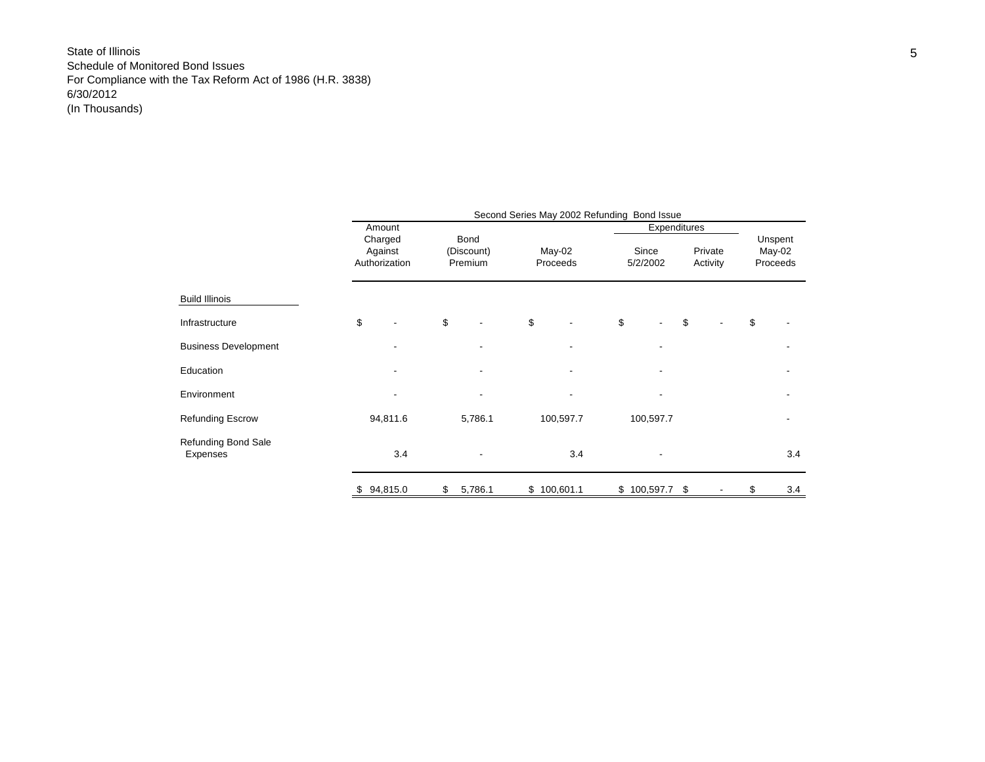|                                 |                                     |                               | Second Series May 2002 Refunding Bond Issue |                   |                     |                               |
|---------------------------------|-------------------------------------|-------------------------------|---------------------------------------------|-------------------|---------------------|-------------------------------|
|                                 | Amount                              |                               |                                             | Expenditures      |                     |                               |
|                                 | Charged<br>Against<br>Authorization | Bond<br>(Discount)<br>Premium | May-02<br>Proceeds                          | Since<br>5/2/2002 | Private<br>Activity | Unspent<br>May-02<br>Proceeds |
| <b>Build Illinois</b>           |                                     |                               |                                             |                   |                     |                               |
| Infrastructure                  | \$                                  | \$                            | \$                                          | \$                | \$                  | \$                            |
| <b>Business Development</b>     |                                     |                               |                                             |                   |                     |                               |
| Education                       |                                     |                               |                                             |                   |                     |                               |
| Environment                     |                                     |                               |                                             |                   |                     |                               |
| <b>Refunding Escrow</b>         | 94,811.6                            | 5,786.1                       | 100,597.7                                   | 100,597.7         |                     |                               |
| Refunding Bond Sale<br>Expenses | 3.4                                 |                               | 3.4                                         |                   |                     | 3.4                           |
|                                 | \$<br>94,815.0                      | \$<br>5,786.1                 | \$100,601.1                                 | \$100,597.7       | \$                  | \$<br>3.4                     |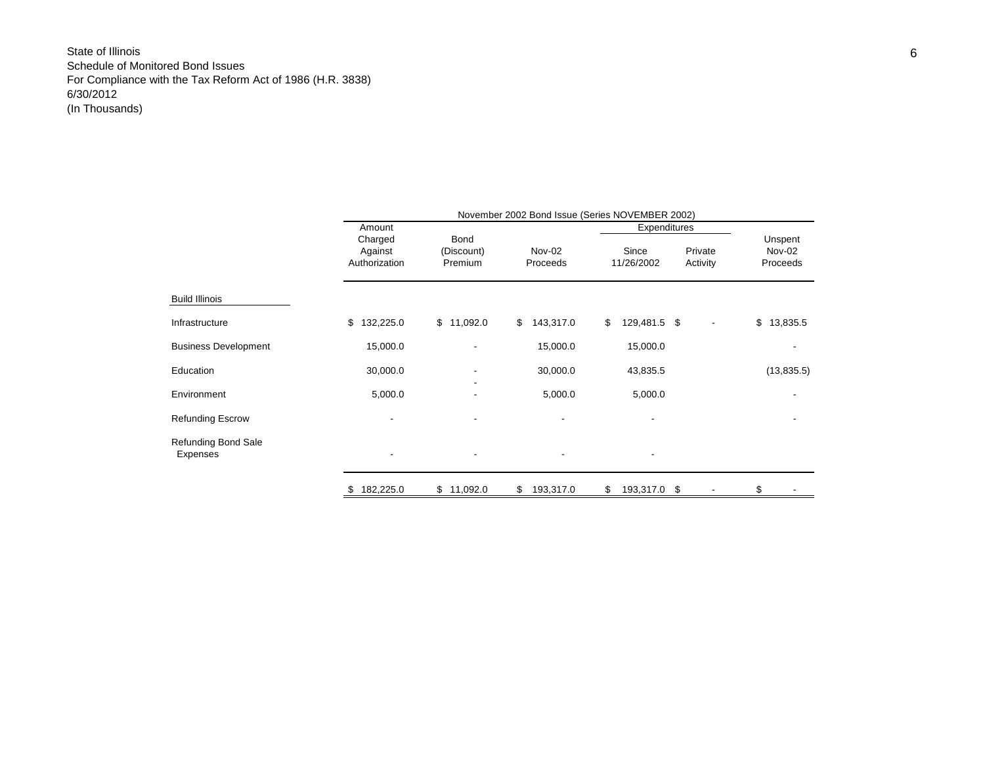|                                 |                                     |                               |                    | November 2002 Bond Issue (Series NOVEMBER 2002) |                     |                               |
|---------------------------------|-------------------------------------|-------------------------------|--------------------|-------------------------------------------------|---------------------|-------------------------------|
|                                 | Amount                              |                               |                    | Expenditures                                    |                     |                               |
|                                 | Charged<br>Against<br>Authorization | Bond<br>(Discount)<br>Premium | Nov-02<br>Proceeds | Since<br>11/26/2002                             | Private<br>Activity | Unspent<br>Nov-02<br>Proceeds |
| <b>Build Illinois</b>           |                                     |                               |                    |                                                 |                     |                               |
| Infrastructure                  | 132,225.0<br>\$                     | \$11,092.0                    | 143,317.0<br>\$    | \$<br>129,481.5 \$                              | ٠                   | \$13,835.5                    |
| <b>Business Development</b>     | 15,000.0                            |                               | 15,000.0           | 15,000.0                                        |                     |                               |
| Education                       | 30,000.0                            |                               | 30,000.0           | 43,835.5                                        |                     | (13,835.5)                    |
| Environment                     | 5,000.0                             |                               | 5,000.0            | 5,000.0                                         |                     |                               |
| <b>Refunding Escrow</b>         |                                     |                               |                    |                                                 |                     |                               |
| Refunding Bond Sale<br>Expenses | -                                   |                               |                    |                                                 |                     |                               |
|                                 | 182,225.0                           | \$11,092.0                    | \$<br>193,317.0    | \$<br>193,317.0<br>\$                           |                     | \$                            |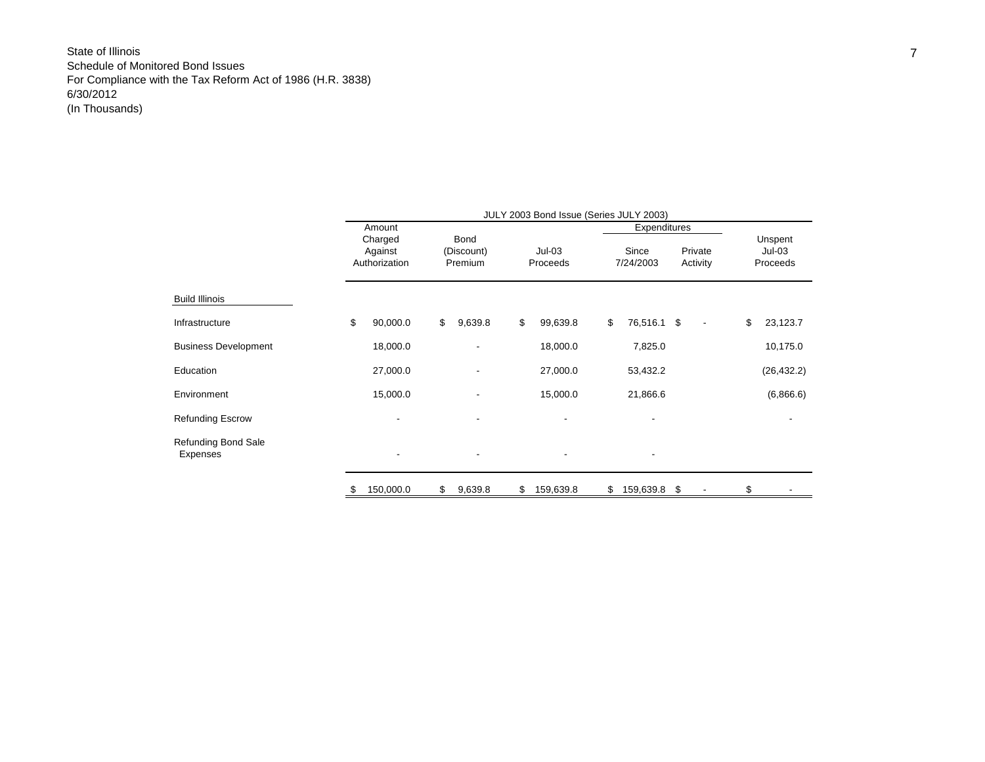|                                 |    |                                     |              |                               | JULY 2003 Bond Issue (Series JULY 2003) |                    |                          |     |                                 |
|---------------------------------|----|-------------------------------------|--------------|-------------------------------|-----------------------------------------|--------------------|--------------------------|-----|---------------------------------|
|                                 |    | Amount                              |              |                               |                                         | Expenditures       |                          |     |                                 |
|                                 |    | Charged<br>Against<br>Authorization |              | Bond<br>(Discount)<br>Premium | $Jul-03$<br>Proceeds                    | Since<br>7/24/2003 | Private<br>Activity      |     | Unspent<br>$Jul-03$<br>Proceeds |
| <b>Build Illinois</b>           |    |                                     |              |                               |                                         |                    |                          |     |                                 |
| Infrastructure                  | \$ | 90,000.0                            | $\mathbb{S}$ | 9,639.8                       | \$<br>99,639.8                          | \$<br>76,516.1 \$  | $\overline{\phantom{a}}$ | \$  | 23,123.7                        |
| <b>Business Development</b>     |    | 18,000.0                            |              | $\blacksquare$                | 18,000.0                                | 7,825.0            |                          |     | 10,175.0                        |
| Education                       |    | 27,000.0                            |              |                               | 27,000.0                                | 53,432.2           |                          |     | (26, 432.2)                     |
| Environment                     |    | 15,000.0                            |              |                               | 15,000.0                                | 21,866.6           |                          |     | (6,866.6)                       |
| <b>Refunding Escrow</b>         |    | -                                   |              |                               |                                         |                    |                          |     |                                 |
| Refunding Bond Sale<br>Expenses |    | $\overline{\phantom{a}}$            |              |                               |                                         |                    |                          |     |                                 |
|                                 | S  | 150,000.0                           | \$           | 9,639.8                       | \$<br>159,639.8                         | \$<br>159,639.8 \$ |                          | \$. |                                 |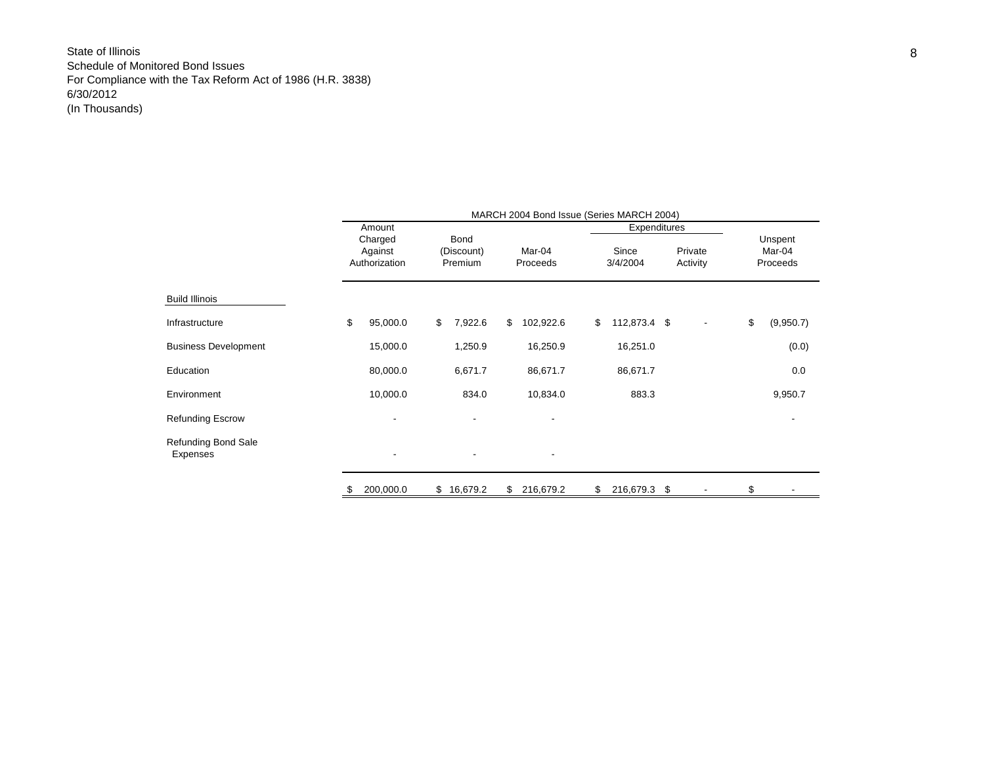|                                        |                                     |                                      | MARCH 2004 Bond Issue (Series MARCH 2004) |                    |                     |                               |
|----------------------------------------|-------------------------------------|--------------------------------------|-------------------------------------------|--------------------|---------------------|-------------------------------|
|                                        | Amount                              |                                      |                                           | Expenditures       |                     |                               |
|                                        | Charged<br>Against<br>Authorization | <b>Bond</b><br>(Discount)<br>Premium | Mar-04<br>Proceeds                        | Since<br>3/4/2004  | Private<br>Activity | Unspent<br>Mar-04<br>Proceeds |
| <b>Build Illinois</b>                  |                                     |                                      |                                           |                    |                     |                               |
| Infrastructure                         | \$<br>95,000.0                      | \$<br>7,922.6                        | \$<br>102,922.6                           | \$<br>112,873.4 \$ |                     | \$<br>(9,950.7)               |
| <b>Business Development</b>            | 15,000.0                            | 1,250.9                              | 16,250.9                                  | 16,251.0           |                     | (0.0)                         |
| Education                              | 80,000.0                            | 6,671.7                              | 86,671.7                                  | 86,671.7           |                     | 0.0                           |
| Environment                            | 10,000.0                            | 834.0                                | 10,834.0                                  | 883.3              |                     | 9,950.7                       |
| <b>Refunding Escrow</b>                |                                     |                                      |                                           |                    |                     |                               |
| <b>Refunding Bond Sale</b><br>Expenses | ٠                                   | ٠                                    | $\overline{\phantom{a}}$                  |                    |                     |                               |
|                                        | \$<br>200,000.0                     | \$<br>16,679.2                       | \$<br>216,679.2                           | \$<br>216,679.3    | \$                  |                               |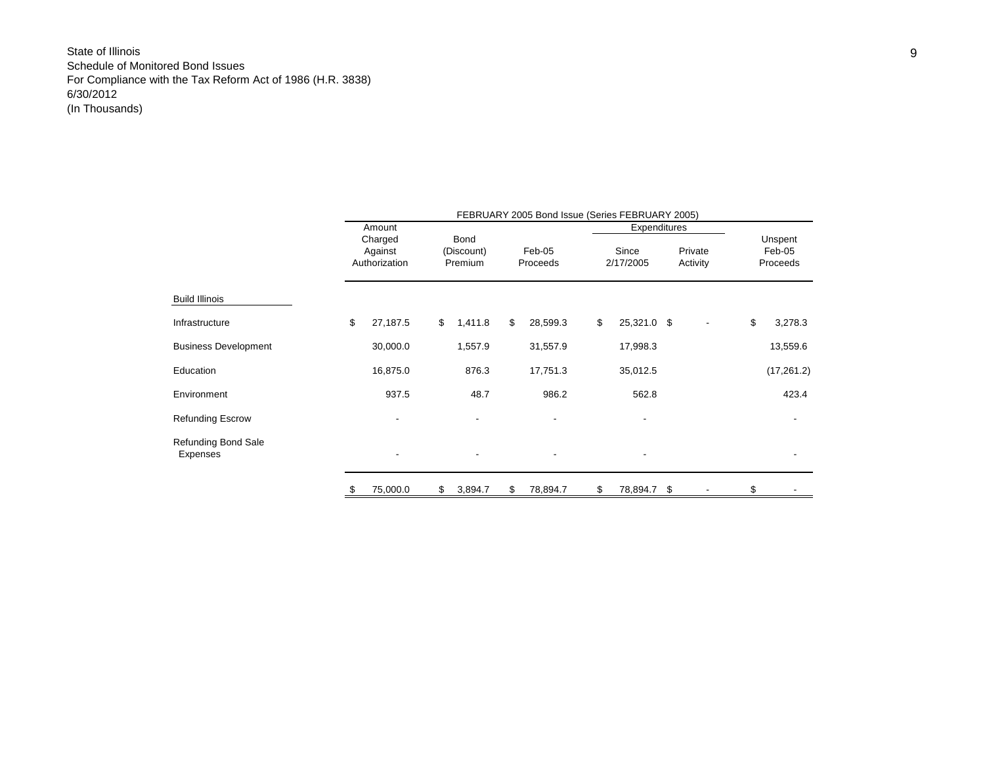|                                 |                                     |                                      |    | FEBRUARY 2005 Bond Issue (Series FEBRUARY 2005) |                    |      |                     |                               |
|---------------------------------|-------------------------------------|--------------------------------------|----|-------------------------------------------------|--------------------|------|---------------------|-------------------------------|
|                                 | Amount                              |                                      |    |                                                 | Expenditures       |      |                     |                               |
|                                 | Charged<br>Against<br>Authorization | <b>Bond</b><br>(Discount)<br>Premium |    | Feb-05<br>Proceeds                              | Since<br>2/17/2005 |      | Private<br>Activity | Unspent<br>Feb-05<br>Proceeds |
| Build Illinois                  |                                     |                                      |    |                                                 |                    |      |                     |                               |
| Infrastructure                  | \$<br>27,187.5                      | \$<br>1,411.8                        | \$ | 28,599.3                                        | \$<br>25,321.0 \$  |      |                     | \$<br>3,278.3                 |
| <b>Business Development</b>     | 30,000.0                            | 1,557.9                              |    | 31,557.9                                        | 17,998.3           |      |                     | 13,559.6                      |
| Education                       | 16,875.0                            | 876.3                                |    | 17,751.3                                        | 35,012.5           |      |                     | (17, 261.2)                   |
| Environment                     | 937.5                               | 48.7                                 |    | 986.2                                           | 562.8              |      |                     | 423.4                         |
| Refunding Escrow                |                                     |                                      |    |                                                 |                    |      |                     |                               |
| Refunding Bond Sale<br>Expenses |                                     |                                      |    |                                                 |                    |      |                     |                               |
|                                 | 75,000.0                            | \$<br>3,894.7                        | S  | 78,894.7                                        | \$<br>78,894.7     | - \$ |                     | \$                            |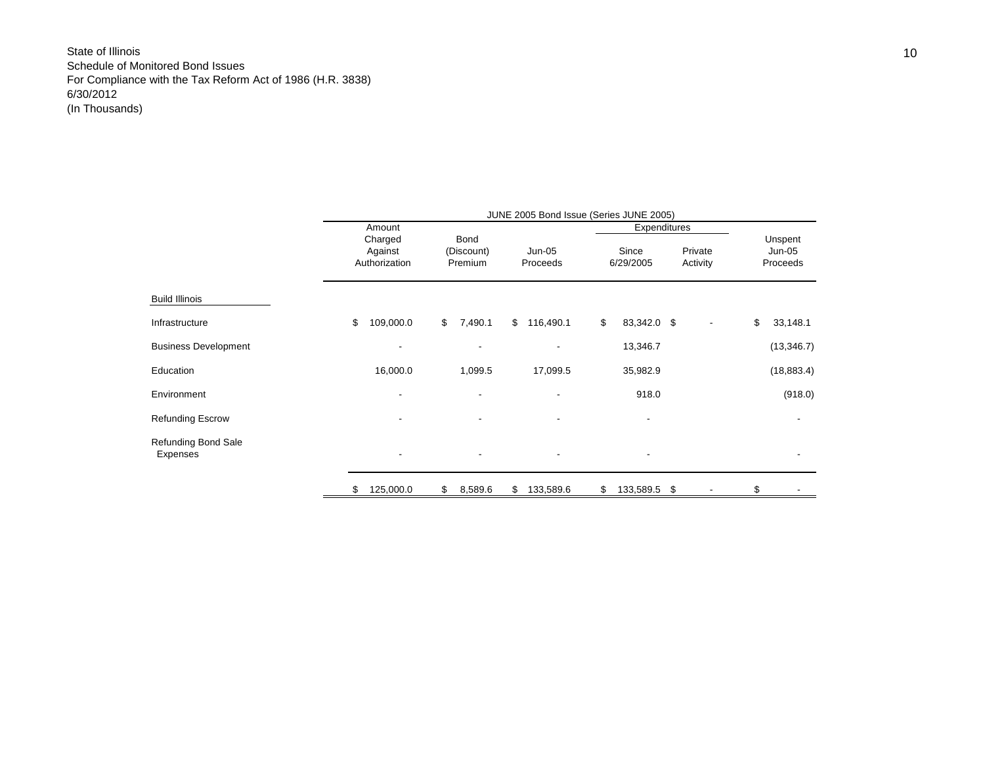|                                 |                                     |                               |                           | JUNE 2005 Bond Issue (Series JUNE 2005)   |                               |
|---------------------------------|-------------------------------------|-------------------------------|---------------------------|-------------------------------------------|-------------------------------|
|                                 | Amount                              |                               |                           | Expenditures                              |                               |
|                                 | Charged<br>Against<br>Authorization | Bond<br>(Discount)<br>Premium | Jun-05<br>Proceeds        | Since<br>Private<br>Activity<br>6/29/2005 | Unspent<br>Jun-05<br>Proceeds |
| <b>Build Illinois</b>           |                                     |                               |                           |                                           |                               |
| Infrastructure                  | \$<br>109,000.0                     | \$<br>7,490.1                 | $\mathbb{S}$<br>116,490.1 | \$<br>83,342.0 \$<br>٠                    | \$<br>33,148.1                |
| <b>Business Development</b>     |                                     | $\blacksquare$                |                           | 13,346.7                                  | (13, 346.7)                   |
| Education                       | 16,000.0                            | 1,099.5                       | 17,099.5                  | 35,982.9                                  | (18, 883.4)                   |
| Environment                     |                                     | $\blacksquare$                | $\overline{\phantom{0}}$  | 918.0                                     | (918.0)                       |
| <b>Refunding Escrow</b>         |                                     | $\blacksquare$                | -                         | $\overline{\phantom{a}}$                  |                               |
| Refunding Bond Sale<br>Expenses |                                     | $\overline{\phantom{a}}$      | $\overline{\phantom{a}}$  | $\overline{\phantom{a}}$                  |                               |
|                                 | 125,000.0<br>S                      | \$<br>8,589.6                 | 133,589.6<br>\$           | 133,589.5 \$<br>\$                        | \$                            |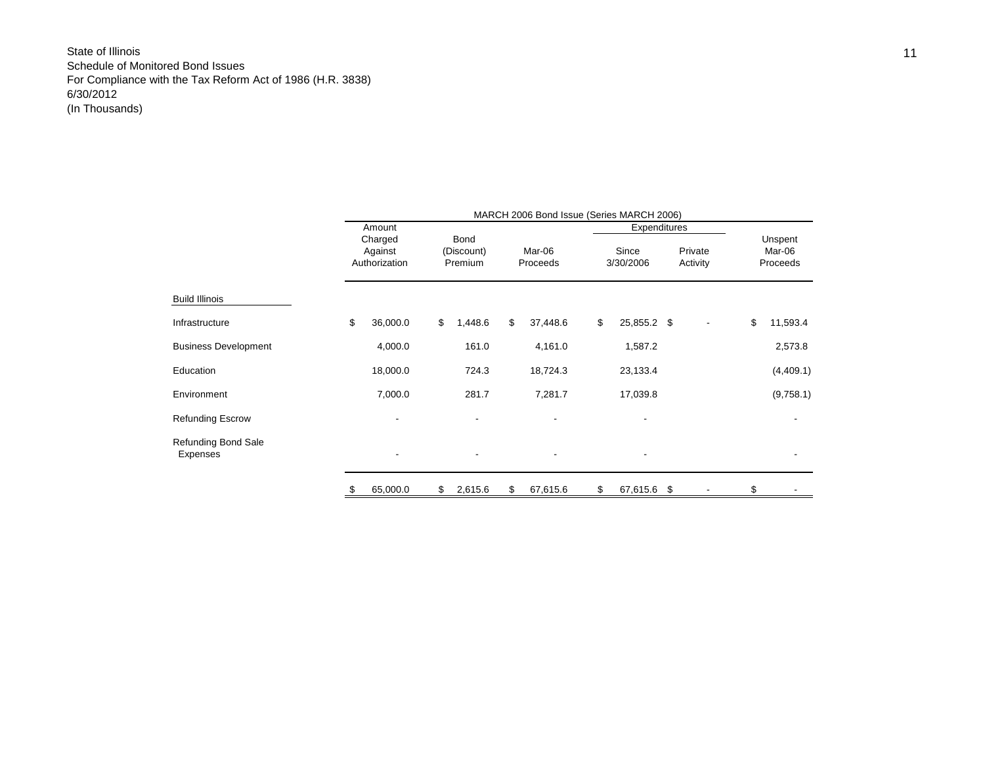|                                 |                                     |                                      | MARCH 2006 Bond Issue (Series MARCH 2006) |                    |     |                     |                               |
|---------------------------------|-------------------------------------|--------------------------------------|-------------------------------------------|--------------------|-----|---------------------|-------------------------------|
|                                 | Amount                              |                                      |                                           | Expenditures       |     |                     |                               |
|                                 | Charged<br>Against<br>Authorization | <b>Bond</b><br>(Discount)<br>Premium | Mar-06<br>Proceeds                        | Since<br>3/30/2006 |     | Private<br>Activity | Unspent<br>Mar-06<br>Proceeds |
| <b>Build Illinois</b>           |                                     |                                      |                                           |                    |     |                     |                               |
| Infrastructure                  | \$<br>36,000.0                      | \$<br>1,448.6                        | \$<br>37,448.6                            | \$<br>25,855.2 \$  |     |                     | \$<br>11,593.4                |
| <b>Business Development</b>     | 4,000.0                             | 161.0                                | 4,161.0                                   | 1,587.2            |     |                     | 2,573.8                       |
| Education                       | 18,000.0                            | 724.3                                | 18,724.3                                  | 23,133.4           |     |                     | (4,409.1)                     |
| Environment                     | 7,000.0                             | 281.7                                | 7,281.7                                   | 17,039.8           |     |                     | (9,758.1)                     |
| Refunding Escrow                |                                     |                                      |                                           |                    |     |                     |                               |
| Refunding Bond Sale<br>Expenses |                                     |                                      |                                           |                    |     |                     |                               |
|                                 | 65,000.0                            | \$<br>2,615.6                        | \$<br>67,615.6                            | \$<br>67,615.6     | -\$ |                     | \$                            |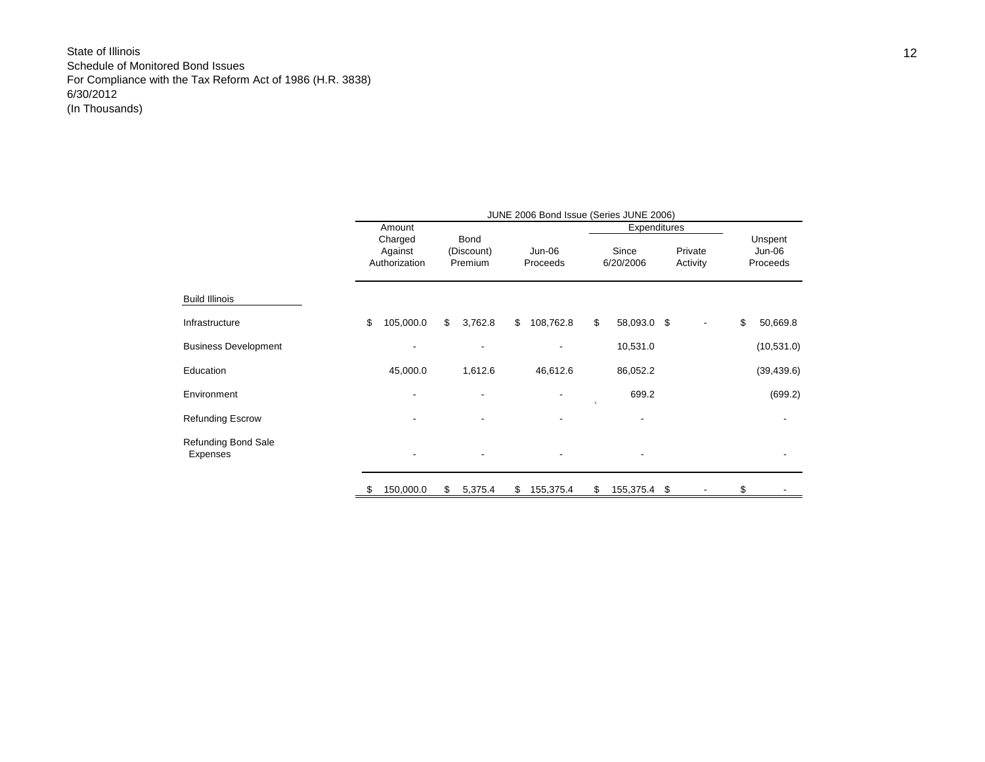|                                        |                 |                          | JUNE 2006 Bond Issue (Series JUNE 2006) |           |              |          |                |
|----------------------------------------|-----------------|--------------------------|-----------------------------------------|-----------|--------------|----------|----------------|
|                                        | Amount          |                          |                                         |           | Expenditures |          |                |
|                                        | Charged         | <b>Bond</b>              |                                         |           |              |          | Unspent        |
|                                        | Against         | (Discount)               | Jun-06                                  |           | Since        | Private  | Jun-06         |
|                                        | Authorization   | Premium                  | Proceeds                                |           | 6/20/2006    | Activity | Proceeds       |
|                                        |                 |                          |                                         |           |              |          |                |
| <b>Build Illinois</b>                  |                 |                          |                                         |           |              |          |                |
| Infrastructure                         | \$<br>105,000.0 | \$<br>3,762.8            | \$<br>108,762.8                         | \$        | 58,093.0 \$  |          | \$<br>50,669.8 |
| <b>Business Development</b>            |                 |                          |                                         |           | 10,531.0     |          | (10, 531.0)    |
| Education                              | 45,000.0        | 1,612.6                  | 46,612.6                                |           | 86,052.2     |          | (39, 439.6)    |
| Environment                            |                 |                          |                                         | $\lambda$ | 699.2        |          | (699.2)        |
| <b>Refunding Escrow</b>                |                 |                          |                                         |           |              |          |                |
| <b>Refunding Bond Sale</b><br>Expenses |                 | $\overline{\phantom{a}}$ |                                         |           |              |          |                |
|                                        | 150,000.0       | \$<br>5,375.4            | \$<br>155,375.4                         | \$        | 155,375.4    | \$       | \$             |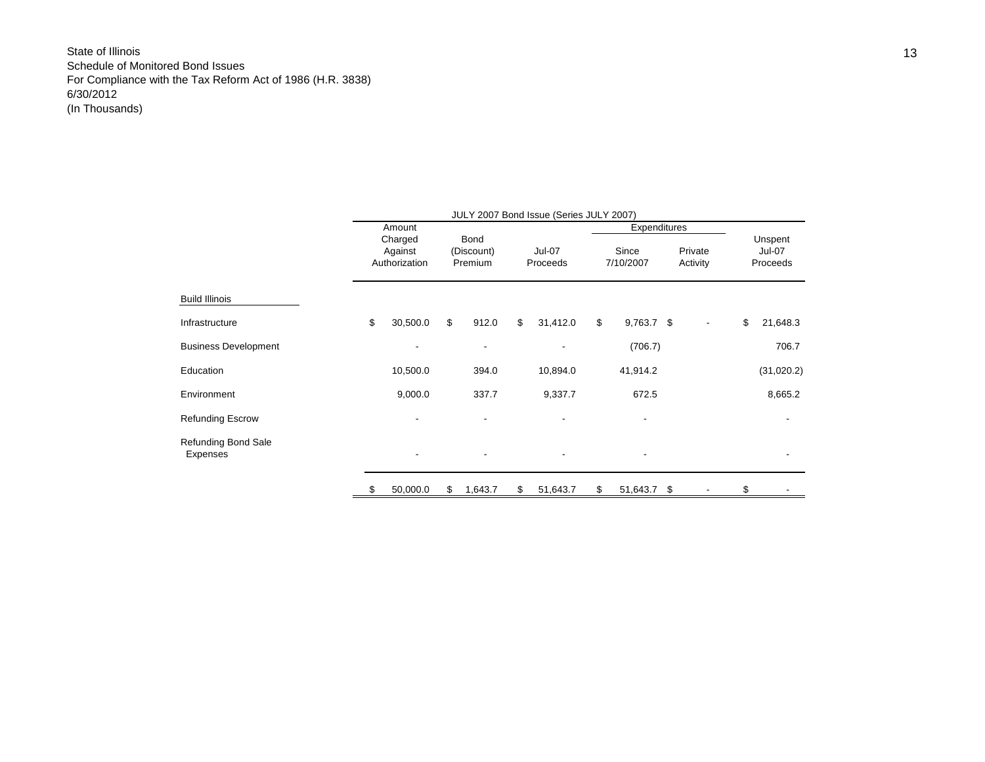|                                 |                                     |                               | JULY 2007 Bond Issue (Series JULY 2007) |                    |                     |                                      |
|---------------------------------|-------------------------------------|-------------------------------|-----------------------------------------|--------------------|---------------------|--------------------------------------|
|                                 | Amount                              |                               |                                         | Expenditures       |                     |                                      |
|                                 | Charged<br>Against<br>Authorization | Bond<br>(Discount)<br>Premium | $Jul-07$<br>Proceeds                    | Since<br>7/10/2007 | Private<br>Activity | Unspent<br><b>Jul-07</b><br>Proceeds |
| Build Illinois                  |                                     |                               |                                         |                    |                     |                                      |
| Infrastructure                  | \$<br>30,500.0                      | \$<br>912.0                   | \$<br>31,412.0                          | \$<br>$9,763.7$ \$ |                     | \$<br>21,648.3                       |
| <b>Business Development</b>     |                                     | ٠                             |                                         | (706.7)            |                     | 706.7                                |
| Education                       | 10,500.0                            | 394.0                         | 10,894.0                                | 41,914.2           |                     | (31,020.2)                           |
| Environment                     | 9,000.0                             | 337.7                         | 9,337.7                                 | 672.5              |                     | 8,665.2                              |
| Refunding Escrow                |                                     | ٠                             |                                         |                    |                     |                                      |
| Refunding Bond Sale<br>Expenses |                                     |                               |                                         |                    |                     |                                      |
|                                 | 50,000.0                            | \$<br>1,643.7                 | \$<br>51,643.7                          | \$<br>51,643.7 \$  |                     | \$                                   |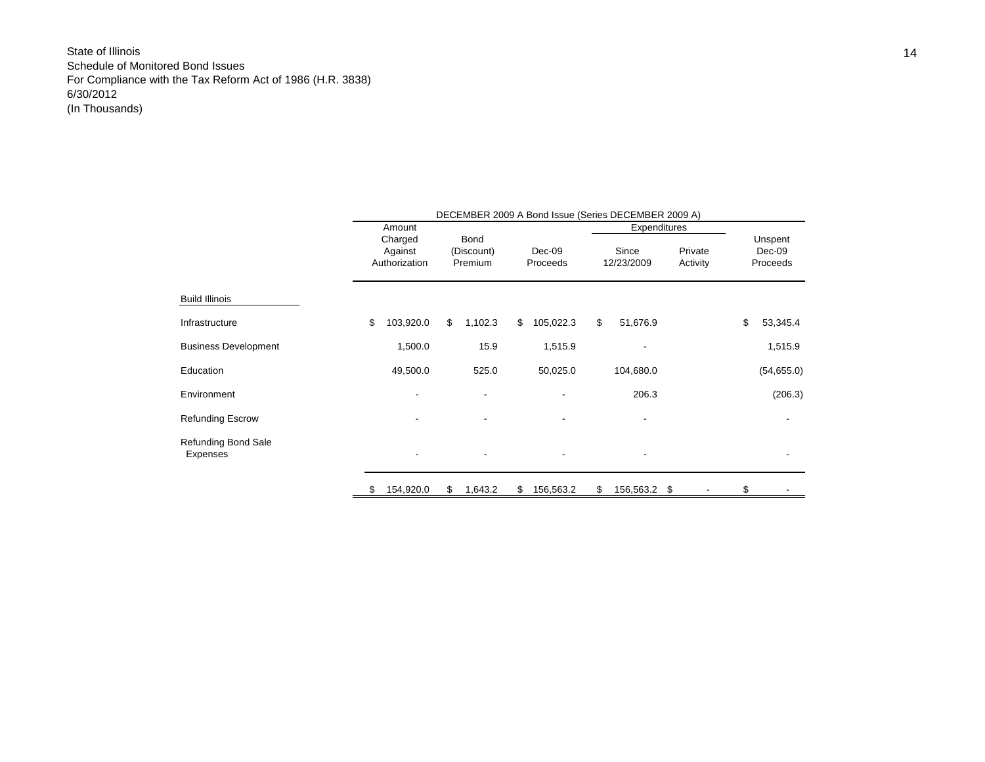|                             |                 |               | DECEMBER 2009 A Bond Issue (Series DECEMBER 2009 A) |                          |          |                          |
|-----------------------------|-----------------|---------------|-----------------------------------------------------|--------------------------|----------|--------------------------|
|                             | Amount          |               |                                                     | Expenditures             |          |                          |
|                             | Charged         | Bond          |                                                     |                          |          | Unspent                  |
|                             | Against         | (Discount)    | Dec-09                                              | Since                    | Private  | Dec-09                   |
|                             | Authorization   | Premium       | Proceeds                                            | 12/23/2009               | Activity | Proceeds                 |
| <b>Build Illinois</b>       |                 |               |                                                     |                          |          |                          |
| Infrastructure              | \$<br>103,920.0 | \$<br>1,102.3 | \$<br>105,022.3                                     | \$<br>51,676.9           |          | \$<br>53,345.4           |
| <b>Business Development</b> | 1,500.0         | 15.9          | 1,515.9                                             |                          |          | 1,515.9                  |
| Education                   | 49,500.0        | 525.0         | 50,025.0                                            | 104,680.0                |          | (54, 655.0)              |
| Environment                 |                 |               |                                                     | 206.3                    |          | (206.3)                  |
| <b>Refunding Escrow</b>     |                 |               |                                                     |                          |          |                          |
| Refunding Bond Sale         |                 |               |                                                     |                          |          |                          |
| Expenses                    |                 |               |                                                     | $\overline{\phantom{a}}$ |          | $\overline{\phantom{a}}$ |
|                             | \$<br>154,920.0 | \$<br>1,643.2 | \$<br>156,563.2                                     | \$<br>156,563.2 \$       |          | \$                       |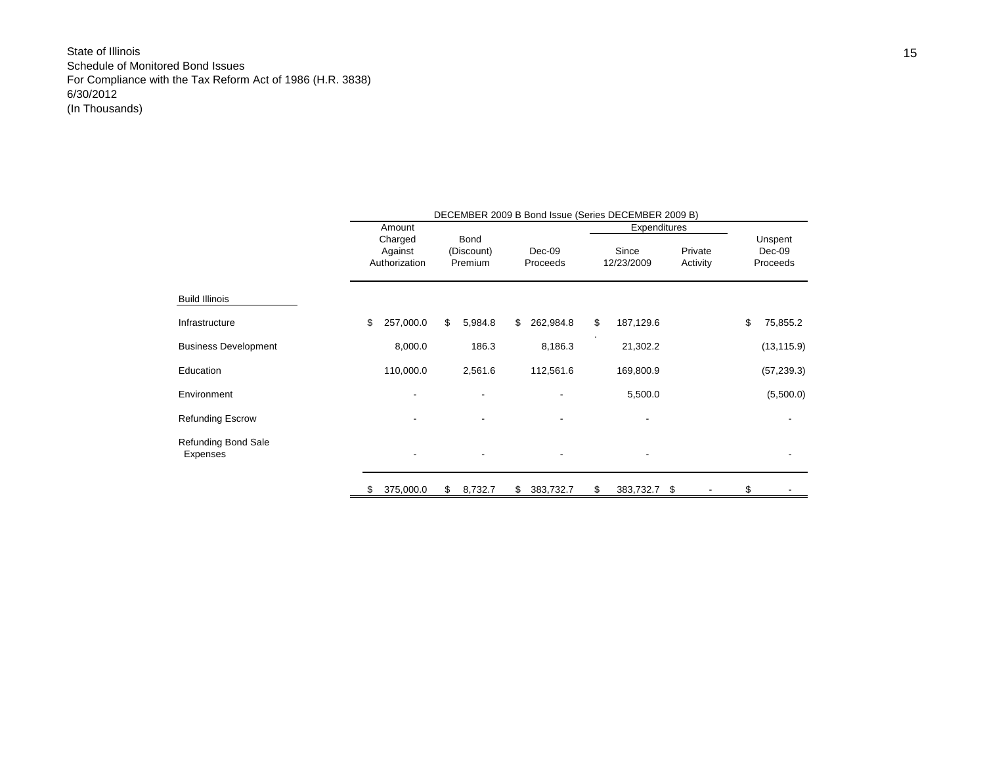|                                 |                                     |           |                               |                    | DECEMBER 2009 B Bond Issue (Series DECEMBER 2009 B) |                     |                               |
|---------------------------------|-------------------------------------|-----------|-------------------------------|--------------------|-----------------------------------------------------|---------------------|-------------------------------|
|                                 | Amount                              |           |                               |                    | Expenditures                                        |                     |                               |
|                                 | Charged<br>Against<br>Authorization |           | Bond<br>(Discount)<br>Premium | Dec-09<br>Proceeds | Since<br>12/23/2009                                 | Private<br>Activity | Unspent<br>Dec-09<br>Proceeds |
| <b>Build Illinois</b>           |                                     |           |                               |                    |                                                     |                     |                               |
| Infrastructure                  | \$                                  | 257,000.0 | 5,984.8<br>\$                 | 262,984.8<br>\$    | 187,129.6<br>\$                                     |                     | \$<br>75,855.2                |
| <b>Business Development</b>     |                                     | 8,000.0   | 186.3                         | 8,186.3            | 21,302.2                                            |                     | (13, 115.9)                   |
| Education                       |                                     | 110,000.0 | 2,561.6                       | 112,561.6          | 169,800.9                                           |                     | (57, 239.3)                   |
| Environment                     |                                     |           |                               |                    | 5,500.0                                             |                     | (5,500.0)                     |
| Refunding Escrow                |                                     |           |                               |                    |                                                     |                     |                               |
| Refunding Bond Sale<br>Expenses |                                     |           |                               |                    | -                                                   |                     |                               |
|                                 | \$                                  | 375,000.0 | 8,732.7<br>S                  | \$<br>383,732.7    | 383,732.7<br>\$                                     | -\$                 | \$                            |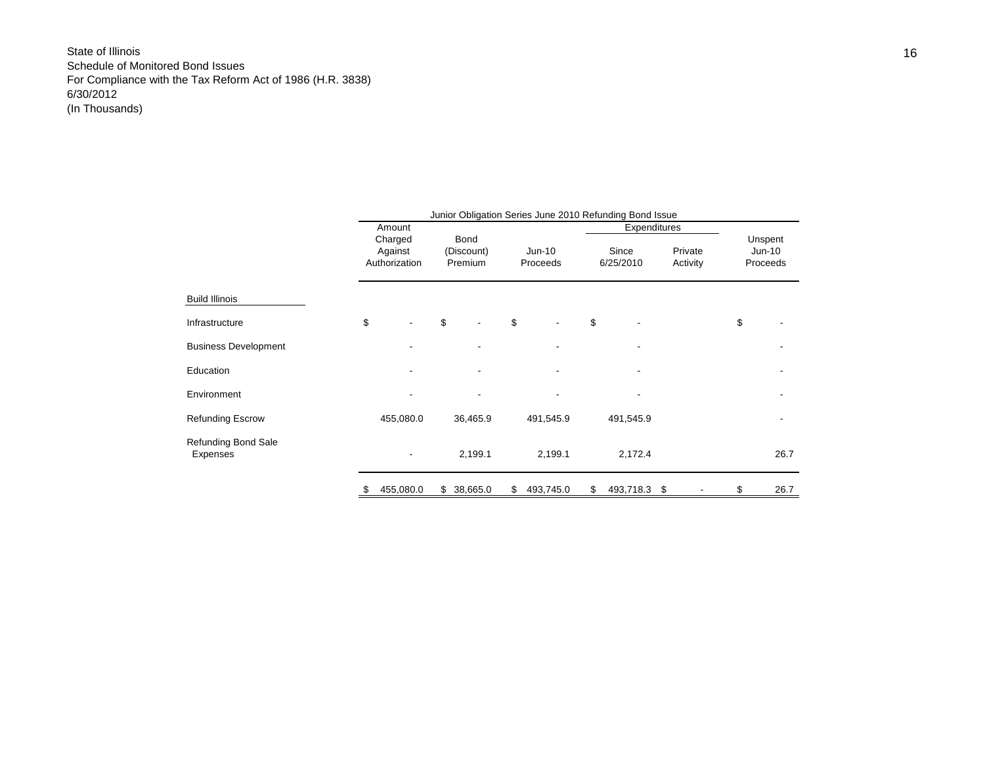|                                        |                    |                                | Junior Obligation Series June 2010 Refunding Bond Issue |                 |     |          |                     |
|----------------------------------------|--------------------|--------------------------------|---------------------------------------------------------|-----------------|-----|----------|---------------------|
|                                        | Amount             |                                |                                                         | Expenditures    |     |          |                     |
|                                        | Charged<br>Against | Bond<br>(Discount)             | $Jun-10$                                                | Since           |     | Private  | Unspent<br>$Jun-10$ |
|                                        | Authorization      | Premium                        | Proceeds                                                | 6/25/2010       |     | Activity | Proceeds            |
|                                        |                    |                                |                                                         |                 |     |          |                     |
| <b>Build Illinois</b>                  |                    |                                |                                                         |                 |     |          |                     |
| Infrastructure                         | \$                 | \$<br>$\overline{\phantom{a}}$ | \$                                                      | \$              |     |          | \$                  |
| <b>Business Development</b>            |                    |                                |                                                         |                 |     |          |                     |
| Education                              |                    |                                |                                                         |                 |     |          |                     |
| Environment                            |                    |                                |                                                         |                 |     |          |                     |
| <b>Refunding Escrow</b>                | 455,080.0          | 36,465.9                       | 491,545.9                                               | 491,545.9       |     |          |                     |
| <b>Refunding Bond Sale</b><br>Expenses |                    | 2,199.1                        | 2,199.1                                                 | 2,172.4         |     |          | 26.7                |
|                                        | 455,080.0          | \$<br>38,665.0                 | \$<br>493,745.0                                         | \$<br>493,718.3 | -\$ |          | \$<br>26.7          |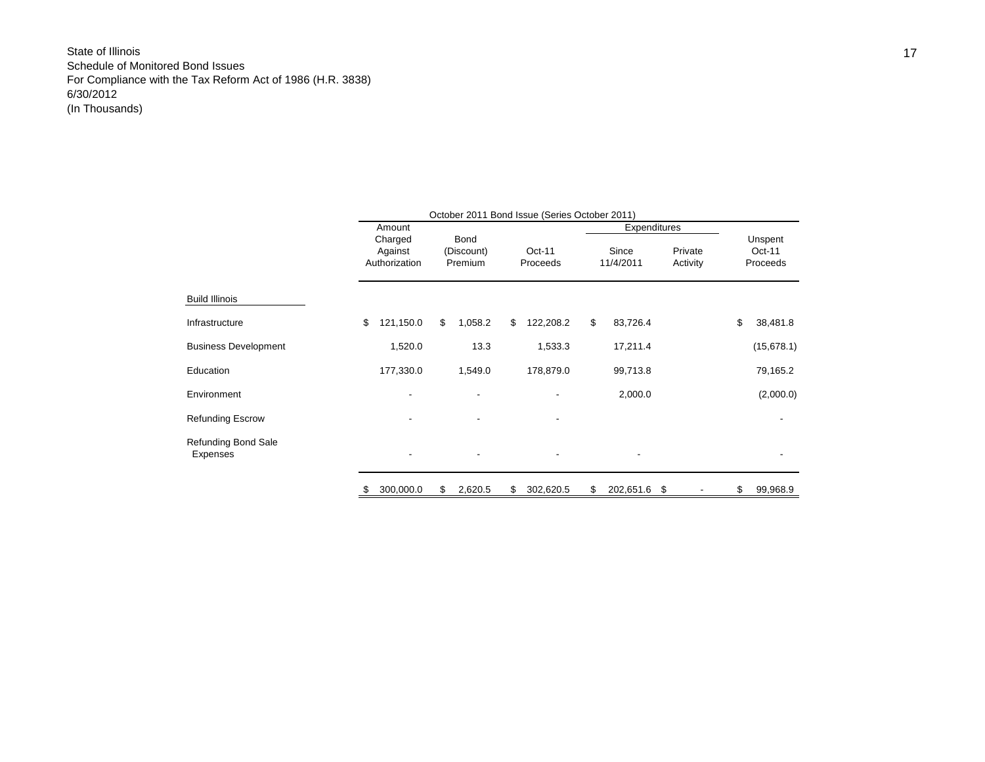|                                        | October 2011 Bond Issue (Series October 2011) |               |             |            |    |           |              |           |          |    |            |  |
|----------------------------------------|-----------------------------------------------|---------------|-------------|------------|----|-----------|--------------|-----------|----------|----|------------|--|
|                                        |                                               | Amount        |             |            |    |           | Expenditures |           |          |    |            |  |
|                                        | Charged                                       |               | <b>Bond</b> |            |    |           | Since        |           |          |    | Unspent    |  |
|                                        |                                               | Against       |             | (Discount) |    | $Oct-11$  |              |           | Private  |    | $Oct-11$   |  |
|                                        |                                               | Authorization |             | Premium    |    | Proceeds  | 11/4/2011    |           | Activity |    | Proceeds   |  |
| <b>Build Illinois</b>                  |                                               |               |             |            |    |           |              |           |          |    |            |  |
| Infrastructure                         | \$                                            | 121,150.0     | \$          | 1,058.2    | \$ | 122,208.2 | \$           | 83,726.4  |          | \$ | 38,481.8   |  |
| <b>Business Development</b>            |                                               | 1,520.0       |             | 13.3       |    | 1,533.3   |              | 17,211.4  |          |    | (15,678.1) |  |
| Education                              |                                               | 177,330.0     |             | 1,549.0    |    | 178,879.0 |              | 99,713.8  |          |    | 79,165.2   |  |
| Environment                            |                                               |               |             |            |    |           |              | 2,000.0   |          |    | (2,000.0)  |  |
| <b>Refunding Escrow</b>                |                                               |               |             |            |    |           |              |           |          |    |            |  |
| <b>Refunding Bond Sale</b><br>Expenses |                                               |               |             | ٠          |    | ٠         |              | ٠         |          |    |            |  |
|                                        | \$                                            | 300,000.0     | S           | 2,620.5    | \$ | 302,620.5 | \$           | 202,651.6 | -\$      | \$ | 99,968.9   |  |